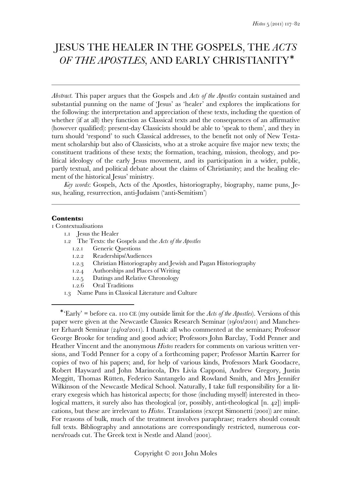# JESUS THE HEALER IN THE GOSPELS, THE *ACTS OF THE APOSTLES*, AND EARLY CHRISTIANITY<sup>\*</sup>

*Abstract.* This paper argues that the Gospels and *Acts of the Apostles* contain sustained and substantial punning on the name of 'Jesus' as 'healer' and explores the implications for the following: the interpretation and appreciation of these texts, including the question of whether (if at all) they function as Classical texts and the consequences of an affirmative (however qualified): present-day Classicists should be able to 'speak to them', and they in turn should 'respond' to such Classical addresses, to the benefit not only of New Testament scholarship but also of Classicists, who at a stroke acquire five major new texts; the constituent traditions of these texts; the formation, teaching, mission, theology, and political ideology of the early Jesus movement, and its participation in a wider, public, partly textual, and political debate about the claims of Christianity; and the healing element of the historical Jesus' ministry.

*Key words*: Gospels, Acts of the Apostles, historiography, biography, name puns, Jesus, healing, resurrection, anti-Judaism ('anti-Semitism')

#### **Contents:**

 $\overline{a}$ 

Contextualisations

- . Jesus the Healer
- . The Texts: the Gospels and the *Acts of the Apostles*
	- 1.2.1 Generic Questions
	- 1.2.2 Readerships/Audiences
	- .. Christian Historiography and Jewish and Pagan Historiography
	- 1.2.4 Authorships and Places of Writing
	- 1.2.5 Datings and Relative Chronology
	- 1.2.6 Oral Traditions
- . Name Puns in Classical Literature and Culture

<sup>&</sup>lt;sup>\*</sup> 'Early' = before ca. 110 CE (my outside limit for the *Acts of the Apostles*). Versions of this paper were given at the Newcastle Classics Research Seminar (19/01/2011) and Manchester Erhardt Seminar ( $24/02/2011$ ). I thank: all who commented at the seminars; Professor George Brooke for tending and good advice; Professors John Barclay, Todd Penner and Heather Vincent and the anonymous *Histos* readers for comments on various written versions, and Todd Penner for a copy of a forthcoming paper; Professor Martin Karrer for copies of two of his papers; and, for help of various kinds, Professors Mark Goodacre, Robert Hayward and John Marincola, Drs Livia Capponi, Andrew Gregory, Justin Meggitt, Thomas Rütten, Federico Santangelo and Rowland Smith, and Mrs Jennifer Wilkinson of the Newcastle Medical School. Naturally, I take full responsibility for a literary exegesis which has historical aspects; for those (including myself) interested in theological matters, it surely also has theological (or, possibly, anti-theological  $[n. 42]$ ) implications, but these are irrelevant to *Histos*. Translations (except Simonetti (2001)) are mine. For reasons of bulk, much of the treatment involves paraphrase; readers should consult full texts. Bibliography and annotations are correspondingly restricted, numerous corners/roads cut. The Greek text is Nestle and Aland (2001).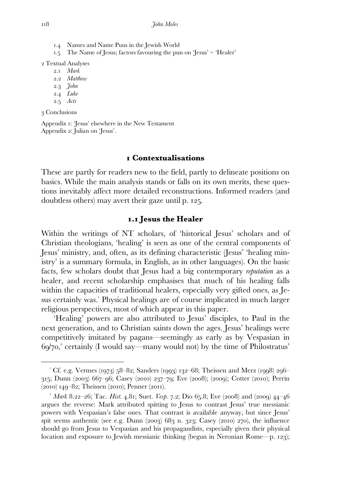- . Names and Name Puns in the Jewish World
- $1.5$  The Name of Jesus; factors favouring the pun on 'Jesus' ~ 'Healer'

Textual Analyses

- . *Mark*
- . *Matthew*
- . *John*
- . *Luke*
- . *Acts*

Conclusions

 $\overline{a}$ 

Appendix : 'Jesus' elsewhere in the New Testament Appendix 2: Julian on 'Jesus'.

#### **Contextualisations**

These are partly for readers new to the field, partly to delineate positions on basics. While the main analysis stands or falls on its own merits, these questions inevitably affect more detailed reconstructions. Informed readers (and doubtless others) may avert their gaze until p. 125.

### **. Jesus the Healer**

Within the writings of NT scholars, of 'historical Jesus' scholars and of Christian theologians, 'healing' is seen as one of the central components of Jesus' ministry, and, often, as its defining characteristic (Jesus' 'healing ministry' is a summary formula, in English, as in other languages). On the basic facts, few scholars doubt that Jesus had a big contemporary *reputation* as a healer, and recent scholarship emphasises that much of his healing falls within the capacities of traditional healers, especially very gifted ones, as Jesus certainly was. Physical healings are of course implicated in much larger religious perspectives, most of which appear in this paper.

 'Healing' powers are also attributed to Jesus' disciples, to Paul in the next generation, and to Christian saints down the ages. Jesus' healings were competitively imitated by pagans—seemingly as early as by Vespasian in 69/70,<sup>2</sup> certainly (I would say—many would not) by the time of Philostratus'

 $^{\circ}$  Cf. e.g. Vermes (1973) 58–82; Sanders (1993) 132–68; Theissen and Merz (1998) 296– 315; Dunn (2003) 667–96; Casey (2010) 237–79; Eve (2008); (2009); Cotter (2010); Perrin  $(2010)$  149–82; Theissen (2010); Penner (2011).

<sup>&</sup>lt;sup>2</sup> Mark 8.22–26; Tac. *Hist.* 4.81; Suet. *Vesp.* 7.2; Dio 65.8; Eve (2008) and (2009)  $44-46$ argues the reverse: Mark attributed spitting to Jesus to contrast Jesus' true messianic powers with Vespasian's false ones. That contrast is available anyway, but since Jesus' spit seems authentic (see e.g. Dunn (2003)  $683$  n. 323; Casey (2010) 270), the influence should go from Jesus to Vespasian and his propagandists, especially given their physical location and exposure to Jewish messianic thinking (begun in Neronian Rome—p. 123);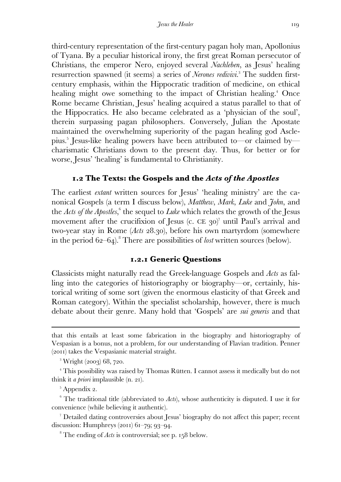third-century representation of the first-century pagan holy man, Apollonius of Tyana. By a peculiar historical irony, the first great Roman persecutor of Christians, the emperor Nero, enjoyed several *Nachleben*, as Jesus' healing resurrection spawned (it seems) a series of *Nerones redivivi*.<sup>3</sup> The sudden firstcentury emphasis, within the Hippocratic tradition of medicine, on ethical healing might owe something to the impact of Christian healing.<sup>4</sup> Once Rome became Christian, Jesus' healing acquired a status parallel to that of the Hippocratics. He also became celebrated as a 'physician of the soul', therein surpassing pagan philosophers. Conversely, Julian the Apostate maintained the overwhelming superiority of the pagan healing god Asclepius. Jesus-like healing powers have been attributed to—or claimed by charismatic Christians down to the present day. Thus, for better or for worse, Jesus' 'healing' is fundamental to Christianity.

## **. The Texts: the Gospels and the** *Acts of the Apostles*

The earliest *extant* written sources for Jesus' 'healing ministry' are the canonical Gospels (a term I discuss below), *Matthew*, *Mark*, *Luke* and *John*, and the *Acts of the Apostles*,<sup>6</sup> the sequel to *Luke* which relates the growth of the Jesus movement after the crucifixion of Jesus (c. CE 30)<sup>7</sup> until Paul's arrival and two-year stay in Rome (*Acts* 28.30), before his own martyrdom (somewhere in the period  $62-64$ <sup>2</sup>. There are possibilities of *lost* written sources (below).

## **.. Generic Questions**

Classicists might naturally read the Greek-language Gospels and *Acts* as falling into the categories of historiography or biography—or, certainly, historical writing of some sort (given the enormous elasticity of that Greek and Roman category). Within the specialist scholarship, however, there is much debate about their genre. Many hold that 'Gospels' are *sui generis* and that

 $\overline{a}$ 

 Detailed dating controversies about Jesus' biography do not affect this paper; recent discussion: Humphreys  $(2011)$  61–79; 93–94.

 $^8$  The ending of *Acts* is controversial; see p. 158 below.

that this entails at least some fabrication in the biography and historiography of Vespasian is a bonus, not a problem, for our understanding of Flavian tradition. Penner  $(201)$  takes the Vespasianic material straight.

 $^3$  Wright (2003) 68, 720.

 This possibility was raised by Thomas Rütten. I cannot assess it medically but do not think it *a priori* implausible (n. 21).

<sup>&</sup>lt;sup>5</sup> Appendix 2.

 $6$  The traditional title (abbreviated to *Acts*), whose authenticity is disputed. I use it for convenience (while believing it authentic).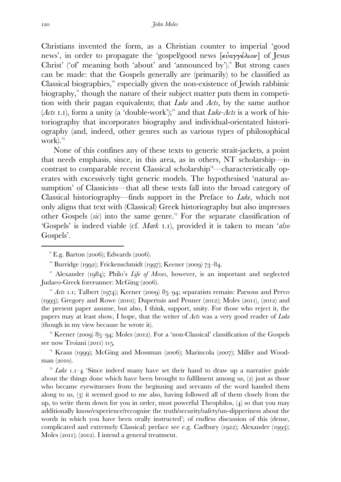Christians invented the form, as a Christian counter to imperial 'good news', in order to propagate the 'gospel/good news [εὐαγγέλιον] of Jesus Christ' ('of' meaning both 'about' and 'announced by'). But strong cases can be made: that the Gospels generally are (primarily) to be classified as Classical biographies,<sup>10</sup> especially given the non-existence of Jewish rabbinic biography," though the nature of their subject matter puts them in competition with their pagan equivalents; that *Luke* and *Acts*, by the same author (*Acts I.I*), form a unity (a 'double-work');<sup>12</sup> and that *Luke-Acts* is a work of historiography that incorporates biography and individual-orientated historiography (and, indeed, other genres such as various types of philosophical work).

 None of this confines any of these texts to generic strait-jackets, a point that needs emphasis, since, in this area, as in others, NT scholarship—in contrast to comparable recent Classical scholarship<sup>14</sup>—characteristically operates with excessively tight generic models. The hypothesised 'natural assumption' of Classicists—that all these texts fall into the broad category of Classical historiography—finds support in the Preface to *Luke*, which not only aligns that text with (Classical) Greek historiography but also impresses other Gospels  $(x\hat{i})$  into the same genre.<sup>15</sup> For the separate classification of 'Gospels' is indeed viable (cf. *Mark 1.1*), provided it is taken to mean '*also* Gospels'.

<sup>13</sup> Keener (2009)  $85-94$ ; Moles (2012). For a 'non-Classical' classification of the Gospels see now Troiani (2011) 115.

<sup>14</sup> Kraus (1999); McGing and Mossman (2006); Marincola (2007); Miller and Woodman (2010).

 $^9$  E.g. Barton (2006); Edwards (2006).

 $\degree$  Burridge (1992); Frickenschmidt (1997); Keener (2009) 73–84.

<sup>&</sup>lt;sup>11</sup> Alexander (1984); Philo's Life of Moses, however, is an important and neglected Judaeo-Greek forerunner: McGing (2006).

<sup>&</sup>lt;sup>12</sup> Acts **1.1**; Talbert (1974); Keener (2009) 85-94; separatists remain: Parsons and Pervo (1993); Gregory and Rowe (2010); Dupertuis and Penner (2012); Moles (2011), (2012) and the present paper assume, but also, I think, support, unity. For those who reject it, the papers may at least show, I hope, that the writer of *Acts* was a very good reader of *Luke*  (though in my view because he wrote it)*.* 

<sup>&</sup>lt;sup>15</sup> *Luke* **1.1–4** 'Since indeed many have set their hand to draw up a narrative guide about the things done which have been brought to fulfilment among us,  $(2)$  just as those who became eyewitnesses from the beginning and servants of the word handed them along to us,  $(3)$  it seemed good to me also, having followed all of them closely from the up, to write them down for you in order, most powerful Theophilos,  $(4)$  so that you may additionally know/experience/recognise the truth/security/safety/un-slipperiness about the words in which you have been orally instructed'; of endless discussion of this (dense, complicated and extremely Classical) preface see e.g. Cadbury  $(1922)$ ; Alexander  $(1993)$ ; Moles  $(2011); (2012)$ . I intend a general treatment.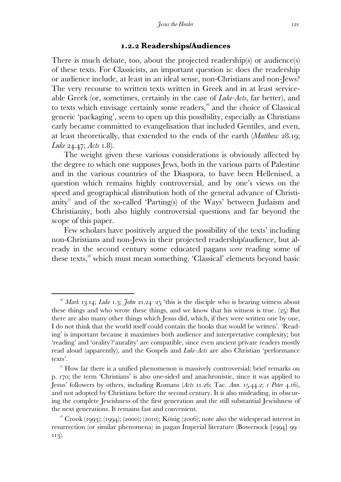#### **.. Readerships/Audiences**

There is much debate, too, about the projected readership(s) or audience(s) of these texts. For Classicists, an important question is: does the readership or audience include, at least in an ideal sense, non-Christians and non-Jews? The very recourse to written texts written in Greek and in at least serviceable Greek (or, sometimes, certainly in the case of *Luke-Acts*, far better), and to texts which envisage certainly some readers, $16$  and the choice of Classical generic 'packaging', seem to open up this possibility, especially as Christians early became committed to evangelisation that included Gentiles, and even, at least theoretically, that extended to the ends of the earth *(Matthew 28.19; Luke* 24.47; *Acts* 1.8).

 The weight given these various considerations is obviously affected by the degree to which one supposes Jews, both in the various parts of Palestine and in the various countries of the Diaspora, to have been Hellenised, a question which remains highly controversial, and by one's views on the speed and geographical distribution both of the general advance of Christianity<sup>"</sup> and of the so-called 'Parting(s) of the Ways' between Judaism and Christianity, both also highly controversial questions and far beyond the scope of this paper.

 Few scholars have positively argued the possibility of the texts' including non-Christians and non-Jews in their projected readership/audience, but already in the second century some educated pagans *were* reading some of these texts, which must mean something. 'Classical' elements beyond basic

<sup>&</sup>lt;sup>16</sup> Mark 13.14; *Luke* 1.3; *John* 21.24–25 'this is the disciple who is bearing witness about these things and who wrote these things, and we know that his witness is true.  $(25)$  But there are also many other things which Jesus did, which, if they were written one by one, I do not think that the world itself could contain the books that would be written'. 'Reading' is important because it maximises both audience and interpretative complexity; but 'reading' and 'orality'/'aurality' are compatible, since even ancient private readers mostly read aloud (apparently), and the Gospels and *Luke-Acts* are also Christian 'performance texts'.

 $\sigma$ <sup>17</sup> How far there is a unified phenomenon is massively controversial; brief remarks on p. 170; the term 'Christians' is also one-sided and anachronistic, since it was applied to Jesus' followers by others, including Romans (*Acts 11.26*; Tac. *Ann. 15.44.2; 1 Peter 4.16*), and not adopted by Christians before the second century. It is also misleading, in obscuring the complete Jewishness of the first generation and the still substantial Jewishness of the next generations. It remains fast and convenient.

 $18$  Crook (1993); (1994); (2000); (2010); König (2006); note also the widespread interest in resurrection (or similar phenomena) in pagan Imperial literature (Bowersock [1994] 99– 113).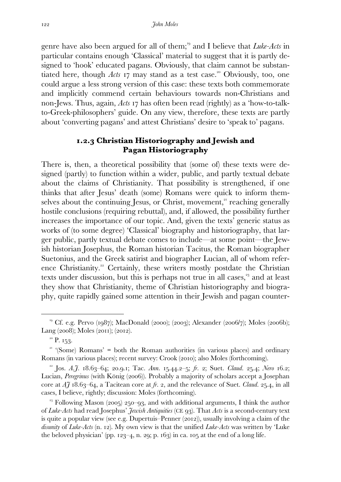genre have also been argued for all of them;<sup>19</sup> and I believe that *Luke-Acts* in particular contains enough 'Classical' material to suggest that it is partly designed to 'hook' educated pagans. Obviously, that claim cannot be substantiated here, though  $Acts$   $\overline{17}$  may stand as a test case.<sup>20</sup> Obviously, too, one could argue a less strong version of this case: these texts both commemorate and implicitly commend certain behaviours towards non-Christians and non-Jews. Thus, again, *Acts* **17** has often been read (rightly) as a 'how-to-talkto-Greek-philosophers' guide. On any view, therefore, these texts are partly about 'converting pagans' and attest Christians' desire to 'speak to' pagans.

## **.. Christian Historiography and Jewish and Pagan Historiography**

There is, then, a theoretical possibility that (some of) these texts were designed (partly) to function within a wider, public, and partly textual debate about the claims of Christianity. That possibility is strengthened, if one thinks that after Jesus' death (some) Romans were quick to inform themselves about the continuing Jesus, or Christ, movement,<sup>21</sup> reaching generally hostile conclusions (requiring rebuttal), and, if allowed, the possibility further increases the importance of our topic. And, given the texts' generic status as works of (to some degree) 'Classical' biography and historiography, that larger public, partly textual debate comes to include—at some point—the Jewish historian Josephus, the Roman historian Tacitus, the Roman biographer Suetonius, and the Greek satirist and biographer Lucian, all of whom reference Christianity.<sup>22</sup> Certainly, these writers mostly postdate the Christian texts under discussion, but this is perhaps not true in all cases,<sup>33</sup> and at least they show that Christianity, theme of Christian historiography and biography, quite rapidly gained some attention in their Jewish and pagan counter-

<sup>&</sup>lt;sup>19</sup> Cf. e.g. Pervo (1987); MacDonald (2000); (2003); Alexander (2006/7); Moles (2006b); Lang (2008); Moles (2011); (2012).

 $^{20}$  P. 153.

 $\gamma$ <sup>21</sup> '(Some) Romans' = both the Roman authorities (in various places) and ordinary Romans (in various places); recent survey: Crook (2010); also Moles (forthcoming).

<sup>&</sup>lt;sup>22</sup> Jos. *A.f.* 18.63–64; 20.9.1; Tac. *Ann.* 15.44.2–5; *fr.* 2; Suet. *Claud.* 25.4; *Nero* 16.2; Lucian, Peregrinus (with König (2006)). Probably a majority of scholars accept a Josephan core at  $\tilde{A}$   $\tilde{J}$  18.63–64, a Tacitean core at  $\tilde{f}$ . 2, and the relevance of Suet. *Claud.* 25.4, in all cases, I believe, rightly; discussion: Moles (forthcoming).

<sup>&</sup>lt;sup>23</sup> Following Mason (2005) 250–93, and with additional arguments, I think the author of *Luke-Acts* had read Josephus' *Jewish Antiquities* (CE 93). That *Acts* is a second-century text is quite a popular view (see e.g. Dupertuis–Penner  $(2012)$ ), usually involving a claim of the *disunity* of *Luke-Acts* (n. 12). My own view is that the unified *Luke-Acts* was written by 'Luke the beloved physician' (pp.  $123-4$ , n. 29; p. 163) in ca. 105 at the end of a long life.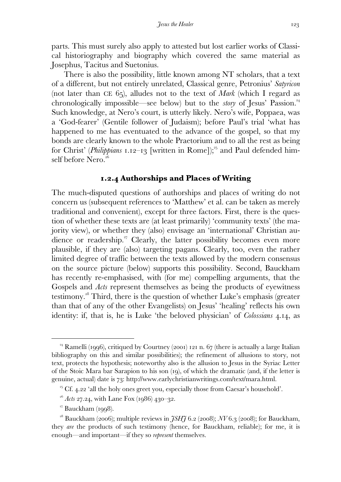parts. This must surely also apply to attested but lost earlier works of Classical historiography and biography which covered the same material as Josephus, Tacitus and Suetonius.

 There is also the possibility, little known among NT scholars, that a text of a different, but not entirely unrelated, Classical genre, Petronius' *Satyricon* (not later than CE  $65$ ), alludes not to the text of *Mark* (which I regard as chronologically impossible—see below) but to the *story* of Jesus' Passion. Such knowledge, at Nero's court, is utterly likely. Nero's wife, Poppaea, was a 'God-fearer' (Gentile follower of Judaism); before Paul's trial 'what has happened to me has eventuated to the advance of the gospel, so that my bonds are clearly known to the whole Praetorium and to all the rest as being for Christ' (*Philippians* 1.12–13 [written in Rome]);<sup>25</sup> and Paul defended himself before Nero.

## **.. Authorships and Places of Writing**

The much-disputed questions of authorships and places of writing do not concern us (subsequent references to 'Matthew' et al. can be taken as merely traditional and convenient), except for three factors. First, there is the question of whether these texts are (at least primarily) 'community texts' (the majority view), or whether they (also) envisage an 'international' Christian audience or readership.<sup>27</sup> Clearly, the latter possibility becomes even more plausible, if they are (also) targeting pagans. Clearly, too, even the rather limited degree of traffic between the texts allowed by the modern consensus on the source picture (below) supports this possibility. Second, Bauckham has recently re-emphasised, with (for me) compelling arguments, that the Gospels and *Acts* represent themselves as being the products of eyewitness testimony. Third, there is the question of whether Luke's emphasis (greater than that of any of the other Evangelists) on Jesus' 'healing' reflects his own identity: if, that is, he is Luke 'the beloved physician' of *Colossians* 4.14, as

<sup>&</sup>lt;sup>24</sup> Ramelli (1996), critiqued by Courtney (2001) 121 n.  $67$  (there is actually a large Italian bibliography on this and similar possibilities); the refinement of allusions to story, not text, protects the hypothesis; noteworthy also is the allusion to Jesus in the Syriac Letter of the Stoic Mara bar Sarapion to his son (19), of which the dramatic (and, if the letter is genuine, actual) date is 73: http://www.earlychristianwritings.com/text/mara.html.

 $25$  Cf. 4.22 'all the holy ones greet you, especially those from Caesar's household'.

 $^{26}$  *Acts 27.24, with Lane Fox (1986) 430-32.* 

 $27$  Bauckham (1998).

<sup>&</sup>lt;sup>28</sup> Bauckham (2006); multiple reviews in  $\tilde{f}SH\tilde{f}$  6.2 (2008);  $\tilde{N}V$  6.3 (2008); for Bauckham, they *are* the products of such testimony (hence, for Bauckham, reliable); for me, it is enough—and important—if they so *represent* themselves.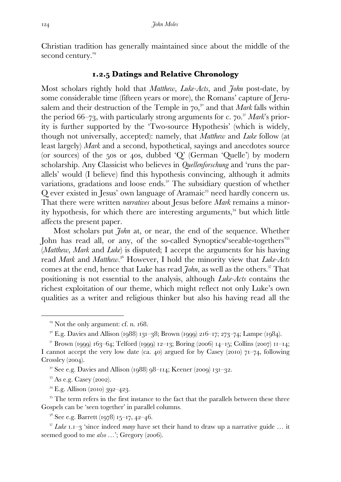Christian tradition has generally maintained since about the middle of the second century.<sup>29</sup>

## **.. Datings and Relative Chronology**

Most scholars rightly hold that *Matthew*, *Luke-Acts*, and *John* post-date, by some considerable time (fifteen years or more), the Romans' capture of Jerusalem and their destruction of the Temple in 70,<sup>30</sup> and that *Mark* falls within the period  $66-73$ , with particularly strong arguments for c.  $70$ .<sup>31</sup> Mark's priority is further supported by the 'Two-source Hypothesis' (which is widely, though not universally, accepted): namely, that *Matthew* and *Luke* follow (at least largely) *Mark* and a second, hypothetical, sayings and anecdotes source (or sources) of the 50s or 40s, dubbed 'Q' (German 'Quelle') by modern scholarship. Any Classicist who believes in *Quellenforschung* and 'runs the parallels' would (I believe) find this hypothesis convincing, although it admits variations, gradations and loose ends.<sup>32</sup> The subsidiary question of whether Q ever existed in Jesus' own language of Aramaic<sup>33</sup> need hardly concern us. That there were written *narratives* about Jesus before *Mark* remains a minority hypothesis, for which there are interesting arguments, $34$  but which little affects the present paper.

 Most scholars put *John* at, or near, the end of the sequence. Whether John has read all, or any, of the so-called Synoptics/'seeable-togethers' (*Matthew, Mark* and *Luke*) is disputed; I accept the arguments for his having read *Mark* and *Matthew*.<sup>36</sup> However, I hold the minority view that *Luke-Acts* comes at the end, hence that Luke has read *John*, as well as the others.<sup>37</sup> That positioning is not essential to the analysis, although *Luke-Acts* contains the richest exploitation of our theme, which might reflect not only Luke's own qualities as a writer and religious thinker but also his having read all the

 $33$  As e.g. Casey (2002).

 $\overline{a}$ 

 $34$  E.g. Allison (2010) 392–423.

<sup>35</sup> The term refers in the first instance to the fact that the parallels between these three Gospels can be 'seen together' in parallel columns.

 $3^6$  See e.g. Barrett (1978) 15–17, 42–46.

<sup>37</sup> *Luke* **1.1**-3 'since indeed *many* have set their hand to draw up a narrative guide ... it seemed good to me *also* ...'; Gregory (2006).

 $29$  Not the only argument: cf. n.  $168$ .

 $^{30}$  E.g. Davies and Allison (1988) 131–38; Brown (1999) 216–17; 273–74; Lampe (1984).

 $31$  Brown (1999) 163–64; Telford (1999) 12–13; Boring (2006) 14–15; Collins (2007) 11–14; I cannot accept the very low date (ca. 40) argued for by Casey (2010)  $71-74$ , following  $Crossley (2004).$ 

 $3^2$  See e.g. Davies and Allison (1988) 98–114; Keener (2009) 131–32.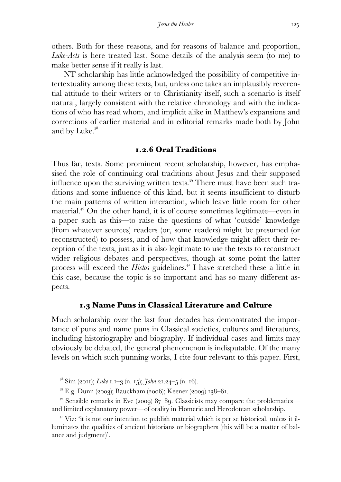others. Both for these reasons, and for reasons of balance and proportion, *Luke-Acts* is here treated last. Some details of the analysis seem (to me) to make better sense if it really is last.

 NT scholarship has little acknowledged the possibility of competitive intertextuality among these texts, but, unless one takes an implausibly reverential attitude to their writers or to Christianity itself, such a scenario is itself natural, largely consistent with the relative chronology and with the indications of who has read whom, and implicit alike in Matthew's expansions and corrections of earlier material and in editorial remarks made both by John and by Luke.

## **.. Oral Traditions**

Thus far, texts. Some prominent recent scholarship, however, has emphasised the role of continuing oral traditions about Jesus and their supposed influence upon the surviving written texts.<sup>39</sup> There must have been such traditions and some influence of this kind, but it seems insufficient to disturb the main patterns of written interaction, which leave little room for other material.<sup>40</sup> On the other hand, it is of course sometimes legitimate—even in a paper such as this—to raise the questions of what 'outside' knowledge (from whatever sources) readers (or, some readers) might be presumed (or reconstructed) to possess, and of how that knowledge might affect their reception of the texts, just as it is also legitimate to use the texts to reconstruct wider religious debates and perspectives, though at some point the latter process will exceed the *Histos* guidelines.<sup>41</sup> I have stretched these a little in this case, because the topic is so important and has so many different aspects.

### **. Name Puns in Classical Literature and Culture**

Much scholarship over the last four decades has demonstrated the importance of puns and name puns in Classical societies, cultures and literatures, including historiography and biography. If individual cases and limits may obviously be debated, the general phenomenon is indisputable. Of the many levels on which such punning works, I cite four relevant to this paper. First,

 $^{38}$  Sim (2011); *Luke* 1.1–3 (n. 15); *John* 21.24–5 (n. 16).

 $^{39}$  E.g. Dunn (2003); Bauckham (2006); Keener (2009) 138–61.

<sup>&</sup>lt;sup>40</sup> Sensible remarks in Eve (2009) 87–89. Classicists may compare the problematics and limited explanatory power—of orality in Homeric and Herodotean scholarship.

Viz: 'it is not our intention to publish material which is per se historical, unless it illuminates the qualities of ancient historians or biographers (this will be a matter of balance and judgment)'.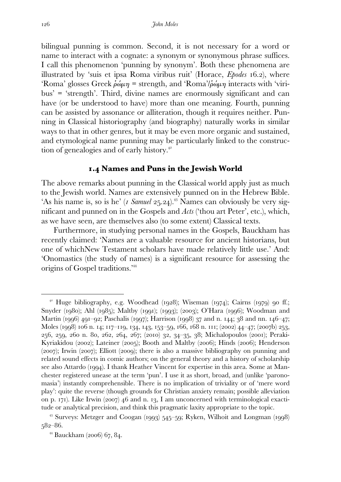bilingual punning is common. Second, it is not necessary for a word or name to interact with a cognate: a synonym or synonymous phrase suffices. I call this phenomenon 'punning by synonym'. Both these phenomena are illustrated by 'suis et ipsa Roma viribus ruit' (Horace, *Epodes* .), where 'Roma' glosses Greek  $\phi \omega \mu \eta$  = strength, and 'Roma'/ $\phi \omega \mu \eta$  interacts with 'viribus' = 'strength'. Third, divine names are enormously significant and can have (or be understood to have) more than one meaning. Fourth, punning can be assisted by assonance or alliteration, though it requires neither. Punning in Classical historiography (and biography) naturally works in similar ways to that in other genres, but it may be even more organic and sustained, and etymological name punning may be particularly linked to the construction of genealogies and of early history.

## **. Names and Puns in the Jewish World**

The above remarks about punning in the Classical world apply just as much to the Jewish world. Names are extensively punned on in the Hebrew Bible. 'As his name is, so is he' (*I Samuel* 25.24).<sup>43</sup> Names can obviously be very significant and punned on in the Gospels and *Acts* ('thou art Peter', etc.), which, as we have seen, are themselves also (to some extent) Classical texts.

 Furthermore, in studying personal names in the Gospels, Bauckham has recently claimed: 'Names are a valuable resource for ancient historians, but one of whichNew Testament scholars have made relatively little use.' And: 'Onomastics (the study of names) is a significant resource for assessing the origins of Gospel traditions.'

<sup>&</sup>lt;sup>42</sup> Huge bibliography, e.g. Woodhead (1928); Wiseman (1974); Cairns (1979) 90 ff.; Snyder (1980); Ahl (1985); Maltby (1991); (1993); (2003); O'Hara (1996); Woodman and Martin (1996) 491–92; Paschalis (1997); Harrison (1998) 37 and n. 144; 38 and nn. 146–47; Moles (1998) 106 n. 14; 117-119, 134, 143, 153-59, 166, 168 n. 111; (2002) 44-47; (2007b) 253, 256, 259, 260 n. 80, 262, 264, 267; (2010) 32, 34-35, 38; Michalopoulos (2001); Peraki-Kyriakidou (2002); Lateiner (2005); Booth and Maltby (2006); Hinds (2006); Henderson  $(2007)$ ; Irwin  $(2007)$ ; Elliott  $(2009)$ ; there is also a massive bibliography on punning and related sound effects in comic authors; on the general theory and a history of scholarship see also Attardo (1994). I thank Heather Vincent for expertise in this area. Some at Manchester registered unease at the term 'pun'. I use it as short, broad, and (unlike 'paronomasia') instantly comprehensible. There is no implication of triviality or of 'mere word play': quite the reverse (though grounds for Christian anxiety remain; possible alleviation on p. 171). Like Irwin  $(2007)$  46 and n. 13, I am unconcerned with terminological exactitude or analytical precision, and think this pragmatic laxity appropriate to the topic.

 $43$  Surveys: Metzger and Coogan (1993) 545-59; Ryken, Wilhoit and Longman (1998)  $582 - 86.$ 

 $44$  Bauckham (2006) 67, 84.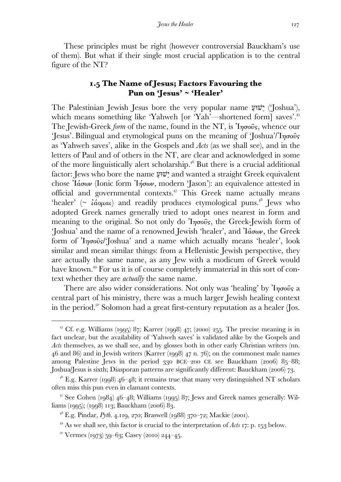These principles must be right (however controversial Bauckham's use of them). But what if their single most crucial application is to the central figure of the NT?

## **. The Name of Jesus; Factors Favouring the Pun on 'Jesus' ~ 'Healer'**

The Palestinian Jewish Jesus bore the very popular name  $\ddot{w}$ '' ('Joshua'), which means something like 'Yahweh [or 'Yah'—shortened form] saves'.<sup>45</sup> The Jewish-Greek *form* of the name, found in the NT, is Ἰησοῦς, whence our 'Jesus'. Bilingual and etymological puns on the meaning of ' $\delta$  'Joshua'/'I $\eta \sigma \tilde{\omega} s$ as 'Yahweh saves', alike in the Gospels and *Acts* (as we shall see), and in the letters of Paul and of others in the NT, are clear and acknowledged in some of the more linguistically alert scholarship.<sup> $46$ </sup> But there is a crucial additional factor: Jews who bore the name ַשׁוּעֵי and wanted a straight Greek equivalent chose Ἰάσων (Ionic form Ἰήσων, modern 'Jason'): an equivalence attested in official and governmental contexts.<sup> $47$ </sup> This Greek name actually means 'healer' ( $\sim$  *iάομαι*) and readily produces etymological puns.<sup>48</sup> Jews who adopted Greek names generally tried to adopt ones nearest in form and meaning to the original. So not only do  $\eta\sigma\tilde{\sigma}$ , the Greek-Jewish form of 'Joshua' and the name of a renowned Jewish 'healer', and Ἰάσων, the Greek form of Ἰησοῦς/'Joshua' and a name which actually means 'healer', look similar and mean similar things: from a Hellenistic Jewish perspective, they are actually the same name, as any Jew with a modicum of Greek would have known.<sup>49</sup> For us it is of course completely immaterial in this sort of context whether they are *actually* the same name.

There are also wider considerations. Not only was 'healing' by 'Iησοῦς a central part of his ministry, there was a much larger Jewish healing context in the period.<sup>50</sup> Solomon had a great first-century reputation as a healer (Jos.

<sup>&</sup>lt;sup>45</sup> Cf. e.g. Williams (1995) 87; Karrer (1998) 47; (2000) 255. The precise meaning is in fact unclear, but the availability of 'Yahweh saves' is validated alike by the Gospels and *Acts* themselves, as we shall see, and by glosses both in other early Christian writers (nn.  $46$  and  $86$ ) and in Jewish writers (Karrer (1998)  $47$  n. 76); on the commonest male names among Palestine Jews in the period  $330$  BCE–200 CE see Bauckham (2006) 85–88; Joshua/Jesus is sixth; Diasporan patterns are significantly different: Bauckham (2006) 73.

<sup>&</sup>lt;sup>46</sup> E.g. Karrer (1998) 46–48; it remains true that many very distinguished NT scholars often miss this pun even in clamant contexts.

<sup>&</sup>lt;sup>47</sup> See Cohen (1984)  $46-48$ ; Williams (1995) 87; Jews and Greek names generally: Williams (1995); (1998) 113; Bauckham (2006) 83.

<sup>&</sup>lt;sup>48</sup> E.g. Pindar, *Pyth.* 4.119, 270; Braswell (1988) 370–72; Mackie (2001).

 $^{49}$  As we shall see, this factor is crucial to the interpretation of *Acts* **17:** p. **153** below.

 $5^{\circ}$  Vermes (1973) 59–63; Casey (2010) 244–45.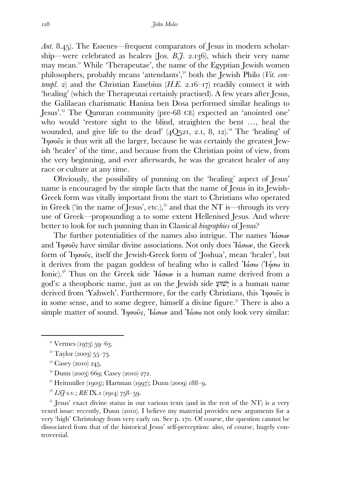*Ant.* 8.45). The Essenes—frequent comparators of Jesus in modern scholarship—were celebrated as healers (Jos. *B.J.* 2.136), which their very name may mean. While 'Therapeutae', the name of the Egyptian Jewish women philosophers, probably means 'attendants',<sup>52</sup> both the Jewish Philo (*Vit. contempl.* 2) and the Christian Eusebius  $(H.E. 2.16-17)$  readily connect it with 'healing' (which the Therapeutai certainly practised). A few years after Jesus, the Galilaean charismatic Hanina ben Dosa performed similar healings to Jesus'.<sup>53</sup> The Qumran community (pre-68 CE) expected an 'anointed one' who would 'restore sight to the blind, straighten the bent …, heal the wounded, and give life to the dead'  $(4Q_{521}, 2.1, 8, 12).$ <sup>54</sup> The 'healing' of  $\gamma_{\eta\sigma\sigma\sigma\sigma}$  is thus writ all the larger, because he was certainly the greatest Jewish 'healer' of the time, and because from the Christian point of view, from the very beginning, and ever afterwards, he was the greatest healer of any race or culture at any time.

 Obviously, the possibility of punning on the 'healing' aspect of Jesus' name is encouraged by the simple facts that the name of Jesus in its Jewish-Greek form was vitally important from the start to Christians who operated in Greek ('in the name of Jesus', etc.),  $55$  and that the NT is—through its very use of Greek—propounding a to some extent Hellenised Jesus. And where better to look for such punning than in Classical *biographies* of Jesus?

The further potentialities of the names also intrigue. The names  $\partial \alpha \delta \omega$ and  $\eta_{\sigma\sigma\sigma\sigma}$  have similar divine associations. Not only does  $\eta_{\sigma\sigma\sigma}$ , the Greek form of Ἰησοῦς, itself the Jewish-Greek form of 'Joshua', mean 'healer', but it derives from the pagan goddess of healing who is called  $\eta'$ ιάσω (Ίήσω in Ionic).<sup>56</sup> Thus on the Greek side  $I$ άσων is a human name derived from a god's: a theophoric name, just as on the Jewish side ַשׁוּעֵי is a human name derived from 'Yahweh'. Furthermore, for the early Christians, this  $\eta\sigma_0\hat{\sigma}_s$  is in some sense, and to some degree, himself a divine figure.<sup>57</sup> There is also a simple matter of sound. In  $\sigma$ οῦς, Ιάσων and Ιάσω not only look very similar:

 $\overline{a}$ 

- $54$  Dunn (2003) 669; Casey (2010) 272.
- $^{55}$  Heitmüller (1903); Hartman (1997); Dunn (2009) 188–9.
- $^{56}$  *LS* $\rm{7}$  s.v.; *RE* IX.<sub>I</sub> (1914)  $758-59$ .

 $\frac{57}{10}$  Jesus' exact divine status in our various texts (and in the rest of the NT) is a very vexed issue: recently,  $D$ unn (2010). I believe my material provides new arguments for a very 'high' Christology from very early on. See p. . Of course, the question cannot be dissociated from that of the historical Jesus' self-perception: also, of course, hugely controversial.

 $5^1$  Vermes (1973) 59–63.

 $5^{\circ}$  Taylor (2003) 55–73.

 $53$  Casey (2010) 245.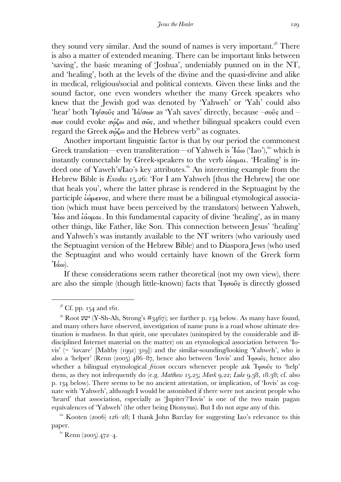they sound very similar. And the sound of names is very important.<sup>58</sup> There is also a matter of extended meaning. There can be important links between 'saving', the basic meaning of 'Joshua', undeniably punned on in the NT, and 'healing', both at the levels of the divine and the quasi-divine and alike in medical, religious/social and political contexts. Given these links and the sound factor, one even wonders whether the many Greek speakers who knew that the Jewish god was denoted by 'Yahweh' or 'Yah' could also 'hear' both  $I_{\eta}/\sigma$ οῦς and  $I_{\alpha}/\sigma_{\omega}$  as 'Yah saves' directly, because  $-\sigma$ οῦς and  $-\sigma$ σων could evoke σῴζω and σῶς, and whether bilingual speakers could even regard the Greek σώζω and the Hebrew verb<sup>59</sup> as cognates.

 Another important linguistic factor is that by our period the commonest Greek translation—even transliteration—of Yahweh is  $\alpha$  ('Iao'), which is instantly connectable by Greek-speakers to the verb ἰάοµαι. 'Healing' is indeed one of Yaweh's/Iao's key attributes.<sup>61</sup> An interesting example from the Hebrew Bible is *Exodus* 15.26: 'For I am Yahweh [thus the Hebrew] the one that heals you', where the latter phrase is rendered in the Septuagint by the participle  $\hat{i}\omega\mu\epsilon\nu\sigma s$ , and where there must be a bilingual etymological association (which must have been perceived by the translators) between Yahweh, Ἰάω and ἰάοµαι. In this fundamental capacity of divine 'healing', as in many other things, like Father, like Son. This connection between Jesus' 'healing' and Yahweh's was instantly available to the NT writers (who variously used the Septuagint version of the Hebrew Bible) and to Diaspora Jews (who used the Septuagint and who would certainly have known of the Greek form  $\mathcal{I}(\alpha\omega)$ .

 If these considerations seem rather theoretical (not my own view), there are also the simple (though little-known) facts that  $\eta \sigma \hat{\sigma}$  is directly glossed

 $\overline{a}$ 

 $6I$  Renn (2005) 472–4.

 $5^8$  Cf. pp. 154 and 161.

<sup>&</sup>lt;sup>59</sup> Root ישע) (Y-Sh-Ah, Strong's #3467); see further p. 134 below. As many have found, and many others have observed, investigation of name puns is a road whose ultimate destination is madness. In that spirit, one speculates (uninspired by the considerable and illdisciplined Internet material on the matter) on an etymological association between 'Iovis' ( $\sim$  'iuvare' [Maltby (1991) 319]) and the similar-sounding/looking 'Yahweh', who is also a 'helper' (Renn (2005) 486–87, hence also between 'Iovis' and  $\eta \sigma \tilde{\sigma} s$ , hence also whether a bilingual etymological *frisson* occurs whenever people ask  $\eta_{\sigma}$  to 'help' them, as they not infrequently do (e.g. *Matthew*  $_{15.25}$ ; *Mark*  $_{9.22}$ ; *Luke*  $_{9.38}$ ,  $_{18.38}$ ; cf. also p. 134 below). There seems to be no ancient attestation, or implication, of 'Iovis' as cognate with 'Yahweh', although I would be astonished if there were not ancient people who 'heard' that association, especially as 'Jupiter'/'Iovis' is one of the two main pagan equivalences of 'Yahweh' (the other being Dionysus). But I do not *argue* any of this.

 $\frac{60}{2006}$  Kooten (2006) 126–28; I thank John Barclay for suggesting Iao's relevance to this paper.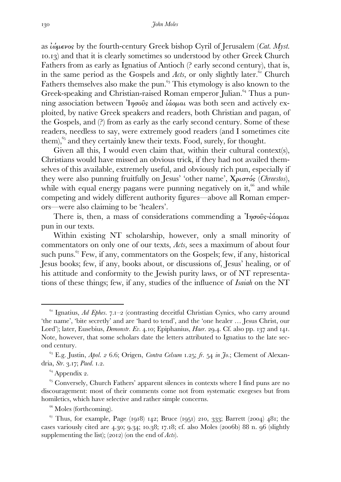as ἰώµενος by the fourth-century Greek bishop Cyril of Jerusalem (*Cat. Myst.* .) and that it is clearly sometimes so understood by other Greek Church Fathers from as early as Ignatius of Antioch (? early second century), that is, in the same period as the Gospels and  $Acts$ , or only slightly later.<sup> $62$ </sup> Church Fathers themselves also make the pun.  $63$  This etymology is also known to the Greek-speaking and Christian-raised Roman emperor Julian.<sup>64</sup> Thus a punning association between  $\eta_{\sigma\sigma\sigma\sigma}$  and  $\eta_{\sigma\sigma\sigma\sigma}$  and  $\eta_{\sigma\sigma\sigma}$  and actively exploited, by native Greek speakers and readers, both Christian and pagan, of the Gospels, and (?) from as early as the early second century. Some of these readers, needless to say, were extremely good readers (and I sometimes cite them),  $65$  and they certainly knew their texts. Food, surely, for thought.

Given all this, I would even claim that, within their cultural contexts), Christians would have missed an obvious trick, if they had not availed themselves of this available, extremely useful, and obviously rich pun, especially if they were also punning fruitfully on Jesus' 'other name', Χριστός (*Chreestos*), while with equal energy pagans were punning negatively on it,  $\frac{66}{3}$  and while competing and widely different authority figures—above all Roman emperors—were also claiming to be 'healers'.

There is, then, a mass of considerations commending a  $\eta \sigma \tilde{\omega} s - i \dot{\alpha} \rho \mu a \nu$ pun in our texts.

 Within existing NT scholarship, however, only a small minority of commentators on only one of our texts, *Acts*, sees a maximum of about four such puns.  $67$  Few, if any, commentators on the Gospels; few, if any, historical Jesus books; few, if any, books about, or discussions of, Jesus' healing, or of his attitude and conformity to the Jewish purity laws, or of NT representations of these things; few, if any, studies of the influence of *Isaiah* on the NT

<sup>&</sup>lt;sup>62</sup> Ignatius, *Ad Ephes.* 7.1-2 (contrasting deceitful Christian Cynics, who carry around 'the name', 'bite secretly' and are 'hard to tend', and the 'one healer … Jesus Christ, our Lord'); later, Eusebius, *Demonstr. Ev.* 4.10; Epiphanius, *Haer.* 29.4. Cf. also pp. 137 and 141. Note, however, that some scholars date the letters attributed to Ignatius to the late second century.

<sup>&</sup>lt;sup>63</sup> E.g. Justin, *Apol. 2* 6.6; Origen, *Contra Celsum* 1.25; *fr.* 54 in Jo.; Clement of Alexandria, Str. 3.17; Paed. 1.2.

 $64$  Appendix 2.

 $\frac{65}{5}$  Conversely, Church Fathers' apparent silences in contexts where I find puns are no discouragement: most of their comments come not from systematic exegeses but from homiletics, which have selective and rather simple concerns.

<sup>&</sup>lt;sup>66</sup> Moles (forthcoming).

 $\frac{67}{7}$  Thus, for example, Page (1918) 142; Bruce (1951) 210, 333; Barrett (2004) 481; the cases variously cited are  $4.30$ ;  $9.34$ ;  $10.38$ ;  $17.18$ ; cf. also Moles (2006b) 88 n.  $96$  (slightly supplementing the list);  $(2012)$  (on the end of *Acts*).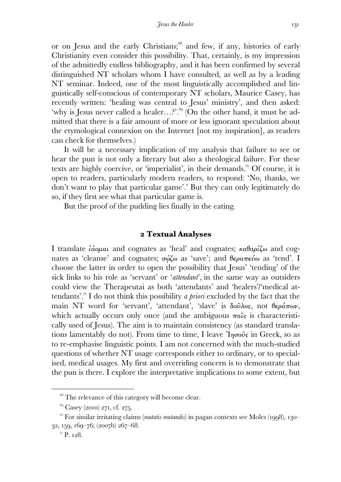or on Jesus and the early Christians; $\mathscr{S}$  and few, if any, histories of early Christianity even consider this possibility. That, certainly, is my impression of the admittedly endless bibliography, and it has been confirmed by several distinguished NT scholars whom I have consulted, as well as by a leading NT seminar. Indeed, one of the most linguistically accomplished and linguistically self-conscious of contemporary NT scholars, Maurice Casey, has recently written: 'healing was central to Jesus' ministry', and then asked: 'why is Jesus never called a healer...?'.<sup>69</sup> (On the other hand, it must be admitted that there is a fair amount of more or less ignorant speculation about the etymological connexion on the Internet [not my inspiration], as readers can check for themselves.)

 It will be a necessary implication of my analysis that failure to see or hear the pun is not only a literary but also a theological failure. For these texts are highly coercive, or 'imperialist', in their demands.<sup>70</sup> Of course, it is open to readers, particularly modern readers, to respond: 'No, thanks, we don't want to play that particular game'.' But they can only legitimately do so, if they first see what that particular game is.

But the proof of the pudding lies finally in the eating.

## **Textual Analyses**

I translate ἰάοµαι and cognates as 'heal' and cognates; καθαρίζω and cognates as 'cleanse' and cognates;  $\sigma \omega \zeta \omega$  as 'save'; and  $\theta \epsilon \rho \omega \pi \epsilon \omega \omega$  as 'tend'. I choose the latter in order to open the possibility that Jesus' 'tending' of the sick links to his role as 'servant' or '*attendant*', in the same way as outsiders could view the Therapeutai as both 'attendants' and 'healers'/'medical attendants'. I do not think this possibility *a priori* excluded by the fact that the main NT word for 'servant', 'attendant', 'slave' is δοῦλος, not θεράπων, which actually occurs only once (and the ambiguous  $\pi a\hat{\imath}_s$  is characteristically used of Jesus). The aim is to maintain consistency (as standard translations lamentably do not). From time to time, I leave  $\eta \sigma \tilde{\omega}$  in Greek, so as to re-emphasise linguistic points. I am not concerned with the much-studied questions of whether NT usage corresponds either to ordinary, or to specialised, medical usages. My first and overriding concern is to demonstrate that the pun is there. I explore the interpretative implications to some extent, but

<sup>&</sup>lt;sup>68</sup> The relevance of this category will become clear.

 $^{69}$  Casey (2010) 271, cf. 275.

 $\frac{70}{10}$  For similar irritating claims *(mutatis mutandis)* in pagan contexts see Moles (1998), 130–  $32, 159, 169 - 76$ ; (2007b) 267-68.

 $7$ <sup>1</sup> P. 128.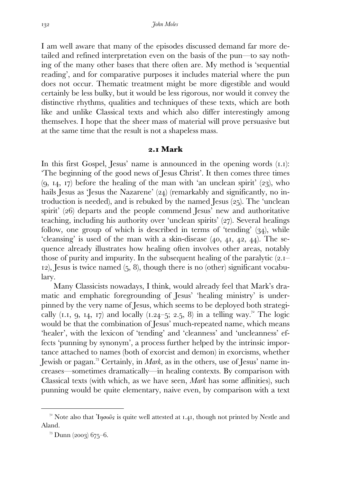I am well aware that many of the episodes discussed demand far more detailed and refined interpretation even on the basis of the pun—to say nothing of the many other bases that there often are. My method is 'sequential reading', and for comparative purposes it includes material where the pun does not occur. Thematic treatment might be more digestible and would certainly be less bulky, but it would be less rigorous, nor would it convey the distinctive rhythms, qualities and techniques of these texts, which are both like and unlike Classical texts and which also differ interestingly among themselves. I hope that the sheer mass of material will prove persuasive but at the same time that the result is not a shapeless mass.

### **. Mark**

In this first Gospel, Jesus' name is announced in the opening words (I.I): 'The beginning of the good news of Jesus Christ'. It then comes three times  $(9, 14, 17)$  before the healing of the man with 'an unclean spirit'  $(23)$ , who hails Jesus as 'Jesus the Nazarene'  $(24)$  (remarkably and significantly, no introduction is needed), and is rebuked by the named Jesus  $(25)$ . The 'unclean spirit'  $(26)$  departs and the people commend Jesus' new and authoritative teaching, including his authority over 'unclean spirits'  $(27)$ . Several healings follow, one group of which is described in terms of 'tending'  $(34)$ , while 'cleansing' is used of the man with a skin-disease  $(40, 41, 42, 44)$ . The sequence already illustrates how healing often involves other areas, notably those of purity and impurity. In the subsequent healing of the paralytic  $(2.1 \alpha$ ), Jesus is twice named (5, 8), though there is no (other) significant vocabulary.

 Many Classicists nowadays, I think, would already feel that Mark's dramatic and emphatic foregrounding of Jesus' 'healing ministry' is underpinned by the very name of Jesus, which seems to be deployed both strategically (1.1, 9, 14, 17) and locally (1.24–5; 2.5, 8) in a telling way.<sup>72</sup> The logic would be that the combination of Jesus' much-repeated name, which means 'healer', with the lexicon of 'tending' and 'cleanness' and 'uncleanness' effects 'punning by synonym', a process further helped by the intrinsic importance attached to names (both of exorcist and demon) in exorcisms, whether Jewish or pagan.<sup>73</sup> Certainly, in *Mark*, as in the others, use of Jesus' name increases—sometimes dramatically—in healing contexts. By comparison with Classical texts (with which, as we have seen, *Mark* has some affinities), such punning would be quite elementary, naive even, by comparison with a text

<sup>&</sup>lt;sup>72</sup> Note also that <sup>'</sup>Inoo<sub>0</sub>'s is quite well attested at 1.41, though not printed by Nestle and Aland.

 $^{73}$  Dunn (2003) 675–6.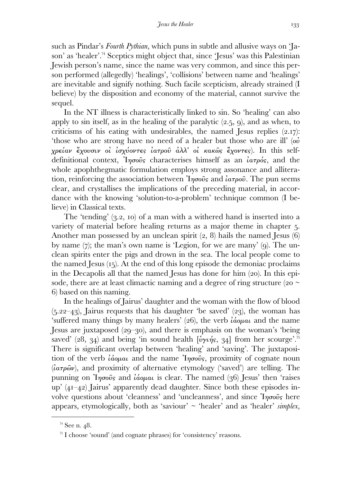such as Pindar's *Fourth Pythian,* which puns in subtle and allusive ways on 'Jason' as 'healer'.<sup>74</sup> Sceptics might object that, since 'Jesus' was this Palestinian Jewish person's name, since the name was very common, and since this person performed (allegedly) 'healings', 'collisions' between name and 'healings' are inevitable and signify nothing. Such facile scepticism, already strained (I believe) by the disposition and economy of the material, cannot survive the sequel.

 In the NT illness is characteristically linked to sin. So 'healing' can also apply to sin itself, as in the healing of the paralytic  $(2.5, 9)$ , and as when, to criticisms of his eating with undesirables, the named Jesus replies  $(2.17)$ : 'those who are strong have no need of a healer but those who are ill'  $\omega$ ' χρείαν ἔχουσιν οἱ ἰσχύοντες ἰατροῦ ἀλλ' οἱ κακῶς ἔχοντες). In this selfdefinitional context,  $\eta_{\sigma}$   $\sigma_{\sigma}$  characterises himself as an  $\alpha_{\sigma}$   $\sigma_{\sigma}$  and the whole apophthegmatic formulation employs strong assonance and alliteration, reinforcing the association between  $\eta_{\sigma\sigma\sigma\sigma}$  and  $\lambda_{\sigma\sigma\sigma\sigma\sigma}$ . The pun seems clear, and crystallises the implications of the preceding material, in accordance with the knowing 'solution-to-a-problem' technique common (I believe) in Classical texts.

The 'tending'  $(3.2, 10)$  of a man with a withered hand is inserted into a variety of material before healing returns as a major theme in chapter 5. Another man possessed by an unclean spirit  $(2, 8)$  hails the named Jesus  $(6)$ by name  $(7)$ ; the man's own name is 'Legion, for we are many'  $(q)$ . The unclean spirits enter the pigs and drown in the sea. The local people come to the named Jesus  $(I_5)$ . At the end of this long episode the demoniac proclaims in the Decapolis all that the named Jesus has done for him  $(20)$ . In this episode, there are at least climactic naming and a degree of ring structure (20  $\sim$ ) based on this naming.

 In the healings of Jairus' daughter and the woman with the flow of blood  $(5.22-43)$ , Jairus requests that his daughter 'be saved'  $(23)$ , the woman has 'suffered many things by many healers' (26), the verb  $\hat{i}$ ασ $\mu$ αι and the name Jesus are juxtaposed  $(29-30)$ , and there is emphasis on the woman's 'being saved' (28, 34) and being 'in sound health [ $\psi \psi \eta$ 's, 34] from her scourge'.<sup>75</sup> There is significant overlap between 'healing' and 'saving'. The juxtaposition of the verb *ίάομαι* and the name  $\eta \sigma \tilde{\sigma} s$ , proximity of cognate noun  $(i\alpha\tau\rho\hat{\omega}\nu)$ , and proximity of alternative etymology ('saved') are telling. The punning on Iησοῦς and ιάομαι is clear. The named  $(36)$  Jesus' then 'raises up'  $(4I-42)$  Jairus' apparently dead daughter. Since both these episodes involve questions about 'cleanness' and 'uncleanness', and since Ἰησοῦς here appears, etymologically, both as 'saviour' ~ 'healer' and as 'healer' *simplex*,

 $74$  See n. 48.

 $\frac{1}{2}$  I choose 'sound' (and cognate phrases) for 'consistency' reasons.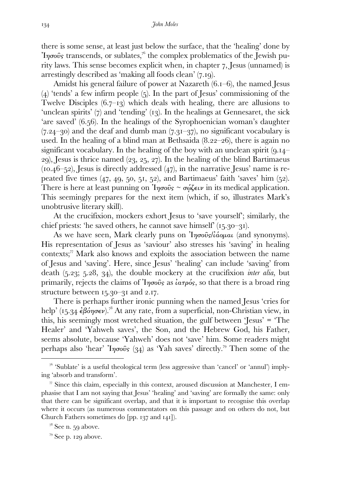there is some sense, at least just below the surface, that the 'healing' done by  $\text{Y}_{\text{two}}$  transcends, or sublates,<sup>76</sup> the complex problematics of the Jewish purity laws. This sense becomes explicit when, in chapter 7, Jesus (unnamed) is arrestingly described as 'making all foods clean'  $(7.19)$ .

Amidst his general failure of power at Nazareth  $(6.1-6)$ , the named Jesus  $(4)$  'tends' a few infirm people  $(5)$ . In the part of Jesus' commissioning of the Twelve Disciples  $(6.7-13)$  which deals with healing, there are allusions to 'unclean spirits'  $(7)$  and 'tending'  $(13)$ . In the healings at Gennesaret, the sick 'are saved'  $(6.56)$ . In the healings of the Syrophoenician woman's daughter  $(7.24-30)$  and the deaf and dumb man  $(7.31-37)$ , no significant vocabulary is used. In the healing of a blind man at Bethsaida  $(8.22-26)$ , there is again no significant vocabulary. In the healing of the boy with an unclean spirit  $(q.u-$ 29), Jesus is thrice named  $(23, 25, 27)$ . In the healing of the blind Bartimaeus (10.46–52), Jesus is directly addressed  $(47)$ , in the narrative Jesus' name is repeated five times  $(47, 49, 50, 51, 52)$ , and Bartimaeus' faith 'saves' him  $(52)$ . There is here at least punning on  $\eta \sigma \omega$ <sub>*s*</sub>  $\sim \sigma \omega \zeta \epsilon \nu$  in its medical application. This seemingly prepares for the next item (which, if so, illustrates Mark's unobtrusive literary skill).

 At the crucifixion, mockers exhort Jesus to 'save yourself'; similarly, the chief priests: 'he saved others, he cannot save himself'  $(15.30-31)$ .

As we have seen, Mark clearly puns on  $\eta \sigma \tilde{\nu} s \tilde{\mu} \tilde{\sigma} \tilde{\nu} \mu \tilde{\sigma} \mu$  (and synonyms). His representation of Jesus as 'saviour' also stresses his 'saving' in healing contexts; $\mathbb{Z}$ <sup>7</sup> Mark also knows and exploits the association between the name of Jesus and 'saving'. Here, since Jesus' 'healing' can include 'saving' from death  $(5.23; 5.28, 34)$ , the double mockery at the crucifixion *inter alia*, but primarily, rejects the claims of  $\eta\sigma\hat{o}$  as  $\hat{i}a\tau\rho\hat{o}$ , so that there is a broad ring structure between  $15.30 - 31$  and  $2.17$ .

 There is perhaps further ironic punning when the named Jesus 'cries for help' (15.34  $\epsilon \beta \omega \eta \sigma \epsilon \nu$ ).<sup>78</sup> At any rate, from a superficial, non-Christian view, in this, his seemingly most wretched situation, the gulf between 'Jesus' = 'The Healer' and 'Yahweh saves', the Son, and the Hebrew God, his Father, seems absolute, because 'Yahweh' does not 'save' him. Some readers might perhaps also 'hear' <sup>'</sup> $1\eta\sigma o\hat{v}$ s (34) as 'Yah saves' directly.<sup>79</sup> Then some of the

 $\frac{1}{10}$  'Sublate' is a useful theological term (less aggressive than 'cancel' or 'annul') implying 'absorb and transform'.

 $\pi$  Since this claim, especially in this context, aroused discussion at Manchester, I emphasise that I am not saying that Jesus' 'healing' and 'saving' are formally the same: only that there can be significant overlap, and that it is important to recognise this overlap where it occurs (as numerous commentators on this passage and on others do not, but Church Fathers sometimes do  $[pp. 137$  and  $141$ ].

 $7^8$  See n.  $59$  above.

 $79$  See p. 129 above.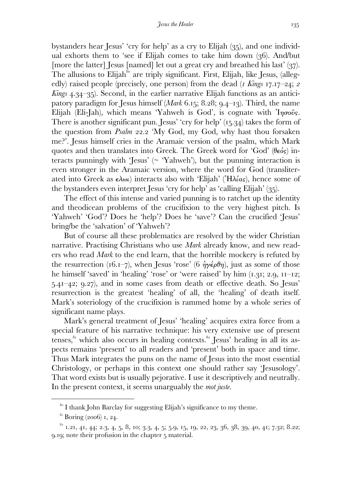bystanders hear Jesus' 'cry for help' as a cry to Elijah  $(35)$ , and one individual exhorts them to 'see if Elijah comes to take him down  $(36)$ . And/but [more the latter] Jesus [named] let out a great cry and breathed his last'  $(37)$ . The allusions to Elijah<sup>80</sup> are triply significant. First, Elijah, like Jesus, (allegedly) raised people (precisely, one person) from the dead (*I Kings 17.17–24; 2 Kings 4.34–35*). Second, in the earlier narrative Elijah functions as an anticipatory paradigm for Jesus himself (*Mark* 6.15; 8.28;  $9.4$ –13). Third, the name Elijah (Eli-Jah), which means 'Yahweh is God', is cognate with  $\eta_{\sigma}$  'I $\eta_{\sigma}$ There is another significant pun. Jesus' 'cry for help'  $(I_5, 34)$  takes the form of the question from *Psalm* 22.2 'My God, my God, why hast thou forsaken me?'. Jesus himself cries in the Aramaic version of the psalm, which Mark quotes and then translates into Greek. The Greek word for 'God' (θεός) interacts punningly with 'Jesus' ( $\sim$  'Yahweh'), but the punning interaction is even stronger in the Aramaic version, where the word for God (transliterated into Greek as  $\epsilon \lambda \omega \iota$ ) interacts also with 'Elijah' ('H $\lambda \iota \alpha s$ ), hence some of the bystanders even interpret Jesus 'cry for help' as 'calling Elijah'  $(35)$ .

 The effect of this intense and varied punning is to ratchet up the identity and theodicean problems of the crucifixion to the very highest pitch. Is 'Yahweh' 'God'? Does he 'help'? Does he 'save'? Can the crucified 'Jesus' bring/be the 'salvation' of 'Yahweh'?

 But of course all these problematics are resolved by the wider Christian narrative. Practising Christians who use *Mark* already know, and new readers who read *Mark* to the end learn, that the horrible mockery is refuted by the resurrection (16.1–7), when Jesus 'rose' (6  $\eta y \epsilon \theta \eta$ ), just as some of those he himself 'saved' in 'healing' 'rose' or 'were raised' by him  $(1, 31, 2.9, 11-12)$ ;  $5.41 - 42$ ;  $9.27$ , and in some cases from death or effective death. So Jesus' resurrection is the greatest 'healing' of all, the 'healing' of death itself. Mark's soteriology of the crucifixion is rammed home by a whole series of significant name plays.

 Mark's general treatment of Jesus' 'healing' acquires extra force from a special feature of his narrative technique: his very extensive use of present tenses,<sup>81</sup> which also occurs in healing contexts.<sup>82</sup> Jesus' healing in all its aspects remains 'present' to all readers and 'present' both in space and time. Thus Mark integrates the puns on the name of Jesus into the most essential Christology, or perhaps in this context one should rather say 'Jesusology'. That word exists but is usually pejorative. I use it descriptively and neutrally. In the present context, it seems unarguably the *mot juste.* 

<sup>&</sup>lt;sup>80</sup> I thank John Barclay for suggesting Elijah's significance to my theme.

 $81$  Boring (2006) 1, 24.

 $32$  1.21, 41, 44; 2.3, 4, 5, 8, 10; 3.3, 4, 5; 5.9, 15, 19, 22, 23, 36, 38, 39, 40, 41; 7.32; 8.22; 9.19; note their profusion in the chapter 5 material.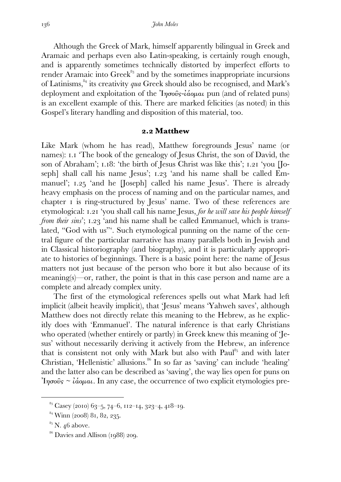Although the Greek of Mark, himself apparently bilingual in Greek and Aramaic and perhaps even also Latin-speaking, is certainly rough enough, and is apparently sometimes technically distorted by imperfect efforts to render Aramaic into  $Greek^{\delta_3}$  and by the sometimes inappropriate incursions of Latinisms,<sup>84</sup> its creativity *qua* Greek should also be recognised, and Mark's deployment and exploitation of the  $\eta \sigma \tilde{\nu}$ <sub>2</sub> *ιάρμαι* pun (and of related puns) is an excellent example of this. There are marked felicities (as noted) in this Gospel's literary handling and disposition of this material, too.

#### **. Matthew**

Like Mark (whom he has read), Matthew foregrounds Jesus' name (or names): I.I The book of the genealogy of Jesus Christ, the son of David, the son of Abraham'; 1.18: 'the birth of Jesus Christ was like this'; 1.21 'you [Joseph] shall call his name Jesus'; 1.23 'and his name shall be called Emmanuel';  $1.25$  'and he [Joseph] called his name Jesus'. There is already heavy emphasis on the process of naming and on the particular names, and chapter is ring-structured by Jesus' name. Two of these references are etymological: . 'you shall call his name Jesus, *for he will save his people himself from their sins*'; 1.23 'and his name shall be called Emmanuel, which is translated, "God with us"'. Such etymological punning on the name of the central figure of the particular narrative has many parallels both in Jewish and in Classical historiography (and biography), and it is particularly appropriate to histories of beginnings. There is a basic point here: the name of Jesus matters not just because of the person who bore it but also because of its meaning(s)—or, rather, the point is that in this case person and name are a complete and already complex unity.

 The first of the etymological references spells out what Mark had left implicit (albeit heavily implicit), that 'Jesus' means 'Yahweh saves', although Matthew does not directly relate this meaning to the Hebrew, as he explicitly does with 'Emmanuel'. The natural inference is that early Christians who operated (whether entirely or partly) in Greek knew this meaning of 'Jesus' without necessarily deriving it actively from the Hebrew, an inference that is consistent not only with Mark but also with Paul<sup>85</sup> and with later Christian, 'Hellenistic' allusions.<sup>86</sup> In so far as 'saving' can include 'healing' and the latter also can be described as 'saving', the way lies open for puns on  $\gamma$ <sup>'</sup> $\gamma$ <sub>σ</sub>σοῦς ~ *ἰάομαι*. In any case, the occurrence of two explicit etymologies pre-

 $^{83}$  Casey (2010) 63-5, 74-6, 112-14, 323-4, 418-19.

 $34$  Winn (2008) 81, 82, 235.

 $85$  N. 46 above.

 $86$  Davies and Allison (1988) 209.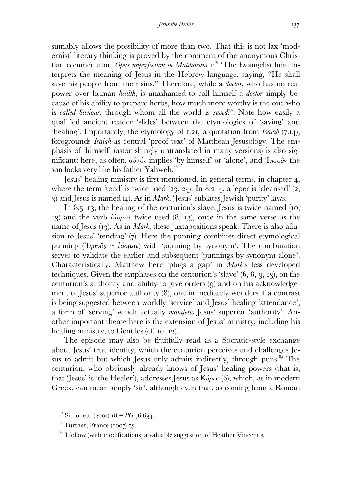sumably allows the possibility of more than two. That this is not lax 'modernist' literary thinking is proved by the comment of the anonymous Christian commentator, *Opus imperfectum in Matthaeum* 1:<sup>87</sup> 'The Evangelist here interprets the meaning of Jesus in the Hebrew language, saying, "He shall save his people from their sins." Therefore, while a *doctor*, who has no real power over human *health*, is unashamed to call himself a *doctor* simply because of his ability to prepare herbs, how much more worthy is the one who is *called Saviour*, through whom all the world is *saved*?'. Note how easily a qualified ancient reader 'slides' between the etymologies of 'saving' and 'healing'. Importantly, the etymology of 1.21, a quotation from *Isaiah* (7.14), foregrounds *Isaiah* as central 'proof text' of Matthean Jesusology. The emphasis of 'himself' (astonishingly untranslated in many versions) is also significant: here, as often,  $a\dot{v}\dot{\tau}\dot{\omega}$  implies 'by himself' or 'alone', and 'I $\eta\sigma\dot{\omega}$  the son looks very like his father Yahweh.

Jesus' healing ministry is first mentioned, in general terms, in chapter 4. where the term 'tend' is twice used  $(23, 24)$ . In 8.2–4, a leper is 'cleansed'  $(2, 1)$  $\alpha$ ) and Jesus is named (4). As in *Mark*, 'Jesus' sublates Jewish 'purity' laws.

In 8.5–13, the healing of the centurion's slave, Jesus is twice named (10, 13) and the verb  $\hat{i}$ ασμαι twice used  $(8, 13)$ , once in the same verse as the name of Jesus (13). As in *Mark*, these juxtapositions speak. There is also allusion to Jesus' 'tending'  $(7)$ . Here the punning combines direct etymological punning (Ἰησοῦς ~ ἰάομαι) with 'punning by synonym'. The combination serves to validate the earlier and subsequent 'punnings by synonym alone'. Characteristically, Matthew here 'plugs a gap' in *Mark*'s less developed techniques. Given the emphases on the centurion's 'slave'  $(6, 8, 9, 13)$ , on the centurion's authority and ability to give orders (q) and on his acknowledgement of Jesus' superior authority (8), one immediately wonders if a contrast is being suggested between worldly 'service' and Jesus' healing 'attendance', a form of 'serving' which actually *manifests* Jesus' superior 'authority'. Another important theme here is the extension of Jesus' ministry, including his healing ministry, to Gentiles (cf.  $10^{-12}$ ).

 The episode may also be fruitfully read as a Socratic-style exchange about Jesus' true identity, which the centurion perceives and challenges Jesus to admit but which Jesus only admits indirectly, through puns.<sup>89</sup> The centurion, who obviously already knows of Jesus' healing powers (that is, that 'Jesus' is 'the Healer'), addresses Jesus as  $K\acute{\nu}$ ριε (6), which, as in modern Greek, can mean simply 'sir', although even that, as coming from a Roman

 $^{87}$  Simonetti (2001)  $18 = PG$   $56.634$ .

 $^{88}$  Further, France (2007) 53.

 $89$  I follow (with modifications) a valuable suggestion of Heather Vincent's.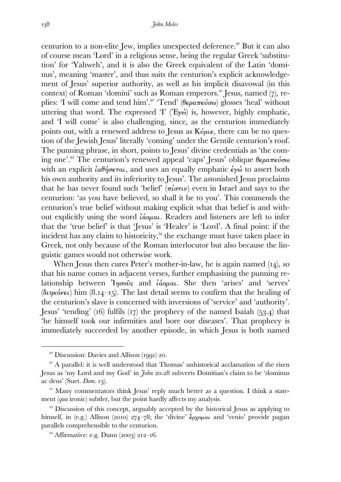centurion to a non-elite Jew, implies unexpected deference.<sup>90</sup> But it can also of course mean 'Lord' in a religious sense, being the regular Greek 'substitution' for 'Yahweh', and it is also the Greek equivalent of the Latin 'dominus', meaning 'master', and thus suits the centurion's explicit acknowledgement of Jesus' superior authority, as well as his implicit disavowal (in this context) of Roman 'domini' such as Roman emperors.  $\mathbb{S}^{1}$  Jesus, named (7), replies: 'I will come and tend him'.<sup>32</sup> 'Tend' (θεραπεύσω) glosses 'heal' without uttering that word. The expressed ' $I'$  ('E $\nu \omega$ ) is, however, highly emphatic, and 'I will come' is also challenging, since, as the centurion immediately points out, with a renewed address to Jesus as  $K\acute{\nu}\rho\epsilon$ , there can be no question of the Jewish Jesus' literally 'coming' under the Gentile centurion's roof. The punning phrase, in short, points to Jesus' divine credentials as 'the coming one'.<sup>93</sup> The centurion's renewed appeal 'caps' Jesus' oblique θεραπεύσω with an explicit  $i\alpha\theta\eta\sigma\epsilon\tau\alpha\iota$ , and uses an equally emphatic  $\epsilon\gamma\omega$  to assert both his own authority and its inferiority to Jesus'. The astonished Jesus proclaims that he has never found such 'belief'  $(\pi i \sigma \tau \nu)$  even in Israel and says to the centurion: 'as you have believed, so shall it be to you'. This commends the centurion's true belief without making explicit what that belief is and without explicitly using the word ἰάοµαι. Readers and listeners are left to infer that the 'true belief' is that 'Jesus' is 'Healer' is 'Lord'. A final point: if the incident has any claim to historicity,<sup>94</sup> the exchange must have taken place in Greek, not only because of the Roman interlocutor but also because the linguistic games would not otherwise work.

When Jesus then cures Peter's mother-in-law, he is again named  $(14)$ , so that his name comes in adjacent verses, further emphasising the punning relationship between Ἰησοῦς and ἰάοµαι. She then 'arises' and 'serves' (διηκόνει) him (8.14–15). The last detail seems to confirm that the healing of the centurion's slave is concerned with inversions of 'service' and 'authority'. Jesus' 'tending'  $(16)$  fulfils  $(17)$  the prophecy of the named Isaiah  $(53.4)$  that 'he himself took our infirmities and bore our diseases'. That prophecy is immediately succeeded by another episode, in which Jesus is both named

 $90$  Discussion: Davies and Allison (1991) 20.

<sup>&</sup>lt;sup>91</sup> A parallel: it is well understood that Thomas' unhistorical acclamation of the risen Jesus as 'my Lord and my God' in *John 20.28* subverts Domitian's claim to be 'dominus ac deus' (Suet. *Dom.* 13).

 $92$  Many commentators think Jesus' reply much better as a question. I think a statement (*qua* ironic) subtler, but the point hardly affects my analysis.

<sup>&</sup>lt;sup>93</sup> Discussion of this concept, arguably accepted by the historical Jesus as applying to himself, in (e.g.) Allison (2010) 274-78; the 'divine'  $\epsilon_{\rho\chi\rho\mu\alpha\iota}$  and 'venio' provide pagan parallels comprehensible to the centurion.

 $^{94}$  Affirmative: e.g. Dunn (2003) 212–16.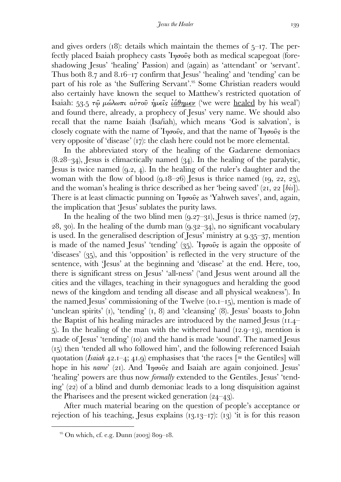and gives orders (18): details which maintain the themes of  $5$ -17. The perfectly placed Isaiah prophecy casts  $\eta_{\sigma\sigma\sigma\sigma}$  both as medical scapegoat (foreshadowing Jesus' 'healing' Passion) and (again) as 'attendant' or 'servant'. Thus both 8.7 and  $8.16$ –17 confirm that Jesus' 'healing' and 'tending' can be part of his role as 'the Suffering Servant'.<sup>55</sup> Some Christian readers would also certainly have known the sequel to Matthew's restricted quotation of Isaiah: 53.5 τῶ μώλωπι αὐτοῦ ἡμεῖς ἰάθημεν ('we were healed by his weal') and found there, already, a prophecy of Jesus' very name. We should also recall that the name Isaiah (Isa/iah), which means 'God is salvation', is closely cognate with the name of  $\eta\sigma\hat{\omega}s$ , and that the name of  $\eta\sigma\hat{\omega}s$  is the very opposite of 'disease'  $(17)$ : the clash here could not be more elemental.

 In the abbreviated story of the healing of the Gadarene demoniacs  $(8.28-34)$ , Jesus is climactically named  $(3.4)$ . In the healing of the paralytic, Jesus is twice named  $(9.2, 4)$ . In the healing of the ruler's daughter and the woman with the flow of blood  $(9.18-26)$  Jesus is thrice named  $(19, 22, 23)$ , and the woman's healing is thrice described as her 'being saved'  $(21, 22 \text{ [bis]}).$ There is at least climactic punning on  $\eta\sigma\hat{\omega}$  as 'Yahweh saves', and, again, the implication that 'Jesus' sublates the purity laws.

In the healing of the two blind men  $(9.27-31)$ , Jesus is thrice named  $(27, 1)$  $(28, 30)$ . In the healing of the dumb man  $(9.32-34)$ , no significant vocabulary is used. In the generalised description of Jesus' ministry at  $9.35-37$ , mention is made of the named Jesus' 'tending'  $(35)$ . Injourn's is again the opposite of 'diseases' (35), and this 'opposition' is reflected in the very structure of the sentence, with 'Jesus' at the beginning and 'disease' at the end. Here, too, there is significant stress on Jesus' 'all-ness' ('and Jesus went around all the cities and the villages, teaching in their synagogues and heralding the good news of the kingdom and tending all disease and all physical weakness'). In the named Jesus' commissioning of the Twelve  $(10.1 - 15)$ , mention is made of 'unclean spirits'  $(I)$ , 'tending'  $(I, 8)$  and 'cleansing'  $(8)$ . Jesus' boasts to John the Baptist of his healing miracles are introduced by the named Jesus  $(11.4 \sigma$ ). In the healing of the man with the withered hand (12.9–13), mention is made of Jesus' 'tending' (10) and the hand is made 'sound'. The named Jesus  $(15)$  then 'tended all who followed him', and the following referenced Isaiah quotation (*Isaiah*  $42.1-4$ ;  $41.9$ ) emphasises that 'the races  $[=$  the Gentiles] will hope in his *name*' (21). And 'Iησοῦς and Isaiah are again conjoined. Jesus' 'healing' powers are thus now *formally* extended to the Gentiles. Jesus' 'tending'  $(22)$  of a blind and dumb demoniac leads to a long disquisition against the Pharisees and the present wicked generation  $(24-43)$ .

 After much material bearing on the question of people's acceptance or rejection of his teaching, Jesus explains  $(13.13-17)$ :  $(13)$  it is for this reason

 $95$  On which, cf. e.g. Dunn (2003) 809–18.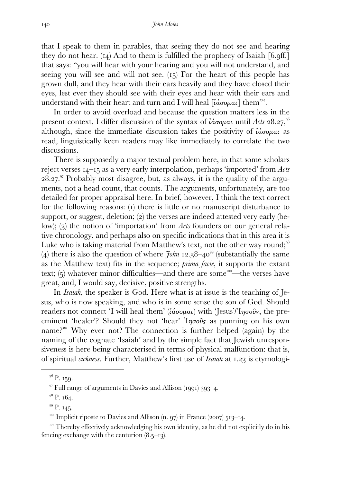that I speak to them in parables, that seeing they do not see and hearing they do not hear.  $(I_4)$  And to them is fulfilled the prophecy of Isaiah  $[6.9ff.]$ that says: "you will hear with your hearing and you will not understand, and seeing you will see and will not see.  $(I_5)$  For the heart of this people has grown dull, and they hear with their ears heavily and they have closed their eyes, lest ever they should see with their eyes and hear with their ears and understand with their heart and turn and I will heal  $[i\alpha\sigma\omega\mu\alpha\mu]$  them".

 In order to avoid overload and because the question matters less in the present context, I differ discussion of the syntax of  $\hat{i}$ *dooµal* until *Acts* 28.27,<sup>96</sup> although, since the immediate discussion takes the positivity of  $i\acute{a}\sigma\phi\mu$  as read, linguistically keen readers may like immediately to correlate the two discussions.

 There is supposedly a major textual problem here, in that some scholars reject verses  $I_4$ -15 as a very early interpolation, perhaps 'imported' from *Acts*  $28.27$ . Probably most disagree, but, as always, it is the quality of the arguments, not a head count, that counts. The arguments, unfortunately, are too detailed for proper appraisal here. In brief, however, I think the text correct for the following reasons: (i) there is little or no manuscript disturbance to support, or suggest, deletion; (2) the verses are indeed attested very early (below); (3) the notion of 'importation' from *Acts* founders on our general relative chronology, and perhaps also on specific indications that in this area it is Luke who is taking material from Matthew's text, not the other way round;<sup>98</sup> (4) there is also the question of where  $\tilde{\tau}$ *ohn* 12.38–40<sup>99</sup> (substantially the same as the Matthew text) fits in the sequence; *prima facie*, it supports the extant text;  $(5)$  whatever minor difficulties—and there are some<sup>100</sup>—the verses have great, and, I would say, decisive, positive strengths.

 In *Isaiah*, the speaker is God. Here what is at issue is the teaching of Jesus, who is now speaking, and who is in some sense the son of God. Should readers not connect 'I will heal them' ( $iáσομαι$ ) with 'Jesus'/'Iησοῦς, the preeminent 'healer'? Should they not 'hear' Ἰησοῦς as punning on his own name?<sup> $100$ </sup> Why ever not? The connection is further helped (again) by the naming of the cognate 'Isaiah' and by the simple fact that Jewish unresponsiveness is here being characterised in terms of physical malfunction: that is, of spiritual *sickness*. Further, Matthew's first use of *Isaiah* at 1.23 is etymologi-

 $96$  P. 159.

 $97$  Full range of arguments in Davies and Allison (1991) 393–4.

 $9^8$  P. 164.

 $99$  P. 145.

<sup>&</sup>lt;sup>100</sup> Implicit riposte to Davies and Allison  $(n, 97)$  in France (2007) 513–14.

<sup>&</sup>lt;sup>101</sup> Thereby effectively acknowledging his own identity, as he did not explicitly do in his fencing exchange with the centurion  $(8.5-13)$ .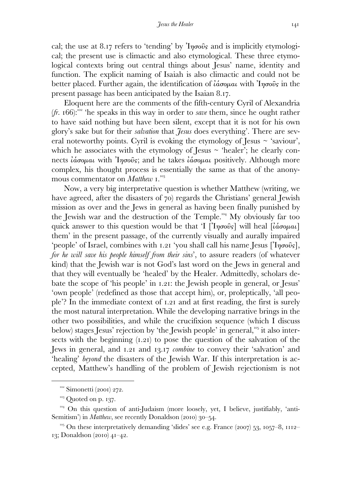cal; the use at 8.17 refers to 'tending' by  $\eta\sigma\omega s$  and is implicitly etymological; the present use is climactic and also etymological. These three etymological contexts bring out central things about Jesus' name, identity and function. The explicit naming of Isaiah is also climactic and could not be better placed. Further again, the identification of  $\hat{i}$ άσομαι with  $\hat{i}$ ησοῦς in the present passage has been anticipated by the Isaian 8.17.

 Eloquent here are the comments of the fifth-century Cyril of Alexandria  $(fr. 166)$ :<sup>102</sup> 'he speaks in this way in order to *save* them, since he ought rather to have said nothing but have been silent, except that it is not for his own glory's sake but for their *salvation* that *Jesus* does everything'. There are several noteworthy points. Cyril is evoking the etymology of Jesus  $\sim$  'saviour', which he associates with the etymology of Jesus  $\sim$  'healer'; he clearly connects *ιάσομαι* with *Ιησοῦς*; and he takes *ιάσομαι* positively. Although more complex, his thought process is essentially the same as that of the anonymous commentator on *Matthew* .

 Now, a very big interpretative question is whether Matthew (writing, we have agreed, after the disasters of 70) regards the Christians' general Jewish mission as over and the Jews in general as having been finally punished by the Jewish war and the destruction of the Temple.<sup>104</sup> My obviously far too quick answer to this question would be that 'I  $\lceil \ln \frac{\delta}{\delta} \rceil$  will heal  $\lceil \frac{\delta}{\delta} \frac{\delta}{\delta} \frac{\delta}{\delta} \frac{\delta}{\delta} \frac{\delta}{\delta} \rceil$ them' in the present passage, of the currently visually and aurally impaired 'people' of Israel, combines with 1.21 'you shall call his name Jesus  $[1\eta\sigma o\hat{v}_s]$ , *for he will save his people himself from their sins*', to assure readers (of whatever kind) that the Jewish war is not God's last word on the Jews in general and that they will eventually be 'healed' by the Healer. Admittedly, scholars debate the scope of 'his people' in 1.21: the Jewish people in general, or Jesus' 'own people' (redefined as those that accept him), or, proleptically, 'all people'? In the immediate context of  $1.21$  and at first reading, the first is surely the most natural interpretation. While the developing narrative brings in the other two possibilities, and while the crucifixion sequence (which I discuss below) stages Jesus' rejection by 'the Jewish people' in general, <sup>105</sup> it also intersects with the beginning  $(1.21)$  to pose the question of the salvation of the Jews in general, and 1.21 and 13.17 *combine* to convey their 'salvation' and 'healing' *beyond* the disasters of the Jewish War. If this interpretation is accepted, Matthew's handling of the problem of Jewish rejectionism is not

 $102$  Simonetti (2001) 272.

 $\frac{103}{9}$  Quoted on p. 137.

<sup>&</sup>lt;sup>104</sup> On this question of anti-Judaism (more loosely, yet, I believe, justifiably, 'anti-Semitism') in *Matthew*, see recently Donaldson (2010) 30-54.

<sup>&</sup>lt;sup>105</sup> On these interpretatively demanding 'slides' see e.g. France (2007) 53, 1057–8, 1112– 13; Donaldson  $(2010)$  41–42.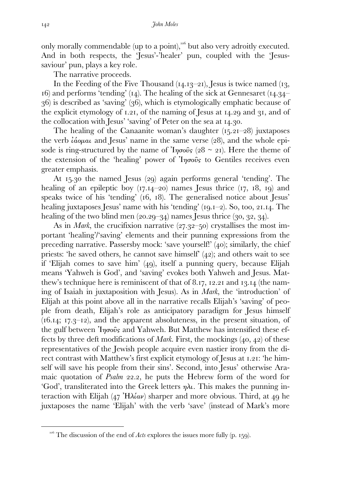only morally commendable (up to a point),<sup>106</sup> but also very adroitly executed. And in both respects, the 'Jesus'-'healer' pun, coupled with the 'Jesussaviour' pun, plays a key role.

The narrative proceeds.

In the Feeding of the Five Thousand  $(14.13-21)$ , Jesus is twice named  $(13, 12)$  $\alpha$ ) and performs 'tending' ( $\alpha$ ). The healing of the sick at Gennesaret ( $\alpha$ –  $(36)$  is described as 'saving'  $(36)$ , which is etymologically emphatic because of the explicit etymology of  $1.21$ , of the naming of Jesus at  $14.29$  and  $31$ , and of the collocation with Jesus' 'saving' of Peter on the sea at 14.30.

The healing of the Canaanite woman's daughter  $(15.21-28)$  juxtaposes the verb  $\hat{i}$ ασμαι and Jesus' name in the same verse (28), and the whole episode is ring-structured by the name of  $\eta_{\sigma\sigma\sigma\sigma}$  (28 ~ 21). Here the theme of the extension of the 'healing' power of  $\eta_{\sigma}$  is to Gentiles receives even greater emphasis.

At  $15.30$  the named Jesus (29) again performs general 'tending'. The healing of an epileptic boy  $(17.14-20)$  names Jesus thrice  $(17, 18, 19)$  and speaks twice of his 'tending'  $(16, 18)$ . The generalised notice about Jesus' healing juxtaposes Jesus' name with his 'tending'  $(qI - 2)$ . So, too, 21.14. The healing of the two blind men  $(20.29-34)$  names Jesus thrice  $(30, 32, 34)$ .

As in *Mark*, the crucifixion narrative  $(27.32-50)$  crystallises the most important 'healing'/'saving' elements and their punning expressions from the preceding narrative. Passersby mock: 'save yourself!'  $(40)$ ; similarly, the chief priests: 'he saved others, he cannot save himself'  $(42)$ ; and others wait to see if 'Elijah comes to save him'  $(49)$ , itself a punning query, because Elijah means 'Yahweh is God', and 'saving' evokes both Yahweh and Jesus. Matthew's technique here is reminiscent of that of 8.17, 12.21 and 13.14 (the naming of Isaiah in juxtaposition with Jesus). As in *Mark*, the 'introduction' of Elijah at this point above all in the narrative recalls Elijah's 'saving' of people from death, Elijah's role as anticipatory paradigm for Jesus himself  $(16.14; 17.3-12)$ , and the apparent absoluteness, in the present situation, of the gulf between  $\eta_{\sigma\sigma\sigma}$  and Yahweh. But Matthew has intensified these effects by three deft modifications of *Mark*. First, the mockings  $(40, 42)$  of these representatives of the Jewish people acquire even nastier irony from the direct contrast with Matthew's first explicit etymology of Jesus at 1.21: 'he himself will save his people from their sins'. Second, into Jesus' otherwise Aramaic quotation of *Psalm* 22.2, he puts the Hebrew form of the word for 'God', transliterated into the Greek letters  $\eta \lambda \iota$ . This makes the punning interaction with Elijah (47 'H $\lambda$ ίαν) sharper and more obvious. Third, at 49 he juxtaposes the name 'Elijah' with the verb 'save' (instead of Mark's more

 $10^{106}$  The discussion of the end of *Acts* explores the issues more fully (p. 159).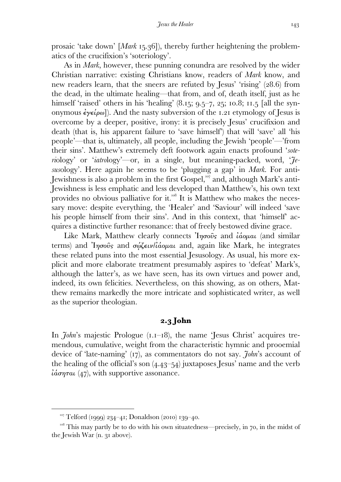prosaic 'take down' [*Mark* 15.36]), thereby further heightening the problematics of the crucifixion's 'soteriology'.

 As in *Mark*, however, these punning conundra are resolved by the wider Christian narrative: existing Christians know, readers of *Mark* know, and new readers learn, that the sneers are refuted by Jesus' 'rising'  $(28.6)$  from the dead, in the ultimate healing—that from, and of, death itself, just as he himself 'raised' others in his 'healing'  $(8.15; 9.5-7, 25; 10.8; 11.5)$  [all the synonymous  $\epsilon y \epsilon \omega$ ]). And the nasty subversion of the 1.21 etymology of Jesus is overcome by a deeper, positive, irony: it is precisely Jesus' crucifixion and death (that is, his apparent failure to 'save himself') that will 'save' all 'his people'—that is, ultimately, all people, including the Jewish 'people'—'from their sins'. Matthew's extremely deft footwork again enacts profound '*soteri*ology' or '*iatro*logy'—or, in a single, but meaning-packed, word, '*Jesus*ology'. Here again he seems to be 'plugging a gap' in *Mark*. For anti-Jewishness is also a problem in the first Gospel,  $\frac{107}{7}$  and, although Mark's anti-Jewishness is less emphatic and less developed than Matthew's, his own text provides no obvious palliative for it.<sup>108</sup> It is Matthew who makes the necessary move: despite everything, the 'Healer' and 'Saviour' will indeed 'save his people himself from their sins'. And in this context, that 'himself' acquires a distinctive further resonance: that of freely bestowed divine grace.

Like Mark, Matthew clearly connects  $\eta_{\sigma\sigma\sigma\sigma}$  and  $\partial_{\sigma\sigma}$  (and similar terms) and <sup>'</sup>Ιησοῦς and σώζειν/ιάομαι and, again like Mark, he integrates these related puns into the most essential Jesusology. As usual, his more explicit and more elaborate treatment presumably aspires to 'defeat' Mark's, although the latter's, as we have seen, has its own virtues and power and, indeed, its own felicities. Nevertheless, on this showing, as on others, Matthew remains markedly the more intricate and sophisticated writer, as well as the superior theologian.

## **. John**

In *John*'s majestic Prologue (1.1–18), the name 'Jesus Christ' acquires tremendous, cumulative, weight from the characteristic hymnic and prooemial device of 'late-naming' (17), as commentators do not say. *John*'s account of the healing of the official's son  $(4.43-54)$  juxtaposes Jesus' name and the verb  $i\dot{\alpha}\sigma\eta\tau\alpha\iota$  (47), with supportive assonance.

 $T^{\text{107}}$  Telford (1999) 234–41; Donaldson (2010) 139–40.

 $108$  This may partly be to do with his own situatedness—precisely, in 70, in the midst of the Jewish War (n. 31 above).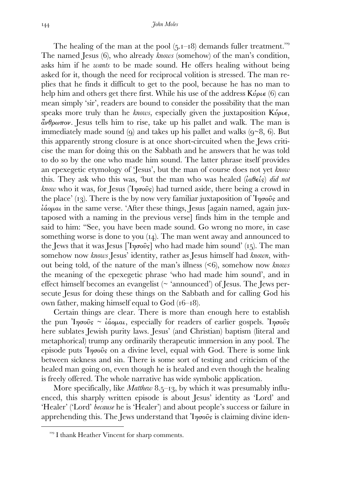The healing of the man at the pool  $(5.1-18)$  demands fuller treatment.<sup>109</sup> The named Jesus (6), who already *knows* (somehow) of the man's condition, asks him if he *wants* to be made sound. He offers healing without being asked for it, though the need for reciprocal volition is stressed. The man replies that he finds it difficult to get to the pool, because he has no man to help him and others get there first. While his use of the address  $K\omega\rho\epsilon$  (6) can mean simply 'sir', readers are bound to consider the possibility that the man speaks more truly than he *knows*, especially given the juxtaposition Κύριε, ἄνθρωπον. Jesus tells him to rise, take up his pallet and walk. The man is immediately made sound (q) and takes up his pallet and walks  $(q\sim8, 6)$ . But this apparently strong closure is at once short-circuited when the Jews criticise the man for doing this on the Sabbath and he answers that he was told to do so by the one who made him sound. The latter phrase itself provides an epexegetic etymology of 'Jesus', but the man of course does not yet *know* this. They ask who this was, 'but the man who was healed (ἰαθείς) *did not know* who it was, for Jesus (Ἰησοῦς) had turned aside, there being a crowd in the place' (13). There is the by now very familiar juxtaposition of  $\eta_{\sigma\sigma\sigma\sigma}$  and ἰάοµαι in the same verse. 'After these things, Jesus [again named, again juxtaposed with a naming in the previous verse] finds him in the temple and said to him: "See, you have been made sound. Go wrong no more, in case something worse is done to you  $(14)$ . The man went away and announced to the Jews that it was Jesus [Ἰησοῦς] who had made him sound' (15). The man somehow now *knows* Jesus' identity, rather as Jesus himself had *known*, without being told, of the nature of the man's illness (<6), somehow now *knows* the meaning of the epexegetic phrase 'who had made him sound', and in effect himself becomes an evangelist (~ 'announced') of Jesus. The Jews persecute Jesus for doing these things on the Sabbath and for calling God his own father, making himself equal to  $God (16–18).$ 

 Certain things are clear. There is more than enough here to establish the pun  $\eta \sigma \hat{\omega} s \sim \hat{\omega} \omega \mu \omega$ , especially for readers of earlier gospels. In  $\sigma \hat{\omega} s$ here sublates Jewish purity laws. Jesus' (and Christian) baptism (literal and metaphorical) trump any ordinarily therapeutic immersion in any pool. The episode puts  $\eta \circ \hat{\sigma}$  on a divine level, equal with God. There is some link between sickness and sin. There is some sort of testing and criticism of the healed man going on, even though he is healed and even though the healing is freely offered. The whole narrative has wide symbolic application.

More specifically, like *Matthew* 8.5-13, by which it was presumably influenced, this sharply written episode is about Jesus' identity as 'Lord' and 'Healer' ('Lord' *because* he is 'Healer') and about people's success or failure in apprehending this. The Jews understand that  $\eta_{\sigma\sigma\sigma\sigma}$  is claiming divine iden-

<sup>&</sup>lt;sup>109</sup> I thank Heather Vincent for sharp comments.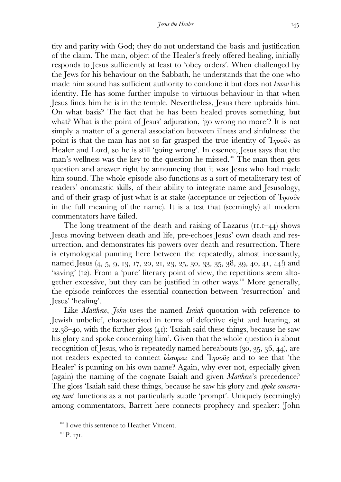tity and parity with God; they do not understand the basis and justification of the claim. The man, object of the Healer's freely offered healing, initially responds to Jesus sufficiently at least to 'obey orders'. When challenged by the Jews for his behaviour on the Sabbath, he understands that the one who made him sound has sufficient authority to condone it but does not *know* his identity. He has some further impulse to virtuous behaviour in that when Jesus finds him he is in the temple. Nevertheless, Jesus there upbraids him. On what basis? The fact that he has been healed proves something, but what? What is the point of Jesus' adjuration, 'go wrong no more'? It is not simply a matter of a general association between illness and sinfulness: the point is that the man has not so far grasped the true identity of  $\eta\sigma\tilde{\sigma}$  as Healer and Lord, so he is still 'going wrong'. In essence, Jesus says that the man's wellness was the key to the question he missed.<sup>110</sup> The man then gets question and answer right by announcing that it was Jesus who had made him sound. The whole episode also functions as a sort of metaliterary test of readers' onomastic skills, of their ability to integrate name and Jesusology, and of their grasp of just what is at stake (acceptance or rejection of  $\eta_{\sigma}$ ) in the full meaning of the name). It is a test that (seemingly) all modern commentators have failed.

The long treatment of the death and raising of Lazarus  $(I_{1}I_{-44})$  shows Jesus moving between death and life, pre-echoes Jesus' own death and resurrection, and demonstrates his powers over death and resurrection. There is etymological punning here between the repeatedly, almost incessantly, named Jesus (4, 5, 9, 13, 17, 20, 21, 23, 25, 30, 33, 35, 38, 39, 40, 41, 44!) and 'saving' (12). From a 'pure' literary point of view, the repetitions seem altogether excessive, but they can be justified in other ways. More generally, the episode reinforces the essential connection between 'resurrection' and Jesus' 'healing'.

Like *Matthew*, *John* uses the named *Isaiah* quotation with reference to Jewish unbelief, characterised in terms of defective sight and hearing, at  $12.38-40$ , with the further gloss (41): 'Isaiah said these things, because he saw his glory and spoke concerning him'. Given that the whole question is about recognition of Jesus, who is repeatedly named hereabouts  $(30, 35, 36, 44)$ , are not readers expected to connect  $\hat{i}$ άσομαι and  $\hat{i}$ ησοῦς and to see that 'the Healer' is punning on his own name? Again, why ever not, especially given (again) the naming of the cognate Isaiah and given *Matthew*'s precedence? The gloss 'Isaiah said these things, because he saw his glory and *spoke concerning him*' functions as a not particularly subtle 'prompt'. Uniquely (seemingly) among commentators, Barrett here connects prophecy and speaker: 'John

<sup>&</sup>lt;sup>110</sup> I owe this sentence to Heather Vincent.

 $\rm{m}$  P. 171.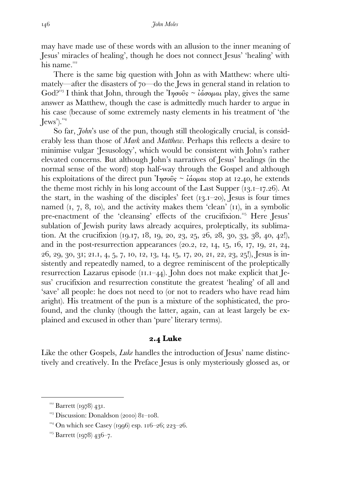may have made use of these words with an allusion to the inner meaning of Jesus' miracles of healing', though he does not connect Jesus' 'healing' with his name.

 There is the same big question with John as with Matthew: where ultimately—after the disasters of  $70$ —do the Jews in general stand in relation to God?<sup>113</sup> I think that John, through the  $\eta\sigma\sigma\hat{\sigma}s \sim \hat{\imath}\hat{\sigma}\sigma\sigma\mu\hat{\sigma}q$  play, gives the same answer as Matthew, though the case is admittedly much harder to argue in his case (because of some extremely nasty elements in his treatment of 'the  ${\rm Jews}$ <sup>'14</sup>

 So far, *John*'s use of the pun, though still theologically crucial, is considerably less than those of *Mark* and *Matthew*. Perhaps this reflects a desire to minimise vulgar 'Jesusology', which would be consistent with John's rather elevated concerns. But although John's narratives of Jesus' healings (in the normal sense of the word) stop half-way through the Gospel and although his exploitations of the direct pun  $\eta \sigma \hat{\omega} s \sim \hat{\omega} \omega \hat{\omega} \hat{\omega}$  at 12.40, he extends the theme most richly in his long account of the Last Supper  $(13.1 - 17.26)$ . At the start, in the washing of the disciples' feet  $(13.1-20)$ , Jesus is four times named  $(1, 7, 8, 10)$ , and the activity makes them 'clean'  $(11)$ , in a symbolic pre-enactment of the 'cleansing' effects of the crucifixion.<sup>115</sup> Here Jesus' sublation of Jewish purity laws already acquires, proleptically, its sublimation. At the crucifixion (19.17, 18, 19, 20, 23, 25, 26, 28, 30, 33, 38, 40, 42!), and in the post-resurrection appearances  $(20.2, 12, 14, 15, 16, 17, 19, 21, 24,$ 26, 29, 30, 31; 21.1, 4, 5, 7, 10, 12, 13, 14, 15, 17, 20, 21, 22, 23, 25!), Jesus is insistently and repeatedly named, to a degree reminiscent of the proleptically resurrection Lazarus episode  $(II.I-44)$ . John does not make explicit that Jesus' crucifixion and resurrection constitute the greatest 'healing' of all and 'save' all people: he does not need to (or not to readers who have read him aright). His treatment of the pun is a mixture of the sophisticated, the profound, and the clunky (though the latter, again, can at least largely be explained and excused in other than 'pure' literary terms).

## **. Luke**

Like the other Gospels, *Luke* handles the introduction of Jesus' name distinctively and creatively. In the Preface Jesus is only mysteriously glossed as, or

 $\frac{112}{2}$  Barrett (1978) 431.

 $\frac{113}{3}$  Discussion: Donaldson (2010) 81–108.

 $^{114}$  On which see Casey (1996) esp. 116–26; 223–26.

 $^{115}$  Barrett (1978) 436-7.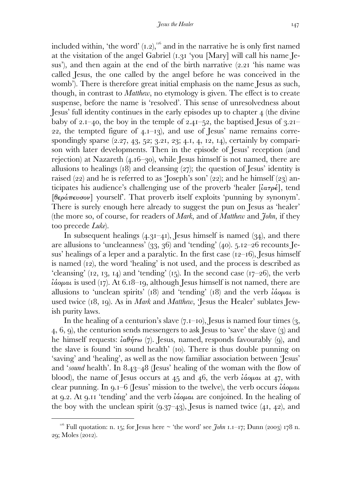included within, 'the word'  $(1.2)$ ,  $^{16}$  and in the narrative he is only first named at the visitation of the angel Gabriel  $(1.31 \text{ 'you } [\text{Mary}]$  will call his name Jesus'), and then again at the end of the birth narrative  $(2.21)$  'his name was called Jesus, the one called by the angel before he was conceived in the womb'). There is therefore great initial emphasis on the name Jesus as such, though, in contrast to *Matthew*, no etymology is given. The effect is to create suspense, before the name is 'resolved'. This sense of unresolvedness about Jesus' full identity continues in the early episodes up to chapter (the divine baby of 2.1–40, the boy in the temple of 2.41–52, the baptised Jesus of  $3.21$ – 22, the tempted figure of  $4.1-13$ , and use of Jesus' name remains correspondingly sparse  $(2.27, 43, 52, 3.21, 23, 4.1, 4, 12, 14)$ , certainly by comparison with later developments. Then in the episode of Jesus' reception (and rejection) at Nazareth  $(4.16-30)$ , while Jesus himself is not named, there are allusions to healings  $(18)$  and cleansing  $(27)$ ; the question of Jesus' identity is raised  $(22)$  and he is referred to as 'Joseph's son'  $(22)$ ; and he himself  $(23)$  anticipates his audience's challenging use of the proverb 'healer  $[i\alpha\tau\rho\epsilon]$ , tend [θεράπευσον] yourself'. That proverb itself exploits 'punning by synonym'. There is surely enough here already to suggest the pun on Jesus as 'healer' (the more so, of course, for readers of *Mark*, and of *Matthew* and *John*, if they too precede *Luke*).

In subsequent healings  $(4.3I-4I)$ , Jesus himself is named  $(34)$ , and there are allusions to 'uncleanness'  $(33, 36)$  and 'tending'  $(40)$ .  $5.12-26$  recounts Jesus' healings of a leper and a paralytic. In the first case  $(12–16)$ , Jesus himself is named  $(12)$ , the word 'healing' is not used, and the process is described as 'cleansing'  $(12, 13, 14)$  and 'tending'  $(15)$ . In the second case  $(17-26)$ , the verb  $\hat{i}$ άομαι is used (17). At 6.18–19, although Jesus himself is not named, there are allusions to 'unclean spirits' (18) and 'tending' (18) and the verb  $\hat{i} \omega \rho \mu \omega$  is used twice (18, 19). As in *Mark* and *Matthew*, 'Jesus the Healer' sublates Jewish purity laws.

In the healing of a centurion's slave  $(7.1-10)$ , Jesus is named four times  $(3, 1, 1)$ 4, 6, 9), the centurion sends messengers to ask Jesus to 'save' the slave  $(3)$  and he himself requests:  $i\alpha\theta\dot{\eta}\tau\omega$  (7). Jesus, named, responds favourably (9), and the slave is found 'in sound health' (10). There is thus double punning on 'saving' and 'healing', as well as the now familiar association between 'Jesus' and '*sound* health'. In 8.43–48 (Jesus' healing of the woman with the flow of blood), the name of Jesus occurs at  $45$  and  $46$ , the verb *idopal* at  $47$ , with clear punning. In  $q_I - 6$  (Jesus' mission to the twelve), the verb occurs  $\hat{i} \hat{\omega} \rho \mu \hat{\omega}$ at 9.2. At 9.11 'tending' and the verb *ιάομαι* are conjoined. In the healing of the boy with the unclean spirit  $(9.37-43)$ , Jesus is named twice  $(41, 42)$ , and

<sup>&</sup>lt;sup>116</sup> Full quotation: n. 15; for Jesus here  $\sim$  'the word' see *John* 1.1–17; Dunn (2003) 178 n. 29; Moles (2012).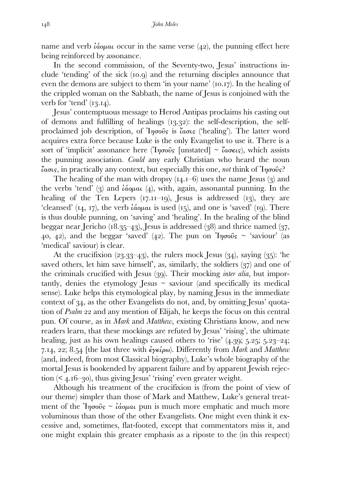name and verb  $\hat{i}$ α  $\omega$  occur in the same verse  $(42)$ , the punning effect here being reinforced by assonance.

 In the second commission, of the Seventy-two, Jesus' instructions include 'tending' of the sick  $(10.9)$  and the returning disciples announce that even the demons are subject to them 'in your name'  $(10.17)$ . In the healing of the crippled woman on the Sabbath, the name of Jesus is conjoined with the verb for 'tend'  $(13.14)$ .

 Jesus' contemptuous message to Herod Antipas proclaims his casting out of demons and fulfilling of healings  $(13.32)$ : the self-description, the selfproclaimed job description, of Ἰησοῦς is ἴασις ('healing')*.* The latter word acquires extra force because Luke is the only Evangelist to use it. There is a sort of 'implicit' assonance here ('I $\eta \sigma \hat{\omega}$  [unstated] ~  $\alpha \sigma \epsilon \omega$ s), which assists the punning association. *Could* any early Christian who heard the noun ἴασις, in practically any context, but especially this one, *not* think of Ἰησοῦς?

The healing of the man with dropsy  $(14.1-6)$  uses the name Jesus  $(3)$  and the verbs 'tend' (3) and  $\hat{i}$ ασμαι (4), with, again, assonantal punning. In the healing of the Ten Lepers  $(T, H-Iq)$ , Jesus is addressed  $(Tq)$ , they are 'cleansed' (14, 17), the verb  $\mathcal{L}_{\alpha}$  is used (15), and one is 'saved' (19). There is thus double punning, on 'saving' and 'healing'. In the healing of the blind beggar near Jericho ( $18.35-43$ ), Jesus is addressed ( $38$ ) and thrice named ( $37$ , 40, 42), and the beggar 'saved' (42). The pun on  $\eta \sigma \hat{\omega} s \sim$  'saviour' (as 'medical' saviour) is clear.

At the crucifixion  $(23.33-43)$ , the rulers mock Jesus  $(34)$ , saying  $(35)$ : 'he saved others, let him save himself', as, similarly, the soldiers  $(37)$  and one of the criminals crucified with Jesus (39). Their mocking *inter alia*, but importantly, denies the etymology Jesus  $\sim$  saviour (and specifically its medical sense). Luke helps this etymological play, by naming Jesus in the immediate context of 34, as the other Evangelists do not, and, by omitting Jesus' quotation of *Psalm* 22 and any mention of Elijah, he keeps the focus on this central pun. Of course, as in *Mark* and *Matthew*, existing Christians know, and new readers learn, that these mockings are refuted by Jesus' 'rising', the ultimate healing, just as his own healings caused others to 'rise'  $(4.39; 5.25; 5.23-24;$ 7.14, 22;  $8.54$  [the last three with  $\epsilon \gamma \epsilon \omega$ ). Differently from *Mark* and *Matthew* (and, indeed, from most Classical biography), Luke's whole biography of the mortal Jesus is bookended by apparent failure and by apparent Jewish rejec- $\frac{1}{2}$  tion (< 4.16–30), thus giving Jesus' 'rising' even greater weight.

 Although his treatment of the crucifixion is (from the point of view of our theme) simpler than those of Mark and Matthew, Luke's general treatment of the  $\eta \sigma \hat{\omega}$   $\sim \hat{\omega} \omega \hat{\omega}$  pun is much more emphatic and much more voluminous than those of the other Evangelists. One might even think it excessive and, sometimes, flat-footed, except that commentators miss it, and one might explain this greater emphasis as a riposte to the (in this respect)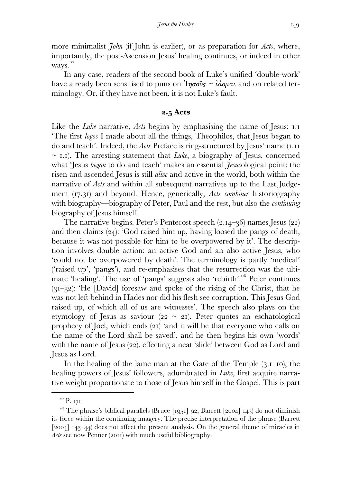more minimalist *John* (if John is earlier), or as preparation for *Acts*, where, importantly, the post-Ascension Jesus' healing continues, or indeed in other ways."<sup>17</sup>

 In any case, readers of the second book of Luke's unified 'double-work' have already been sensitised to puns on  $\eta \sigma \hat{\sigma} s \sim \hat{\imath} \omega \hat{\sigma} \omega a$  and on related terminology. Or, if they have not been, it is not Luke's fault.

### **. Acts**

Like the *Luke* narrative, *Acts* begins by emphasising the name of Jesus: 1.1 'The first *logos* I made about all the things, Theophilos, that Jesus began to do and teach'. Indeed, the *Acts* Preface is ring-structured by Jesus' name (.  $\sim$  1.1). The arresting statement that *Luke*, a biography of Jesus, concerned what 'Jesus *began* to do and teach' makes an essential *Jesus*ological point: the risen and ascended Jesus is still *alive* and active in the world, both within the narrative of *Acts* and within all subsequent narratives up to the Last Judgement (17.31) and beyond. Hence, generically, *Acts combines* historiography with biography—biography of Peter, Paul and the rest, but also the *continuing*  biography of Jesus himself.

The narrative begins. Peter's Pentecost speech  $(2.14-36)$  names Jesus  $(22)$ and then claims  $(24)$ : 'God raised him up, having loosed the pangs of death, because it was not possible for him to be overpowered by it'. The description involves double action: an active God and an also active Jesus, who 'could not be overpowered by death'. The terminology is partly 'medical' ('raised up', 'pangs'), and re-emphasises that the resurrection was the ultimate 'healing'. The use of 'pangs' suggests also 'rebirth'.<sup>118</sup> Peter continues  $(3I-32)$ : 'He [David] foresaw and spoke of the rising of the Christ, that he was not left behind in Hades nor did his flesh see corruption. This Jesus God raised up, of which all of us are witnesses'. The speech also plays on the etymology of Jesus as saviour ( $22 \sim 2I$ ). Peter quotes an eschatological prophecy of Joel, which ends  $(21)$  'and it will be that everyone who calls on the name of the Lord shall be saved', and he then begins his own 'words' with the name of Jesus  $(22)$ , effecting a neat 'slide' between God as Lord and Jesus as Lord.

In the healing of the lame man at the Gate of the Temple  $(3.1-10)$ , the healing powers of Jesus' followers, adumbrated in *Luke*, first acquire narrative weight proportionate to those of Jesus himself in the Gospel. This is part

 $\rm ^{117}$  P. 171.

 $118$  The phrase's biblical parallels (Bruce [1951] 92; Barrett [2004] 143) do not diminish its force within the continuing imagery. The precise interpretation of the phrase (Barrett  $[2004]$   $143-44$ ) does not affect the present analysis. On the general theme of miracles in *Acts* see now Penner (2011) with much useful bibliography.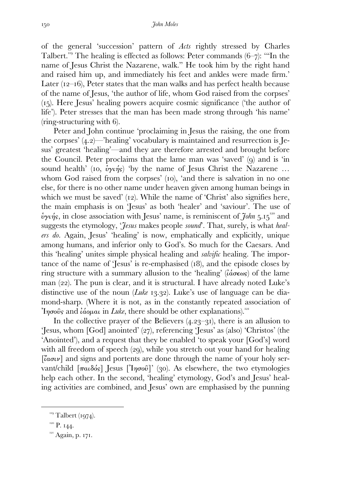of the general 'succession' pattern of *Acts* rightly stressed by Charles Talbert.<sup>119</sup> The healing is effected as follows: Peter commands  $(6-\tau)$ : "In the name of Jesus Christ the Nazarene, walk." He took him by the right hand and raised him up, and immediately his feet and ankles were made firm.' Later  $(12-16)$ , Peter states that the man walks and has perfect health because of the name of Jesus, 'the author of life, whom God raised from the corpses' (). Here Jesus' healing powers acquire cosmic significance ('the author of life'). Peter stresses that the man has been made strong through 'his name'  $(ring-structure with 6).$ 

 Peter and John continue 'proclaiming in Jesus the raising, the one from the corpses'  $(4.2)$ —'healing' vocabulary is maintained and resurrection is Jesus' greatest 'healing'—and they are therefore arrested and brought before the Council. Peter proclaims that the lame man was 'saved'  $(q)$  and is 'in sound health' (10,  $\dot{v}_{\gamma}$  $\dot{\gamma}_{\gamma}$ ) 'by the name of Jesus Christ the Nazarene ... whom God raised from the corpses'  $(10)$ , 'and there is salvation in no one else, for there is no other name under heaven given among human beings in which we must be saved'  $(12)$ . While the name of 'Christ' also signifies here, the main emphasis is on 'Jesus' as both 'healer' and 'saviour'. The use of  $\psi$ *y* $\psi$ *i*<sub>1</sub>s, in close association with Jesus' name, is reminiscent of  $\tilde{\jmath}$ *ohn* 5.15<sup>120</sup> and suggests the etymology, '*Jesus* makes people *sound*'. That, surely, is what *healers do.* Again, Jesus' 'healing' is now, emphatically and explicitly, unique among humans, and inferior only to God's. So much for the Caesars. And this 'healing' unites simple physical healing and *salvific* healing. The importance of the name of 'Jesus' is re-emphasised  $(18)$ , and the episode closes by ring structure with a summary allusion to the 'healing' ( $\hat{i}\omega \in \omega s$ ) of the lame man  $(22)$ . The pun is clear, and it is structural. I have already noted Luke's distinctive use of the noun *(Luke* 13.32). Luke's use of language can be diamond-sharp. (Where it is not, as in the constantly repeated association of Ἰησοῦς and ἰάοµαι in *Luke*, there should be other explanations).

In the collective prayer of the Believers  $(4.23-31)$ , there is an allusion to 'Jesus, whom [God] anointed' (27), referencing 'Jesus' as (also) 'Christos' (the 'Anointed'), and a request that they be enabled 'to speak your [God's] word with all freedom of speech  $(qq)$ , while you stretch out your hand for healing [ἴασιν] and signs and portents are done through the name of your holy servant/child  $[παιδός]$  Jesus [ $[ησού]$ ' (30). As elsewhere, the two etymologies help each other. In the second, 'healing' etymology, God's and Jesus' healing activities are combined, and Jesus' own are emphasised by the punning

 $\overline{\phantom{a}}$  Talbert (1974).

 $P. I44.$ 

 $I<sup>121</sup>$  Again, p. 171.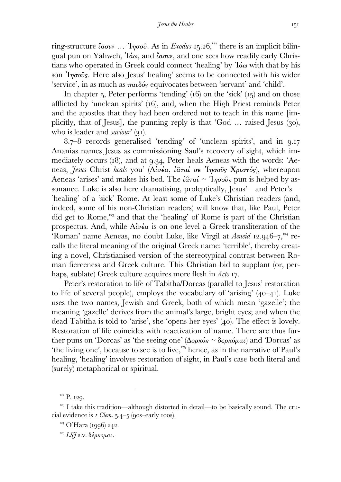ring-structure <sup>"</sup> $ασιν$  ... 'Ιησοῦ. As in *Exodus* 15.26,<sup>122</sup> there is an implicit bilingual pun on Yahweh, Ἰάω, and ἴασιν, and one sees how readily early Christians who operated in Greek could connect 'healing' by Ἰάω with that by his son Ἰησοῦς. Here also Jesus' healing' seems to be connected with his wider 'service', in as much as παιδός equivocates between 'servant' and 'child'.

In chapter  $\zeta$ , Peter performs 'tending' (16) on the 'sick' (1 $\zeta$ ) and on those afflicted by 'unclean spirits'  $(16)$ , and, when the High Priest reminds Peter and the apostles that they had been ordered not to teach in this name [implicitly, that of Jesus, the punning reply is that 'God  $\ldots$  raised Jesus (30), who is leader and *saviour*' (31).

 $8.7-8$  records generalised 'tending' of 'unclean spirits', and in  $9.17$ Ananias names Jesus as commissioning Saul's recovery of sight, which immediately occurs  $(18)$ , and at 9.34, Peter heals Aeneas with the words: 'Aeneas, *Jesus* Christ *heals* you' (Αἰνέα, ἰᾶταί σε Ἰησοῦς Χριστός), whereupon Aeneas 'arises' and makes his bed. The  $\hat{i}$ αταί ~ 'Iησοῦς pun is helped by assonance. Luke is also here dramatising, proleptically, Jesus'—and Peter's— 'healing' of a 'sick' Rome. At least some of Luke's Christian readers (and, indeed, some of his non-Christian readers) will know that, like Paul, Peter did get to Rome, $\frac{123}{12}$  and that the 'healing' of Rome is part of the Christian prospectus. And, while Αἰνέα is on one level a Greek transliteration of the 'Roman' name Aeneas, no doubt Luke, like Virgil at *Aeneid* 12.946-7,<sup>124</sup> recalls the literal meaning of the original Greek name: 'terrible', thereby creating a novel, Christianised version of the stereotypical contrast between Roman fierceness and Greek culture. This Christian bid to supplant (or, perhaps, sublate) Greek culture acquires more flesh in *Acts* .

 Peter's restoration to life of Tabitha/Dorcas (parallel to Jesus' restoration to life of several people), employs the vocabulary of 'arising'  $(40-41)$ . Luke uses the two names, Jewish and Greek, both of which mean 'gazelle'; the meaning 'gazelle' derives from the animal's large, bright eyes; and when the dead Tabitha is told to 'arise', she 'opens her eyes'  $(40)$ . The effect is lovely. Restoration of life coincides with reactivation of name. There are thus further puns on 'Dorcas' as 'the seeing one' ( $\Delta \varphi \kappa \dot{\alpha} s \sim \delta \epsilon \varphi \kappa \dot{\varphi} \mu \alpha \iota$ ) and 'Dorcas' as 'the living one', because to see is to live, $\frac{125}{12}$  hence, as in the narrative of Paul's healing, 'healing' involves restoration of sight, in Paul's case both literal and (surely) metaphorical or spiritual.

 $^{122}$  P. 129.

 $123$  I take this tradition—although distorted in detail—to be basically sound. The crucial evidence is  $I$  Clem.  $5.4 - 5$  (90s–early 100s).

 $^{124}$  O'Hara (1996) 242.

*LSJ* s.v. δέρκοµαι.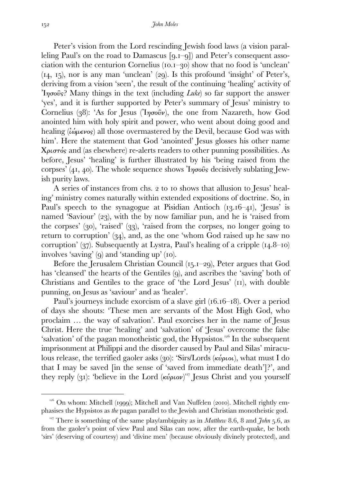Peter's vision from the Lord rescinding Jewish food laws (a vision paralleling Paul's on the road to Damascus  $[q,I-q]$  and Peter's consequent association with the centurion Cornelius  $(10.1-30)$  show that no food is 'unclean'  $(14, 15)$ , nor is any man 'unclean'  $(29)$ . Is this profound 'insight' of Peter's, deriving from a vision 'seen', the result of the continuing 'healing' activity of Ἰησοῦς? Many things in the text (including *Luke*) so far support the answer 'yes', and it is further supported by Peter's summary of Jesus' ministry to Cornelius (38): 'As for Jesus (Ἰησοῦν), the one from Nazareth, how God anointed him with holy spirit and power, who went about doing good and healing  $(i\omega\mu\epsilon\nu\sigma s)$  all those overmastered by the Devil, because God was with him'. Here the statement that God 'anointed' Jesus glosses his other name Χριστός and (as elsewhere) re-alerts readers to other punning possibilities. As before, Jesus' 'healing' is further illustrated by his 'being raised from the corpses' (41, 40). The whole sequence shows  $\eta \sigma \hat{\omega}$  decisively sublating Jewish purity laws.

A series of instances from chs. 2 to 10 shows that allusion to Jesus' healing' ministry comes naturally within extended expositions of doctrine. So, in Paul's speech to the synagogue at Pisidian Antioch  $(13.16-41)$ , 'Jesus' is named 'Saviour'  $(23)$ , with the by now familiar pun, and he is 'raised from the corpses'  $(30)$ , 'raised'  $(33)$ , 'raised from the corpses, no longer going to return to corruption'  $(34)$ , and, as the one 'whom God raised up he saw no corruption' ( $\frac{1}{2}$ ). Subsequently at Lystra, Paul's healing of a cripple ( $\frac{1}{4}$ .8-10) involves 'saving'  $(q)$  and 'standing up'  $(10)$ .

Before the Jerusalem Christian Council (15.1-29), Peter argues that God has 'cleansed' the hearts of the Gentiles (9), and ascribes the 'saving' both of Christians and Gentiles to the grace of 'the Lord Jesus' (II), with double punning, on Jesus as 'saviour' and as 'healer'.

Paul's journeys include exorcism of a slave girl  $(16.16-18)$ . Over a period of days she shouts: 'These men are servants of the Most High God, who proclaim … the way of salvation'. Paul exorcises her in the name of Jesus Christ. Here the true 'healing' and 'salvation' of 'Jesus' overcome the false 'salvation' of the pagan monotheistic god, the Hypsistos. $126$  In the subsequent imprisonment at Philippi and the disorder caused by Paul and Silas' miraculous release, the terrified gaoler asks (30): 'Sirs/Lords (κύριοι), what must I do that I may be saved [in the sense of 'saved from immediate death']?', and they reply (31): 'believe in the Lord  $(\kappa \omega \rho \omega)^{127}$  Jesus Christ and you yourself

 $\frac{1}{26}$  On whom: Mitchell (1999); Mitchell and Van Nuffelen (2010). Mitchell rightly emphasises the Hypsistos as *the* pagan parallel to the Jewish and Christian monotheistic god.

<sup>&</sup>lt;sup>127</sup> There is something of the same play/ambiguity as in *Matthew* 8.6, 8 and *John*  $\overline{5.6}$ , as from the gaoler's point of view Paul and Silas can now, after the earth-quake, be both 'sirs' (deserving of courtesy) and 'divine men' (because obviously divinely protected), and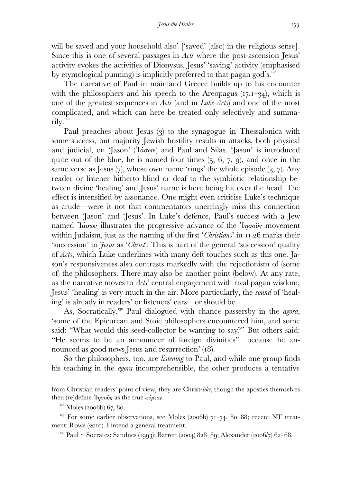will be saved and your household also' ['saved' (also) in the religious sense]. Since this is one of several passages in *Acts* where the post-ascension Jesus' activity evokes the activities of Dionysus, Jesus' 'saving' activity (emphasised by etymological punning) is implicitly preferred to that pagan god's.

 The narrative of Paul in mainland Greece builds up to his encounter with the philosophers and his speech to the Areopagus  $(17.1-34)$ , which is one of the greatest sequences in *Acts* (and in *Luke-Acts*) and one of the most complicated, and which can here be treated only selectively and summarily.

Paul preaches about Jesus (3) to the synagogue in Thessalonica with some success, but majority Jewish hostility results in attacks, both physical and judicial, on 'Jason' (Ἰάσων) and Paul and Silas. 'Jason' is introduced quite out of the blue, he is named four times  $(5, 6, 7, 9)$ , and once in the same verse as Jesus  $(7)$ , whose own name 'rings' the whole episode  $(3, 7)$ . Any reader or listener hitherto blind or deaf to the symbiotic relationship between divine 'healing' and Jesus' name is here being hit over the head. The effect is intensified by assonance. One might even criticise Luke's technique as crude—were it not that commentators unerringly miss this connection between 'Jason' and 'Jesus'. In Luke's defence, Paul's success with a Jew named  $\alpha$ <sup>'</sup>la'*d*<sub>*d*</sub>' illustrates the progressive advance of the  $\eta$ <sup>*n*</sup> $\alpha$ <sup>0</sup> $\beta$ <sub>5</sub> movement within Judaism, just as the naming of the first '*Christians*' in 11.26 marks their 'succession' to *Jesus* as '*Christ*'. This is part of the general 'succession' quality of *Acts*, which Luke underlines with many deft touches such as this one. Jason's responsiveness also contrasts markedly with the rejectionism of (some of) the philosophers. There may also be another point (below). At any rate, as the narrative moves to *Acts*' central engagement with rival pagan wisdom, Jesus' 'healing' is very much in the air. More particularly, the *sound* of 'healing' is already in readers' or listeners' ears—or should be.

As, Socratically,<sup>130</sup> Paul dialogued with chance passersby in the *agora*, 'some of the Epicurean and Stoic philosophers encountered him, and some said: "What would this seed-collector be wanting to say?" But others said: "He seems to be an announcer of foreign divinities"—because he announced as good news Jesus and resurrection' (18).

 So the philosophers, too, are *listening* to Paul, and while one group finds his teaching in the *agora* incomprehensible, the other produces a tentative

 $^{128}$  Moles (2006b) 67, 80.

from Christian readers' point of view, they are Christ-*like*, though the apostles themselves then (re)define  $\eta \sigma \tilde{\omega} s$  as the true κύριος.

<sup>&</sup>lt;sup>129</sup> For some earlier observations, see Moles (2006b)  $71–74$ , 80–88; recent NT treatment: Rowe (2010). I intend a general treatment.

<sup>&</sup>lt;sup>130</sup> Paul ~ Socrates: Sandnes (1993); Barrett (2004) 828–89; Alexander (2006/7) 62–68.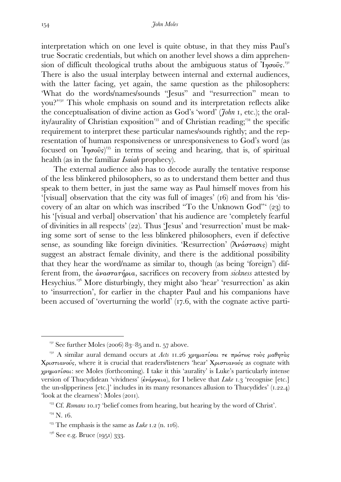interpretation which on one level is quite obtuse, in that they miss Paul's true Socratic credentials, but which on another level shows a dim apprehension of difficult theological truths about the ambiguous status of Ίησοῦς.<sup>131</sup> There is also the usual interplay between internal and external audiences, with the latter facing, yet again, the same question as the philosophers: 'What do the words/names/sounds "Jesus" and "resurrection" mean to you?"<sup>3132</sup> This whole emphasis on sound and its interpretation reflects alike the conceptualisation of divine action as God's 'word' (*John* , etc.); the orality/aurality of Christian exposition<sup>133</sup> and of Christian reading;<sup>134</sup> the specific requirement to interpret these particular names/sounds rightly; and the representation of human responsiveness or unresponsiveness to God's word (as focused on  $\text{Y}_7$   $\sigma$   $\sigma$   $\hat{\sigma}$ s)<sup>135</sup> in terms of seeing and hearing, that is, of spiritual health (as in the familiar *Isaiah* prophecy).

 The external audience also has to decode aurally the tentative response of the less blinkered philosophers, so as to understand them better and thus speak to them better, in just the same way as Paul himself moves from his '[visual] observation that the city was full of images'  $(16)$  and from his 'discovery of an altar on which was inscribed "To the Unknown God"'  $(23)$  to his '[visual and verbal] observation' that his audience are 'completely fearful of divinities in all respects'  $(22)$ . Thus 'Jesus' and 'resurrection' must be making some sort of sense to the less blinkered philosophers, even if defective sense, as sounding like foreign divinities. 'Resurrection' (Ἀνάστασις) might suggest an abstract female divinity, and there is the additional possibility that they hear the word/name as similar to, though (as being 'foreign') different from, the ἀναστατήρια, sacrifices on recovery from *sickness* attested by Hesychius.<sup>136</sup> More disturbingly, they might also 'hear' 'resurrection' as akin to 'insurrection', for earlier in the chapter Paul and his companions have been accused of 'overturning the world'  $(17.6, \text{ with the cognate active parti-}$ 

 $^{131}$  See further Moles (2006) 83–85 and n. 57 above.

<sup>&</sup>lt;sup>132</sup> A similar aural demand occurs at *Acts* **11.26 χρηματίσαι τε πρώτως τοὺς μαθητὰς** Χριστιανούς, where it is crucial that readers/listeners 'hear' Χριστιανούς as cognate with χρηµατίσαι: see Moles (forthcoming). I take it this 'aurality' is Luke's particularly intense version of Thucydidean 'vividness' (*ἐνάργεια*), for I believe that *Luke* 1.3 'recognise [etc.] the un-slipperiness [etc.]' includes in its many resonances allusion to Thucydides'  $(1.22.4)$ 'look at the clearness': Moles (2011).

<sup>&</sup>lt;sup>133</sup> Cf. *Romans* 10.17 'belief comes from hearing, but hearing by the word of Christ'.

 $134$  N. 16.

<sup>&</sup>lt;sup>135</sup> The emphasis is the same as *Luke* 1.2 (n. 116).

 $^{136}$  See e.g. Bruce (1951) 333.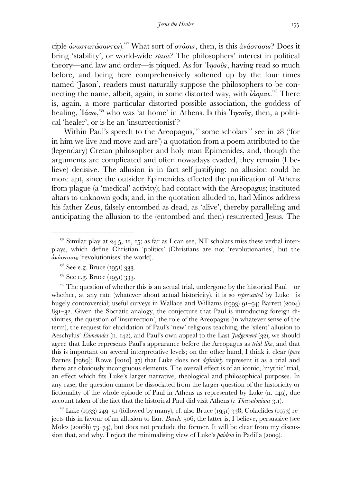ciple  $\dot{a}$ ναστατώσαντες).<sup>137</sup> What sort of στάσις, then, is this  $\dot{a}$ νάστασις? Does it bring 'stability', or world-wide *stasis*? The philosophers' interest in political theory—and law and order—is piqued. As for  $\eta \sigma \tilde{\omega} s$ , having read so much before, and being here comprehensively softened up by the four times named 'Jason', readers must naturally suppose the philosophers to be connecting the name, albeit, again, in some distorted way, with  $i\acute{a}$ ομαι.<sup>138</sup> There is, again, a more particular distorted possible association, the goddess of healing, Ἰάσω,<sup>139</sup> who was 'at home' in Athens. Is this Ἰησοῦς, then, a political 'healer', or is he an 'insurrectionist'?

Within Paul's speech to the Areopagus,<sup>140</sup> some scholars<sup>141</sup> see in 28 ('for in him we live and move and are') a quotation from a poem attributed to the (legendary) Cretan philosopher and holy man Epimenides, and, though the arguments are complicated and often nowadays evaded, they remain (I believe) decisive. The allusion is in fact self-justifying: no allusion could be more apt, since the outsider Epimenides effected the purification of Athens from plague (a 'medical' activity); had contact with the Areopagus; instituted altars to unknown gods; and, in the quotation alluded to, had Minos address his father Zeus, falsely entombed as dead, as 'alive', thereby paralleling and anticipating the allusion to the (entombed and then) resurrected Jesus. The

 $\overline{a}$ 

<sup>141</sup> Lake (1933) 249–51 (followed by many); cf. also Bruce (1951) 338; Colaclides (1973) rejects this in favour of an allusion to Eur. *Bacch*. 506; the latter is, I believe, persuasive (see Moles (2006b)  $73-74$ ), but does not preclude the former. It will be clear from my discussion that, and why, I reject the minimalising view of Luke's *paideia* in Padilla (2009).

<sup>&</sup>lt;sup>137</sup> Similar play at 24.5, 12, 15; as far as I can see, NT scholars miss these verbal interplays, which define Christian 'politics' (Christians are not 'revolutionaries', but the ἀνάστασις 'revolutionises' the world).

 $138$  See e.g. Bruce (1951) 333.

 $^{139}$  See e.g. Bruce (1951) 333.

 $T<sup>40</sup>$  The question of whether this is an actual trial, undergone by the historical Paul—or whether, at any rate (whatever about actual historicity), it is so *represented* by Luke—is hugely controversial; useful surveys in Wallace and Williams (1993) 91–94; Barrett (2004)  $8qI - q2$ . Given the Socratic analogy, the conjecture that Paul is introducing foreign divinities, the question of 'insurrection', the role of the Areopagus (in whatever sense of the term), the request for elucidation of Paul's 'new' religious teaching, the 'silent' allusion to Aeschylus' *Eumenides* (n. 142), and Paul's own appeal to the Last *Judgement* (32), we should agree that Luke represents Paul's appearance before the Areopagus as *trial-like*, and that this is important on several interpretative levels; on the other hand, I think it clear (*pace*  Barnes [1969]; Rowe [2010] 37) that Luke does not *definitely* represent it as a trial and there are obviously incongruous elements. The overall effect is of an iconic, 'mythic' trial, an effect which fits Luke's larger narrative, theological and philosophical purposes. In any case, the question cannot be dissociated from the larger question of the historicity or fictionality of the whole episode of Paul in Athens as represented by Luke  $(n, 149)$ , due account taken of the fact that the historical Paul did visit Athens ( *Thessalonians* .).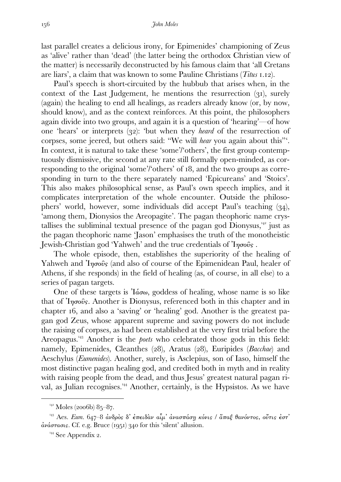last parallel creates a delicious irony, for Epimenides' championing of Zeus as 'alive' rather than 'dead' (the latter being the orthodox Christian view of the matter) is necessarily deconstructed by his famous claim that 'all Cretans are liars', a claim that was known to some Pauline Christians (*Titus* .).

 Paul's speech is short-circuited by the hubbub that arises when, in the context of the Last Judgement, he mentions the resurrection  $(q_1)$ , surely (again) the healing to end all healings, as readers already know (or, by now, should know), and as the context reinforces. At this point, the philosophers again divide into two groups, and again it is a question of 'hearing'—of how one 'hears' or interprets (32): 'but when they *heard* of the resurrection of corpses, some jeered, but others said: "We will *hear* you again about this"'. In context, it is natural to take these 'some'/'others', the first group contemptuously dismissive, the second at any rate still formally open-minded, as corresponding to the original 'some'/'others' of  $18$ , and the two groups as corresponding in turn to the there separately named 'Epicureans' and 'Stoics'. This also makes philosophical sense, as Paul's own speech implies, and it complicates interpretation of the whole encounter. Outside the philosophers' world, however, some individuals did accept Paul's teaching (34), 'among them, Dionysios the Areopagite'. The pagan theophoric name crystallises the subliminal textual presence of the pagan god  $\overline{D}$ ionysus,<sup>142</sup> just as the pagan theophoric name 'Jason' emphasises the truth of the monotheistic Jewish-Christian god 'Yahweh' and the true credentials of 'Iησοῦς.

 The whole episode, then, establishes the superiority of the healing of Yahweh and  $\eta\sigma\tilde{\omega}s$  (and also of course of the Epimenidean Paul, healer of Athens, if she responds) in the field of healing (as, of course, in all else) to a series of pagan targets.

One of these targets is  $I'_{\alpha\alpha}$ , goddess of healing, whose name is so like that of  $\eta \sigma \tilde{\omega}$ . Another is Dionysus, referenced both in this chapter and in chapter 16, and also a 'saving' or 'healing' god. Another is the greatest pagan god Zeus, whose apparent supreme and saving powers do not include the raising of corpses, as had been established at the very first trial before the Areopagus.<sup>143</sup> Another is the *poets* who celebrated those gods in this field: namely, Epimenides, Cleanthes (28), Aratus (28), Euripides (*Bacchae*) and Aeschylus (*Eumenides*). Another, surely, is Asclepius, son of Iaso, himself the most distinctive pagan healing god, and credited both in myth and in reality with raising people from the dead, and thus Jesus' greatest natural pagan rival, as Julian recognises.<sup>144</sup> Another, certainly, is the Hypsistos. As we have

 $^{142}$  Moles (2006b) 85–87.

<sup>&</sup>lt;sup>143</sup> Aes. *Eum.* 647–8 ανδρός δ' έπειδαν αίμ' ανασπάση κόνις / ἅπαξ θανόντος, ούτις έστ'  $\dot{\alpha}\nu\acute{\alpha}\sigma\tau\acute{a}\sigma\iota$ s. Cf. e.g. Bruce (1951) 340 for this 'silent' allusion.

 $144$  See Appendix 2.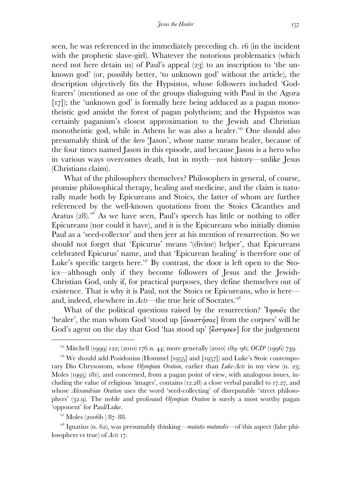seen, he was referenced in the immediately preceding ch. 16 (in the incident with the prophetic slave-girl). Whatever the notorious problematics (which need not here detain us) of Paul's appeal  $(23)$  to an inscription to 'the unknown god' (or, possibly better, 'to unknown god' without the article), the description objectively fits the Hypsistos, whose followers included 'Godfearers' (mentioned as one of the groups dialoguing with Paul in the Agora  $\lceil r_7 \rceil$ ; the 'unknown god' is formally here being adduced as a pagan monotheistic god amidst the forest of pagan polytheism; and the Hypsistos was certainly paganism's closest approximation to the Jewish and Christian monotheistic god, while in Athens he was also a healer.<sup>145</sup> One should also presumably think of the *hero* 'Jason', whose name means healer, because of the four times named Jason in this episode, and because Jason is a hero who in various ways overcomes death, but in myth—not history—unlike Jesus (Christians claim).

 What of the philosophers themselves? Philosophers in general, of course, promise philosophical therapy, healing and medicine, and the claim is naturally made both by Epicureans and Stoics, the latter of whom are further referenced by the well-known quotations from the Stoics Cleanthes and Aratus  $(28)^{146}$  As we have seen, Paul's speech has little or nothing to offer Epicureans (nor could it have), and it is the Epicureans who initially dismiss Paul as a 'seed-collector' and then jeer at his mention of resurrection. So we should not forget that 'Epicurus' means '(divine) helper', that Epicureans celebrated Epicurus' name, and that 'Epicurean healing' is therefore one of Luke's specific targets here.<sup>147</sup> By contrast, the door is left open to the Stoics—although only if they become followers of Jesus and the Jewish-Christian God, only if, for practical purposes, they define themselves out of existence. That is why it is Paul, not the Stoics or Epicureans, who is here and, indeed, elsewhere in *Acts—*the true heir of Socrates.

What of the political questions raised by the resurrection? In  $\sigma$ 'healer', the man whom God 'stood up [ἀναστήσας] from the corpses' will be God's agent on the day that God 'has stood up'  $\epsilon$   $\epsilon$   $\sigma$  $\tau$  $\sigma \epsilon$  $\nu$  for the judgement

<sup>&</sup>lt;sup>145</sup> Mitchell (1999) 122; (2010) 176 n. 44; more generally (2010) 189–96; *OCD*<sup>3</sup> (1996) 739.

 $^{146}$  We should add Posidonius (Hommel [1955] and [1957]) and Luke's Stoic contemporary Dio Chrysostom, whose *Olympian Oration*, earlier than *Luke-Acts* in my view (n. 23; Moles  $(1995)$  181), and concerned, from a pagan point of view, with analogous issues, including the value of religious 'images', contains  $(12.28)$  a close verbal parallel to 17.27, and whose *Alexandrian Oration* uses the word 'seed-collecting' of disreputable 'street philosophers' (32.9). The noble and profound *Olympian Oration* is surely a most worthy pagan 'opponent' for Paul/Luke.

 $^{147}$  Moles (2006b) 87–88.

 $148$  Ignatius (n. 62), was presumably thinking—*mutatis mutandis*—of this aspect (false philosophers vs true) of *Acts* .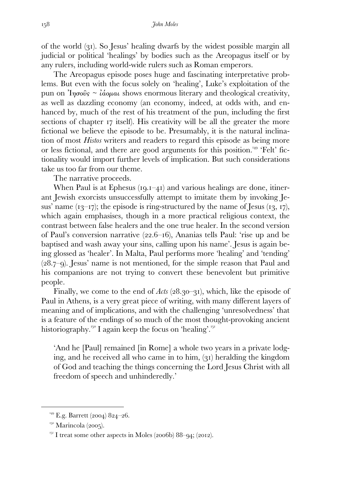of the world  $(q_1)$ . So Jesus' healing dwarfs by the widest possible margin all judicial or political 'healings' by bodies such as the Areopagus itself or by any rulers, including world-wide rulers such as Roman emperors.

 The Areopagus episode poses huge and fascinating interpretative problems. But even with the focus solely on 'healing', Luke's exploitation of the pun on  $\eta_{\sigma\sigma\sigma\sigma} \sim \alpha'_{\sigma\sigma\sigma\sigma}$  shows enormous literary and theological creativity, as well as dazzling economy (an economy, indeed, at odds with, and enhanced by, much of the rest of his treatment of the pun, including the first sections of chapter 17 itself). His creativity will be all the greater the more fictional we believe the episode to be. Presumably, it is the natural inclination of most *Histos* writers and readers to regard this episode as being more or less fictional, and there are good arguments for this position. 'Felt' fictionality would import further levels of implication. But such considerations take us too far from our theme.

The narrative proceeds.

When Paul is at Ephesus  $(19.1-41)$  and various healings are done, itinerant Jewish exorcists unsuccessfully attempt to imitate them by invoking Jesus' name  $(13–17)$ ; the episode is ring-structured by the name of Jesus  $(13, 17)$ , which again emphasises, though in a more practical religious context, the contrast between false healers and the one true healer. In the second version of Paul's conversion narrative  $(22.6-16)$ , Ananias tells Paul: 'rise up and be baptised and wash away your sins, calling upon his name'. Jesus is again being glossed as 'healer'. In Malta, Paul performs more 'healing' and 'tending'  $(28.7–9)$ . Jesus' name is not mentioned, for the simple reason that Paul and his companions are not trying to convert these benevolent but primitive people.

Finally, we come to the end of  $Acts$   $(28.30-31)$ , which, like the episode of Paul in Athens, is a very great piece of writing, with many different layers of meaning and of implications, and with the challenging 'unresolvedness' that is a feature of the endings of so much of the most thought-provoking ancient historiography.<sup> $150$ </sup> I again keep the focus on 'healing'.<sup> $151$ </sup>

'And he [Paul] remained [in Rome] a whole two years in a private lodging, and he received all who came in to him,  $(31)$  heralding the kingdom of God and teaching the things concerning the Lord Jesus Christ with all freedom of speech and unhinderedly.'

<sup>&</sup>lt;sup>149</sup> E.g. Barrett (2004) 824-26.

 $150$  Marincola (2005).

 $I<sub>51</sub>$  I treat some other aspects in Moles (2006b) 88-94; (2012).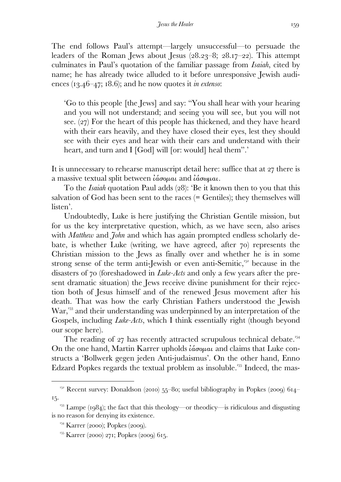The end follows Paul's attempt—largely unsuccessful—to persuade the leaders of the Roman Jews about Jesus  $(28.23-8; 28.17-22)$ . This attempt culminates in Paul's quotation of the familiar passage from *Isaiah*, cited by name; he has already twice alluded to it before unresponsive Jewish audiences  $(13.46-47; 18.6)$ ; and he now quotes it *in extenso*:

'Go to this people [the Jews] and say: "You shall hear with your hearing and you will not understand; and seeing you will see, but you will not see.  $(27)$  For the heart of this people has thickened, and they have heard with their ears heavily, and they have closed their eyes, lest they should see with their eyes and hear with their ears and understand with their heart, and turn and I [God] will [or: would] heal them".'

It is unnecessary to rehearse manuscript detail here: suffice that at 27 there is a massive textual split between ἰάσοµαι and ἰάσωµαι.

To the *Isaiah* quotation Paul adds (28): 'Be it known then to you that this salvation of God has been sent to the races (= Gentiles); they themselves will listen'.

 Undoubtedly, Luke is here justifying the Christian Gentile mission, but for us the key interpretative question, which, as we have seen, also arises with *Matthew* and *John* and which has again prompted endless scholarly debate, is whether Luke (writing, we have agreed, after  $\tau$ o) represents the Christian mission to the Jews as finally over and whether he is in some strong sense of the term anti-Jewish or even anti-Semitic, $15^2$  because in the disasters of 70 (foreshadowed in *Luke-Acts* and only a few years after the present dramatic situation) the Jews receive divine punishment for their rejection both of Jesus himself and of the renewed Jesus movement after his death. That was how the early Christian Fathers understood the Jewish  $War<sub>153</sub>$  and their understanding was underpinned by an interpretation of the Gospels, including *Luke-Acts*, which I think essentially right (though beyond our scope here).

The reading of  $27$  has recently attracted scrupulous technical debate.<sup>154</sup> On the one hand, Martin Karrer upholds ἰάσοµαι and claims that Luke constructs a 'Bollwerk gegen jeden Anti-judaismus'. On the other hand, Enno Edzard Popkes regards the textual problem as insoluble.<sup>155</sup> Indeed, the mas-

<sup>&</sup>lt;sup>152</sup> Recent survey: Donaldson (2010) 55–80; useful bibliography in Popkes (2009)  $614-$ 15.

<sup>&</sup>lt;sup>153</sup> Lampe (1984); the fact that this theology—or theodicy—is ridiculous and disgusting is no reason for denying its existence.

 $^{154}$  Karrer (2000); Popkes (2009).

 $^{155}$  Karrer (2000) 271; Popkes (2000) 615.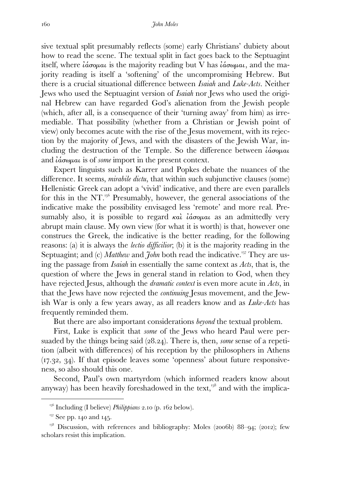sive textual split presumably reflects (some) early Christians' dubiety about how to read the scene. The textual split in fact goes back to the Septuagint itself, where *ίάσομαι* is the majority reading but V has *ίάσωμαι*, and the majority reading is itself a 'softening' of the uncompromising Hebrew. But there is a crucial situational difference between *Isaiah* and *Luke-Acts*. Neither Jews who used the Septuagint version of *Isaiah* nor Jews who used the original Hebrew can have regarded God's alienation from the Jewish people (which, after all, is a consequence of their 'turning away' from him) as irremediable. That possibility (whether from a Christian or Jewish point of view) only becomes acute with the rise of the Jesus movement, with its rejection by the majority of Jews, and with the disasters of the Jewish War, including the destruction of the Temple. So the difference between *ίάσομαι* and ἰάσωµαι is of *some* import in the present context.

 Expert linguists such as Karrer and Popkes debate the nuances of the difference. It seems, *mirabile dictu*, that within such subjunctive clauses (some) Hellenistic Greek can adopt a 'vivid' indicative, and there are even parallels for this in the NT. $^{156}$  Presumably, however, the general associations of the indicative make the possibility envisaged less 'remote' and more real. Presumably also, it is possible to regard  $\kappa a\lambda$  *ιάσομαι* as an admittedly very abrupt main clause. My own view (for what it is worth) is that, however one construes the Greek, the indicative is the better reading, for the following reasons: (a) it is always the *lectio difficilior*; (b) it is the majority reading in the Septuagint; and (c) *Matthew* and *John* both read the indicative.<sup>157</sup> They are using the passage from *Isaiah* in essentially the same context as *Acts*, that is, the question of where the Jews in general stand in relation to God, when they have rejected Jesus, although the *dramatic context* is even more acute in *Acts*, in that the Jews have now rejected the *continuing* Jesus movement, and the Jewish War is only a few years away, as all readers know and as *Luke-Acts* has frequently reminded them.

But there are also important considerations *beyond* the textual problem.

 First, Luke is explicit that *some* of the Jews who heard Paul were persuaded by the things being said (28.24). There is, then, *some* sense of a repetition (albeit with differences) of his reception by the philosophers in Athens  $(17.32, 34)$ . If that episode leaves some 'openness' about future responsiveness, so also should this one.

 Second, Paul's own martyrdom (which informed readers know about anyway) has been heavily foreshadowed in the text,  $158$  and with the implica-

 $I<sub>56</sub>$  Including (I believe) *Philippians* 2.10 (p. 162 below).

 $157$  See pp. 140 and 145.

 $^{158}$  Discussion, with references and bibliography: Moles (2006b) 88–94; (2012); few scholars resist this implication.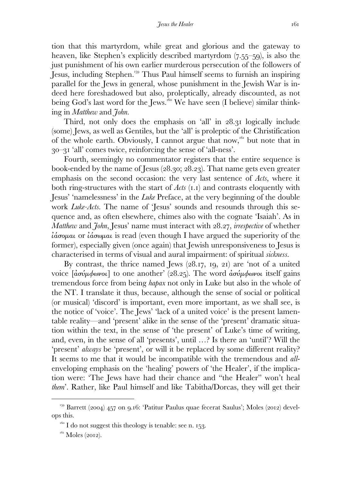tion that this martyrdom, while great and glorious and the gateway to heaven, like Stephen's explicitly described martyrdom  $(7.55-59)$ , is also the just punishment of his own earlier murderous persecution of the followers of Jesus, including Stephen. Thus Paul himself seems to furnish an inspiring parallel for the Jews in general, whose punishment in the Jewish War is indeed here foreshadowed but also, proleptically, already discounted, as not being God's last word for the Jews.<sup>160</sup> We have seen (I believe) similar thinking in *Matthew* and *John.* 

Third, not only does the emphasis on 'all' in 28.31 logically include (some) Jews, as well as Gentiles, but the 'all' is proleptic of the Christification of the whole earth. Obviously, I cannot argue that now,<sup>161</sup> but note that in – 'all' comes twice, reinforcing the sense of 'all-ness'.

 Fourth, seemingly no commentator registers that the entire sequence is book-ended by the name of Jesus  $(28.30; 28.23)$ . That name gets even greater emphasis on the second occasion: the very last sentence of *Acts*, where it both ring-structures with the start of *Acts* (1.1) and contrasts eloquently with Jesus' 'namelessness' in the *Luke* Preface, at the very beginning of the double work *Luke-Acts*. The name of 'Jesus' sounds and resounds through this sequence and, as often elsewhere, chimes also with the cognate 'Isaiah'. As in *Matthew* and *John*, Jesus' name must interact with 28.27, *irrespective* of whether ἰάσοµαι or ἰάσωµαι is read (even though I have argued the superiority of the former), especially given (once again) that Jewish unresponsiveness to Jesus is characterised in terms of visual and aural impairment: of spiritual *sickness*.

By contrast, the thrice named Jews  $(28.17, 19, 21)$  are 'not of a united voice  $\left[\frac{\partial \sigma \dot{\psi}}{\partial \phi}$ ωνοι] to one another' (28.25). The word  $\frac{\partial \sigma \dot{\psi}}{\partial \phi}$ ωνοι itself gains tremendous force from being *hapax* not only in Luke but also in the whole of the NT. I translate it thus, because, although the sense of social or political (or musical) 'discord' is important, even more important, as we shall see, is the notice of 'voice'. The Jews' 'lack of a united voice' is the present lamentable reality—and 'present' alike in the sense of the 'present' dramatic situation within the text, in the sense of 'the present' of Luke's time of writing, and, even, in the sense of all 'presents', until …? Is there an 'until'? Will the 'present' *always* be 'present', or will it be replaced by some different reality? It seems to me that it would be incompatible with the tremendous and *all*enveloping emphasis on the 'healing' powers of 'the Healer', if the implication were: 'The Jews have had their chance and "the Healer" won't heal *them*'. Rather, like Paul himself and like Tabitha/Dorcas, they will get their

<sup>&</sup>lt;sup>159</sup> Barrett (2004) 457 on 9.16: 'Patitur Paulus quae fecerat Saulus'; Moles (2012) develops this.

 $1^{160}$  I do not suggest this theology is tenable: see n. 153.

 $161$  Moles (2012).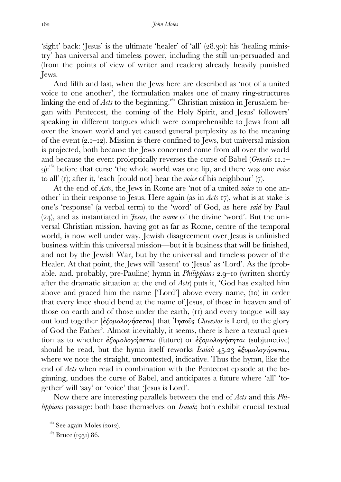'sight' back: 'Jesus' is the ultimate 'healer' of 'all'  $(28.30)$ : his 'healing ministry' has universal and timeless power, including the still un-persuaded and (from the points of view of writer and readers) already heavily punished Jews.

 And fifth and last, when the Jews here are described as 'not of a united voice to one another', the formulation makes one of many ring-structures linking the end of *Acts* to the beginning.<sup> $162$ </sup> Christian mission in Jerusalem began with Pentecost, the coming of the Holy Spirit, and Jesus' followers' speaking in different tongues which were comprehensible to Jews from all over the known world and yet caused general perplexity as to the meaning of the event  $(2,I-I2)$ . Mission is there confined to Jews, but universal mission is projected, both because the Jews concerned come from all over the world and because the event proleptically reverses the curse of Babel *(Genesis*  $II.I-$ ): before that curse 'the whole world was one lip, and there was one *voice*  to all' (1); after it, 'each [could not] hear the *voice* of his neighbour' (7).

 At the end of *Acts*, the Jews in Rome are 'not of a united *voice* to one another' in their response to Jesus. Here again (as in *Acts* ), what is at stake is one's 'response' (a verbal term) to the 'word' of God, as here *said* by Paul (), and as instantiated in *Jesus*, the *name* of the divine 'word'. But the universal Christian mission, having got as far as Rome, centre of the temporal world, is now well under way. Jewish disagreement over Jesus is unfinished business within this universal mission—but it is business that will be finished, and not by the Jewish War, but by the universal and timeless power of the Healer. At that point, the Jews will 'assent' to 'Jesus' as 'Lord'. As the (probable, and, probably, pre-Pauline) hymn in *Philippians* 2.9–10 (written shortly after the dramatic situation at the end of *Acts*) puts it, 'God has exalted him above and graced him the name ['Lord'] above every name, (10) in order that every knee should bend at the name of Jesus, of those in heaven and of those on earth and of those under the earth,  $(11)$  and every tongue will say out loud together [ἐξοµολογήσεται] that Ἰησοῦς *Chreestos* is Lord, to the glory of God the Father'. Almost inevitably, it seems, there is here a textual question as to whether ἐξοµολογήσεται (future) or ἐξοµολογήσηται (subjunctive) should be read, but the hymn itself reworks *Isaiah* 45.23 εξομολογήσεται, where we note the straight, uncontested, indicative. Thus the hymn, like the end of *Acts* when read in combination with the Pentecost episode at the beginning, undoes the curse of Babel, and anticipates a future where 'all' 'together' will 'say' or 'voice' that 'Jesus is Lord'.

 Now there are interesting parallels between the end of *Acts* and this *Philippians* passage: both base themselves on *Isaiah*; both exhibit crucial textual

 $162$  See again Moles (2012).

 $163$  Bruce (1951) 86.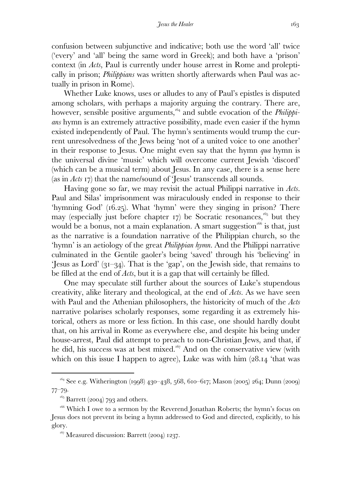confusion between subjunctive and indicative; both use the word 'all' twice ('every' and 'all' being the same word in Greek); and both have a 'prison' context (in *Acts*, Paul is currently under house arrest in Rome and proleptically in prison; *Philippians* was written shortly afterwards when Paul was actually in prison in Rome).

 Whether Luke knows, uses or alludes to any of Paul's epistles is disputed among scholars, with perhaps a majority arguing the contrary. There are, however, sensible positive arguments,<sup>164</sup> and subtle evocation of the *Philippians* hymn is an extremely attractive possibility, made even easier if the hymn existed independently of Paul. The hymn's sentiments would trump the current unresolvedness of the Jews being 'not of a united voice to one another' in their response to Jesus. One might even say that the hymn *qua* hymn is the universal divine 'music' which will overcome current Jewish 'discord' (which can be a musical term) about Jesus. In any case, there is a sense here (as in *Acts 17*) that the name/sound of 'Jesus' transcends all sounds.

 Having gone so far, we may revisit the actual Philippi narrative in *Acts*. Paul and Silas' imprisonment was miraculously ended in response to their 'hymning God' (16.25). What 'hymn' were they singing in prison? There may (especially just before chapter  $17$ ) be Socratic resonances,<sup>165</sup> but they would be a bonus, not a main explanation. A smart suggestion  $166$  is that, just as the narrative is a foundation narrative of the Philippian church, so the 'hymn' is an aetiology of the great *Philippian hymn*. And the Philippi narrative culminated in the Gentile gaoler's being 'saved' through his 'believing' in 'Jesus as Lord'  $(3I-34)$ . That is the 'gap', on the Jewish side, that remains to be filled at the end of *Acts*, but it is a gap that will certainly be filled.

 One may speculate still further about the sources of Luke's stupendous creativity, alike literary and theological, at the end of *Acts*. As we have seen with Paul and the Athenian philosophers, the historicity of much of the *Acts*  narrative polarises scholarly responses, some regarding it as extremely historical, others as more or less fiction. In this case, one should hardly doubt that, on his arrival in Rome as everywhere else, and despite his being under house-arrest, Paul did attempt to preach to non-Christian Jews, and that, if he did, his success was at best mixed.<sup>167</sup> And on the conservative view (with which on this issue I happen to agree), Luke was with him  $(28.14)$  that was

<sup>&</sup>lt;sup>164</sup> See e.g. Witherington (1998) 430–438, 568, 610–617; Mason (2005) 264; Dunn (2009)  $77 - 79$ 

 $165$  Barrett (2004) 793 and others.

<sup>&</sup>lt;sup>166</sup> Which I owe to a sermon by the Reverend Jonathan Roberts; the hymn's focus on Jesus does not prevent its being a hymn addressed to God and directed, explicitly, to his glory.

 $167$  Measured discussion: Barrett (2004) 1237.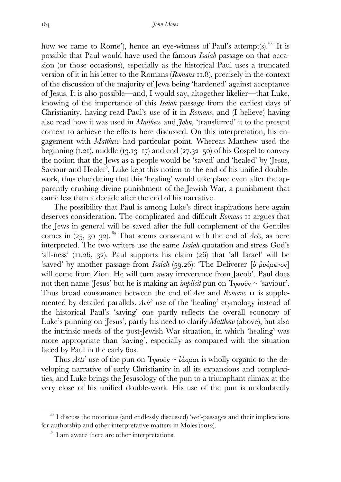how we came to Rome'), hence an eye-witness of Paul's attempt(s).<sup>168</sup> It is possible that Paul would have used the famous *Isaiah* passage on that occasion (or those occasions), especially as the historical Paul uses a truncated version of it in his letter to the Romans (*Romans* 11.8), precisely in the context of the discussion of the majority of Jews being 'hardened' against acceptance of Jesus. It is also possible—and, I would say, altogether likelier—that Luke, knowing of the importance of this *Isaiah* passage from the earliest days of Christianity, having read Paul's use of it in *Romans*, and (I believe) having also read how it was used in *Matthew* and *John*, 'transferred' it to the present context to achieve the effects here discussed. On this interpretation, his engagement with *Matthew* had particular point. Whereas Matthew used the beginning  $(1.21)$ , middle  $(13.13-17)$  and end  $(27.32-50)$  of his Gospel to convey the notion that the Jews as a people would be 'saved' and 'healed' by 'Jesus, Saviour and Healer', Luke kept this notion to the end of his unified doublework, thus elucidating that this 'healing' would take place even after the apparently crushing divine punishment of the Jewish War, a punishment that came less than a decade after the end of his narrative.

 The possibility that Paul is among Luke's direct inspirations here again deserves consideration. The complicated and difficult *Romans* II argues that the Jews in general will be saved after the full complement of the Gentiles comes in  $(25, 30-32)$ .<sup>169</sup> That seems consonant with the end of *Acts*, as here interpreted. The two writers use the same *Isaiah* quotation and stress God's 'all-ness'  $(11.26, 32)$ . Paul supports his claim  $(26)$  that 'all Israel' will be 'saved' by another passage from *Isaiah* (59.26): 'The Deliverer [δ ρυόμενος] will come from Zion. He will turn away irreverence from Jacob'. Paul does not then name 'Jesus' but he is making an *implicit* pun on Ἰησοῦς ~ 'saviour'. Thus broad consonance between the end of *Acts* and *Romans*  is supplemented by detailed parallels. *Acts*' use of the 'healing' etymology instead of the historical Paul's 'saving' one partly reflects the overall economy of Luke's punning on 'Jesus', partly his need to clarify *Matthew* (above), but also the intrinsic needs of the post-Jewish War situation, in which 'healing' was more appropriate than 'saving', especially as compared with the situation faced by Paul in the early 60s.

Thus *Acts*' use of the pun on  $\eta \sigma \tilde{\omega}$   $\sim \tilde{\mu} \omega \mu a \mu$  is wholly organic to the developing narrative of early Christianity in all its expansions and complexities, and Luke brings the Jesusology of the pun to a triumphant climax at the very close of his unified double-work. His use of the pun is undoubtedly

<sup>&</sup>lt;sup>168</sup> I discuss the notorious (and endlessly discussed) 'we'-passages and their implications for authorship and other interpretative matters in Moles  $(2012)$ .

 $I<sup>169</sup>$  I am aware there are other interpretations.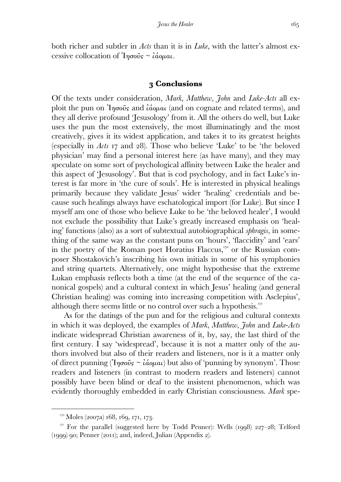both richer and subtler in *Acts* than it is in *Luke*, with the latter's almost excessive collocation of Ίησοῦς ~ ἰάομαι.

#### **Conclusions**

Of the texts under consideration, *Mark*, *Matthew*, *John* and *Luke-Acts* all exploit the pun on Ἰησοῦς and ἰάοµαι (and on cognate and related terms), and they all derive profound 'Jesusology' from it. All the others do well, but Luke uses the pun the most extensively, the most illuminatingly and the most creatively, gives it its widest application, and takes it to its greatest heights (especially in *Acts* 17 and 28). Those who believe 'Luke' to be 'the beloved physician' may find a personal interest here (as have many), and they may speculate on some sort of psychological affinity between Luke the healer and this aspect of 'Jesusology'. But that is cod psychology, and in fact Luke's interest is far more in 'the cure of souls'. He is interested in physical healings primarily because they validate Jesus' wider 'healing' credentials and because such healings always have eschatological import (for Luke). But since I myself am one of those who believe Luke to be 'the beloved healer', I would not exclude the possibility that Luke's greatly increased emphasis on 'healing' functions (also) as a sort of subtextual autobiographical *sphragis*, in something of the same way as the constant puns on 'hours', 'flaccidity' and 'ears' in the poetry of the Roman poet Horatius Flaccus,  $\frac{170}{10}$  or the Russian composer Shostakovich's inscribing his own initials in some of his symphonies and string quartets. Alternatively, one might hypothesise that the extreme Lukan emphasis reflects both a time (at the end of the sequence of the canonical gospels) and a cultural context in which Jesus' healing (and general Christian healing) was coming into increasing competition with Asclepius', although there seems little or no control over such a hypothesis.

 As for the datings of the pun and for the religious and cultural contexts in which it was deployed, the examples of *Mark*, *Matthew*, *John* and *Luke*-*Acts*  indicate widespread Christian awareness of it, by, say, the last third of the first century. I say 'widespread', because it is not a matter only of the authors involved but also of their readers and listeners, nor is it a matter only of direct punning ( $\eta \sigma \hat{\omega}$ s ~ *ἰάομαι*) but also of 'punning by synonym'. Those readers and listeners (in contrast to modern readers and listeners) cannot possibly have been blind or deaf to the insistent phenomenon, which was evidently thoroughly embedded in early Christian consciousness. *Mark* spe-

 $170$  Moles (2007a) 168, 169, 171, 173.

<sup>&</sup>lt;sup>171</sup> For the parallel (suggested here by Todd Penner): Wells (1998)  $227-28$ ; Telford  $(1999)$  90; Penner (2011); and, indeed, Julian (Appendix 2).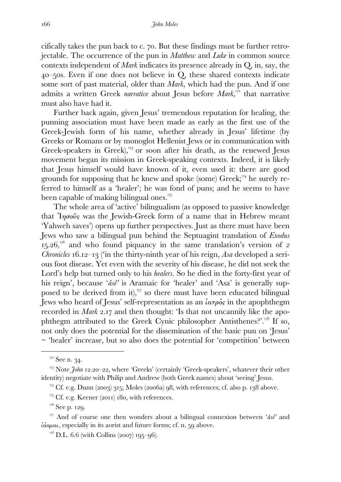cifically takes the pun back to c.  $70$ . But these findings must be further retrojectable. The occurrence of the pun in *Matthew* and *Luke* in common source contexts independent of *Mark* indicates its presence already in Q, in, say, the  $40$ –50s. Even if one does not believe in Q, these shared contexts indicate some sort of past material, older than *Mark*, which had the pun. And if one admits a written Greek *narrative* about Jesus before *Mark*,<sup>172</sup> that narrative must also have had it.

 Further back again, given Jesus' tremendous reputation for healing, the punning association must have been made as early as the first use of the Greek-Jewish form of his name, whether already in Jesus' lifetime (by Greeks or Romans or by monoglot Hellenist Jews or in communication with Greek-speakers in Greek), $\frac{173}{2}$  or soon after his death, as the renewed Jesus movement began its mission in Greek-speaking contexts. Indeed, it is likely that Jesus himself would have known of it, even used it: there are good grounds for supposing that he knew and spoke (some)  $Greek;<sup>174</sup>$  he surely referred to himself as a 'healer'; he was fond of puns; and he seems to have been capable of making bilingual ones.<sup>175</sup>

 The whole area of 'active' bilingualism (as opposed to passive knowledge that  $I_{\eta\sigma o\hat{v} s}$  was the Jewish-Greek form of a name that in Hebrew meant 'Yahweh saves') opens up further perspectives. Just as there must have been Jews who saw a bilingual pun behind the Septuagint translation of *Exodus*   $15.26$ ,<sup> $176$ </sup> and who found piquancy in the same translation's version of  $\sigma$ *Chronicles* 16.12–13 ('in the thirty-ninth year of his reign, *Asa* developed a serious foot disease. Yet even with the severity of his disease, he did not seek the Lord's help but turned only to his *healers*. So he died in the forty-first year of his reign', because '*âsê'* is Aramaic for 'healer' and 'Asa' is generally supposed to be derived from it), $\frac{177}{17}$  so there must have been educated bilingual Jews who heard of Jesus' self-representation as an  $\lambda a \tau \rho \phi s$  in the apophthegm recorded in *Mark* 2.17 and then thought: 'Is that not uncannily like the apophthegm attributed to the Greek Cynic philosopher Antisthenes?'.<sup> $18$ </sup> If so, not only does the potential for the dissemination of the basic pun on 'Jesus' ~ 'healer' increase, but so also does the potential for 'competition' between

 $\overline{a}$ 

 $17^6$  See p. 120.

 $172$  See n. 34.

<sup>&</sup>lt;sup>173</sup> Note *John* 12.20–22, where 'Greeks' (certainly 'Greek-speakers', whatever their other identity) negotiate with Philip and Andrew (both Greek names) about 'seeing' Jesus.

 $^{174}$  Cf. e.g. Dunn (2003) 315; Moles (2006a) 98, with references; cf. also p. 138 above.

 $^{175}$  Cf. e.g. Keener (2011) 180, with references.

<sup>&</sup>lt;sup>177</sup> And of course one then wonders about a bilingual connexion between '*âsê*' and  $i\acute{a}o\mu a\iota$ , especially in its aorist and future forms; cf. n. 59 above.

 $178$  D.L. 6.6 (with Collins (2007) 195–96).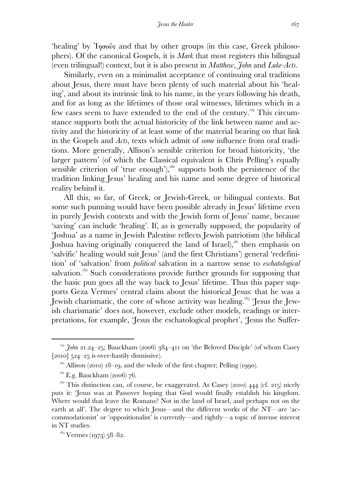'healing' by Ἰησοῦς and that by other groups (in this case, Greek philosophers). Of the canonical Gospels, it is *Mark* that most registers this bilingual (even trilingual!) context, but it is also present in *Matthew*, *John* and *Luke-Acts*.

 Similarly, even on a minimalist acceptance of continuing oral traditions about Jesus, there must have been plenty of such material about his 'healing', and about its intrinsic link to his name, in the years following his death, and for as long as the lifetimes of those oral witnesses, lifetimes which in a few cases seem to have extended to the end of the century. This circumstance supports both the actual historicity of the link between name and activity and the historicity of at least some of the material bearing on that link in the Gospels and *Acts*, texts which admit of *some* influence from oral traditions. More generally, Allison's sensible criterion for broad historicity, 'the larger pattern' (of which the Classical equivalent is Chris Pelling's equally sensible criterion of 'true enough'), $180$  supports both the persistence of the tradition linking Jesus' healing and his name and some degree of historical reality behind it.

 All this, so far, of Greek, or Jewish-Greek, or bilingual contexts. But some such punning would have been possible already in Jesus' lifetime even in purely Jewish contexts and with the Jewish form of Jesus' name, because 'saving' can include 'healing'. If, as is generally supposed, the popularity of 'Joshua' as a name in Jewish Palestine reflects Jewish patriotism (the biblical Joshua having originally conquered the land of Israel),<sup>181</sup> then emphasis on 'salvific' healing would suit Jesus' (and the first Christians') general 'redefinition' of 'salvation' from *political* salvation in a narrow sense to *eschatological* salvation.<sup>182</sup> Such considerations provide further grounds for supposing that the basic pun goes all the way back to Jesus' lifetime. Thus this paper supports Geza Vermes' central claim about the historical Jesus: that he was a Jewish charismatic, the core of whose activity was healing. 'Jesus the Jewish charismatic' does not, however, exclude other models, readings or interpretations, for example, 'Jesus the eschatological prophet', 'Jesus the Suffer-

<sup>&</sup>lt;sup>179</sup> *John 21.24*-25; Bauckham (2006) 384-411 on 'the Beloved Disciple' (of whom Casey [ $2010$ ]  $524-25$  is over-hastily dismissive).

 $180$  Allison (2010)  $18-19$ , and the whole of the first chapter; Pelling (1990).

 $E.g.$  Bauckham (2006) 76.

 $182$  This distinction can, of course, be exaggerated. As Casey (2010)  $444$  (cf. 215) nicely puts it: 'Jesus was at Passover hoping that God would finally establish his kingdom. Where would that leave the Romans? Not in the land of Israel, and perhaps not on the earth at all'. The degree to which Jesus—and the different works of the NT—are 'accommodationist' or 'oppositionalist' is currently—and rightly—a topic of intense interest in NT studies.

 $^{183}$  Vermes (1973) 58–82.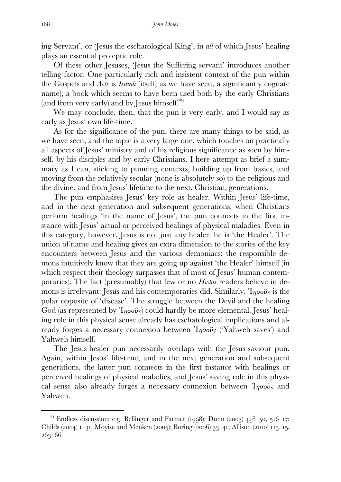ing Servant', or 'Jesus the eschatological King', in *all* of which Jesus' healing plays an essential proleptic role.

 Of these other Jesuses, 'Jesus the Suffering servant' introduces another telling factor. One particularly rich and insistent context of the pun within the Gospels and *Acts* is *Isaiah* (itself, as we have seen, a significantly cognate name), a book which seems to have been used both by the early Christians (and from very early) and by Jesus himself.

 We may conclude, then, that the pun is very early, and I would say as early as Jesus' own life-time.

 As for the significance of the pun, there are many things to be said, as we have seen, and the topic is a very large one, which touches on practically all aspects of Jesus' ministry and of his religious significance as seen by himself, by his disciples and by early Christians. I here attempt as brief a summary as I can, sticking to punning contexts, building up from basics, and moving from the relatively secular (none is absolutely so) to the religious and the divine, and from Jesus' lifetime to the next, Christian, generations.

 The pun emphasises Jesus' key role as healer. Within Jesus' life-time, and in the next generation and subsequent generations, when Christians perform healings 'in the name of Jesus', the pun connects in the first instance with Jesus' actual or perceived healings of physical maladies. Even in this category, however, Jesus is not just any healer: he is 'the Healer'. The union of name and healing gives an extra dimension to the stories of the key encounters between Jesus and the various demoniacs: the responsible demons intuitively know that they are going up against 'the Healer' himself (in which respect their theology surpasses that of most of Jesus' human contemporaries). The fact (presumably) that few or no *Histos* readers believe in demons is irrelevant: Jesus and his contemporaries did. Similarly,  $\eta_{\sigma}$  is the polar opposite of 'disease'. The struggle between the Devil and the healing God (as represented by  $\mathcal{I}_{\eta\sigma o} \hat{\mathbf{v}}$ ) could hardly be more elemental. Jesus' healing role in this physical sense already has eschatological implications and already forges a necessary connexion between  $\eta_{\sigma}$  (Yahweh saves) and Yahweh himself.

 The Jesus-healer pun necessarily overlaps with the Jesus-saviour pun. Again, within Jesus' life-time, and in the next generation and subsequent generations, the latter pun connects in the first instance with healings or perceived healings of physical maladies, and Jesus' saving role in this physical sense also already forges a necessary connexion between  $\eta_{\sigma}$  and Yahweh.

 $184$  Endless discussion: e.g. Bellinger and Farmer (1998); Dunn (2003) 448-50, 516-17; Childs (2004)  $i$ –31; Moyise and Menken (2005); Boring (2006) 33–41; Allison (2010)  $i$ 13–15, 263-66.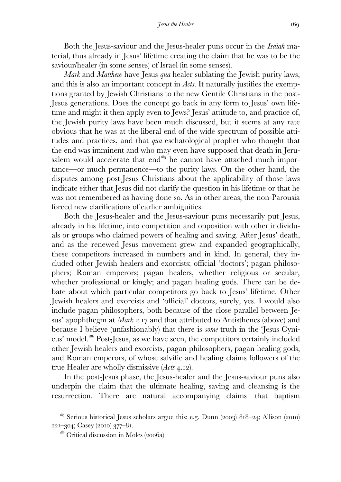Both the Jesus-saviour and the Jesus-healer puns occur in the *Isaiah* material, thus already in Jesus' lifetime creating the claim that he was to be the saviour/healer (in some senses) of Israel (in some senses).

 *Mark* and *Matthew* have Jesus *qua* healer sublating the Jewish purity laws, and this is also an important concept in *Acts*. It naturally justifies the exemptions granted by Jewish Christians to the new Gentile Christians in the post-Jesus generations. Does the concept go back in any form to Jesus' own lifetime and might it then apply even to Jews? Jesus' attitude to, and practice of, the Jewish purity laws have been much discussed, but it seems at any rate obvious that he was at the liberal end of the wide spectrum of possible attitudes and practices, and that *qua* eschatological prophet who thought that the end was imminent and who may even have supposed that death in Jerusalem would accelerate that end $185$  he cannot have attached much importance—or much permanence—to the purity laws. On the other hand, the disputes among post-Jesus Christians about the applicability of those laws indicate either that Jesus did not clarify the question in his lifetime or that he was not remembered as having done so. As in other areas, the non-Parousia forced new clarifications of earlier ambiguities.

 Both the Jesus-healer and the Jesus-saviour puns necessarily put Jesus, already in his lifetime, into competition and opposition with other individuals or groups who claimed powers of healing and saving. After Jesus' death, and as the renewed Jesus movement grew and expanded geographically, these competitors increased in numbers and in kind. In general, they included other Jewish healers and exorcists; official 'doctors'; pagan philosophers; Roman emperors; pagan healers, whether religious or secular, whether professional or kingly; and pagan healing gods. There can be debate about which particular competitors go back to Jesus' lifetime. Other Jewish healers and exorcists and 'official' doctors, surely, yes. I would also include pagan philosophers, both because of the close parallel between Jesus' apophthegm at *Mark* 2.17 and that attributed to Antisthenes (above) and because I believe (unfashionably) that there is *some* truth in the 'Jesus Cynicus' model.<sup>186</sup> Post-Jesus, as we have seen, the competitors certainly included other Jewish healers and exorcists, pagan philosophers, pagan healing gods, and Roman emperors, of whose salvific and healing claims followers of the true Healer are wholly dismissive (*Acts* 4.12).

 In the post-Jesus phase, the Jesus-healer and the Jesus-saviour puns also underpin the claim that the ultimate healing, saving and cleansing is the resurrection. There are natural accompanying claims—that baptism

 $185$  Serious historical Jesus scholars argue this: e.g. Dunn (2003) 818–24; Allison (2010)  $221 - 304$ ; Casey (2010)  $377 - 81$ .

 $186$  Critical discussion in Moles (2006a).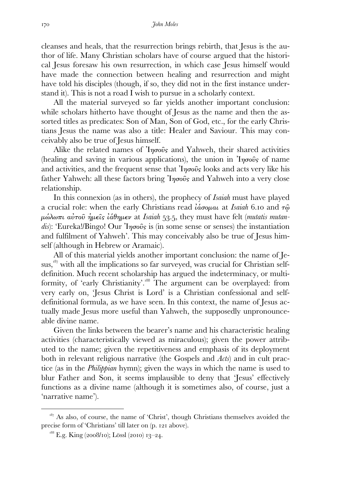cleanses and heals, that the resurrection brings rebirth, that Jesus is the author of life. Many Christian scholars have of course argued that the historical Jesus foresaw his own resurrection, in which case Jesus himself would have made the connection between healing and resurrection and might have told his disciples (though, if so, they did not in the first instance understand it). This is not a road I wish to pursue in a scholarly context.

 All the material surveyed so far yields another important conclusion: while scholars hitherto have thought of Jesus as the name and then the assorted titles as predicates: Son of Man, Son of God, etc., for the early Christians Jesus the name was also a title: Healer and Saviour. This may conceivably also be true of Jesus himself.

Alike the related names of  $\eta_{\sigma}$  and Yahweh, their shared activities (healing and saving in various applications), the union in  $\eta \sigma \tilde{\sigma}$  of name and activities, and the frequent sense that  $\eta \sigma \hat{\omega} s$  looks and acts very like his father Yahweh: all these factors bring  $\eta \sigma \hat{\omega}$  and Yahweh into a very close relationship.

 In this connexion (as in others), the prophecy of *Isaiah* must have played a crucial role: when the early Christians read *ιάσομαι* at *Isaiah* 6.10 and τ<u>ω</u> µώλωπι αὐτοῦ ἡµεῖς ἰάθηµεν at *Isaiah* ., they must have felt (*mutatis mutandis*): 'Eureka!/Bingo! Our Ἰησοῦς is (in some sense or senses) the instantiation and fulfilment of Yahweh'. This may conceivably also be true of Jesus himself (although in Hebrew or Aramaic).

 All of this material yields another important conclusion: the name of Jesus,<sup>187</sup> with all the implications so far surveyed, was crucial for Christian selfdefinition. Much recent scholarship has argued the indeterminacy, or multiformity, of 'early Christianity'.<sup>188</sup> The argument can be overplayed: from very early on, 'Jesus Christ is Lord' is a Christian confessional and selfdefinitional formula, as we have seen. In this context, the name of Jesus actually made Jesus more useful than Yahweh, the supposedly unpronounceable divine name.

 Given the links between the bearer's name and his characteristic healing activities (characteristically viewed as miraculous); given the power attributed to the name; given the repetitiveness and emphasis of its deployment both in relevant religious narrative (the Gospels and *Acts*) and in cult practice (as in the *Philippian* hymn); given the ways in which the name is used to blur Father and Son, it seems implausible to deny that 'Jesus' effectively functions as a divine name (although it is sometimes also, of course, just a 'narrative name').

 $187$  As also, of course, the name of 'Christ', though Christians themselves avoided the precise form of 'Christians' till later on (p. 121 above).

 $^{188}$  E.g. King (2008/10); Lössl (2010) 13–24.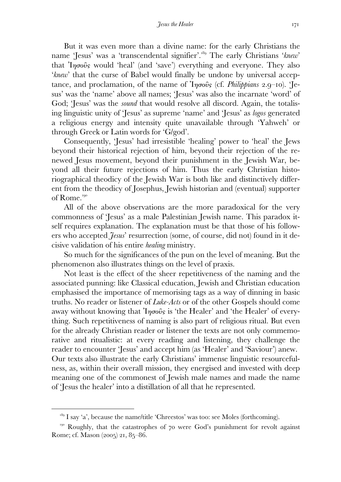But it was even more than a divine name: for the early Christians the name 'Jesus' was a 'transcendental signifier'.<sup>189</sup> The early Christians '*knew*' that  $Inq\sigma\tilde{\nu}$  would 'heal' (and 'save') everything and everyone. They also '*knew*' that the curse of Babel would finally be undone by universal acceptance, and proclamation, of the name of *Inσο*ῦς (cf. *Philippians* 2.9–10). 'Jesus' was the 'name' above all names; 'Jesus' was also the incarnate 'word' of God; 'Jesus' was the *sound* that would resolve all discord. Again, the totalising linguistic unity of 'Jesus' as supreme 'name' and 'Jesus' as *logos* generated a religious energy and intensity quite unavailable through 'Yahweh' or through Greek or Latin words for 'G/god'.

 Consequently, 'Jesus' had irresistible 'healing' power to 'heal' the Jews beyond their historical rejection of him, beyond their rejection of the renewed Jesus movement, beyond their punishment in the Jewish War, beyond all their future rejections of him. Thus the early Christian historiographical theodicy of the Jewish War is both like and distinctively different from the theodicy of Josephus, Jewish historian and (eventual) supporter of Rome.

 All of the above observations are the more paradoxical for the very commonness of 'Jesus' as a male Palestinian Jewish name. This paradox itself requires explanation. The explanation must be that those of his followers who accepted *Jesus*' resurrection (some, of course, did not) found in it decisive validation of his entire *healing* ministry.

 So much for the significances of the pun on the level of meaning. But the phenomenon also illustrates things on the level of praxis.

 Not least is the effect of the sheer repetitiveness of the naming and the associated punning: like Classical education, Jewish and Christian education emphasised the importance of memorising tags as a way of dinning in basic truths. No reader or listener of *Luke-Acts* or of the other Gospels should come away without knowing that  $\eta\sigma\hat{\omega}$  is 'the Healer' and 'the Healer' of everything. Such repetitiveness of naming is also part of religious ritual. But even for the already Christian reader or listener the texts are not only commemorative and ritualistic: at every reading and listening, they challenge the reader to encounter 'Jesus' and accept him (as 'Healer' and 'Saviour') anew. Our texts also illustrate the early Christians' immense linguistic resourcefulness, as, within their overall mission, they energised and invested with deep meaning one of the commonest of Jewish male names and made the name of 'Jesus the healer' into a distillation of all that he represented.

 $1^{89}$  I say 'a', because the name/title 'Chreestos' was too: see Moles (forthcoming).

 $F<sub>190</sub>$  Roughly, that the catastrophes of 70 were God's punishment for revolt against Rome; cf. Mason  $(2005)$  21, 85–86.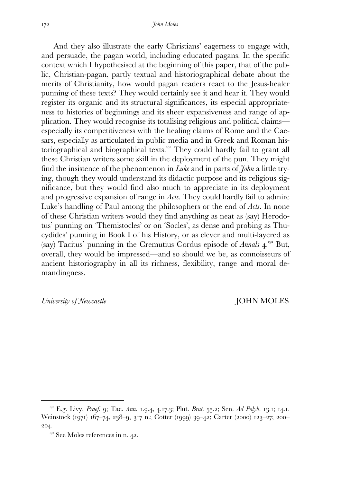And they also illustrate the early Christians' eagerness to engage with, and persuade, the pagan world, including educated pagans. In the specific context which I hypothesised at the beginning of this paper, that of the public, Christian-pagan, partly textual and historiographical debate about the merits of Christianity, how would pagan readers react to the Jesus-healer punning of these texts? They would certainly see it and hear it. They would register its organic and its structural significances, its especial appropriateness to histories of beginnings and its sheer expansiveness and range of application. They would recognise its totalising religious and political claims especially its competitiveness with the healing claims of Rome and the Caesars, especially as articulated in public media and in Greek and Roman historiographical and biographical texts.<sup>191</sup> They could hardly fail to grant all these Christian writers some skill in the deployment of the pun. They might find the insistence of the phenomenon in *Luke* and in parts of *John* a little trying, though they would understand its didactic purpose and its religious significance, but they would find also much to appreciate in its deployment and progressive expansion of range in *Acts*. They could hardly fail to admire Luke's handling of Paul among the philosophers or the end of *Acts.* In none of these Christian writers would they find anything as neat as (say) Herodotus' punning on 'Themistocles' or on 'Socles', as dense and probing as Thucydides' punning in Book I of his History, or as clever and multi-layered as (say) Tacitus' punning in the Cremutius Cordus episode of *Annals* 4.<sup>192</sup> But, overall, they would be impressed—and so should we be, as connoisseurs of ancient historiography in all its richness, flexibility, range and moral demandingness.

*University of Newcastle* JOHN MOLES

<sup>&</sup>lt;sup>191</sup> E.g. Livy, *Praef.* 9; Tac. *Ann.* 1.9.4, 4.17.3; Plut. *Brut.* 55.2; Sen. *Ad Polyb.* 13.1; 14.1. Weinstock (1971) 167-74, 238-9, 317 n.; Cotter (1999) 39-42; Carter (2000) 123-27; 200-204.

 $192}$  See Moles references in n. 42.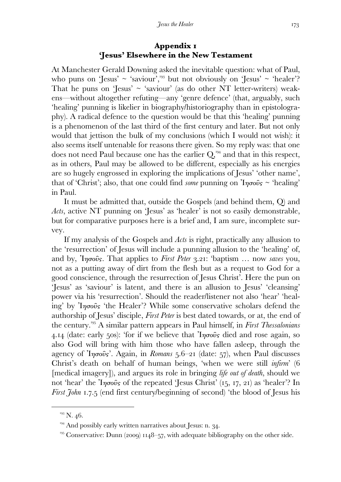## **Appendix 'Jesus' Elsewhere in the New Testament**

At Manchester Gerald Downing asked the inevitable question: what of Paul, who puns on 'Jesus'  $\sim$  'saviour',<sup>193</sup> but not obviously on 'Jesus'  $\sim$  'healer'? That he puns on 'Jesus'  $\sim$  'saviour' (as do other NT letter-writers) weakens—without altogether refuting—any 'genre defence' (that, arguably, such 'healing' punning is likelier in biography/historiography than in epistolography). A radical defence to the question would be that this 'healing' punning is a phenomenon of the last third of the first century and later. But not only would that jettison the bulk of my conclusions (which I would not wish): it also seems itself untenable for reasons there given. So my reply was: that one does not need Paul because one has the earlier  $Q_{\mu}^{\mu}$  and that in this respect, as in others, Paul may be allowed to be different, especially as his energies are so hugely engrossed in exploring the implications of Jesus' 'other name', that of 'Christ'; also, that one could find *some* punning on Ἰησοῦς ~ 'healing' in Paul.

 It must be admitted that, outside the Gospels (and behind them, Q) and *Acts*, active NT punning on 'Jesus' as 'healer' is not so easily demonstrable, but for comparative purposes here is a brief and, I am sure, incomplete survey.

 If my analysis of the Gospels and *Acts* is right, practically any allusion to the 'resurrection' of Jesus will include a punning allusion to the 'healing' of, and by, *Inσοῦς*. That applies to *First Peter 3.21: 'baptism ... now saves* you, not as a putting away of dirt from the flesh but as a request to God for a good conscience, through the resurrection of Jesus Christ'. Here the pun on 'Jesus' as 'saviour' is latent, and there is an allusion to Jesus' 'cleansing' power via his 'resurrection'. Should the reader/listener not also 'hear' 'healing' by Ἰησοῦς 'the Healer'? While some conservative scholars defend the authorship of Jesus' disciple, *First Peter* is best dated towards, or at, the end of the century.<sup>195</sup> A similar pattern appears in Paul himself, in *First Thessalonians* 4.14 (date: early 50s): 'for if we believe that  $\eta\sigma\hat{\omega}$  died and rose again, so also God will bring with him those who have fallen asleep, through the agency of 'I*ησοῦς*'. Again, in *Romans* 5.6–21 (date: 57), when Paul discusses Christ's death on behalf of human beings, 'when we were still *infirm*' ( [medical imagery]), and argues its role in bringing *life out of death*, should we not 'hear' the 'Iησοῦς of the repeated 'Jesus Christ' (15, 17, 21) as 'healer'? In *First John 1.7.5* (end first century/beginning of second) 'the blood of Jesus his

 $193$  N. 46.

 $194$  And possibly early written narratives about Jesus: n. 34.

 $^{195}$  Conservative: Dunn (2009) 1148–57, with adequate bibliography on the other side.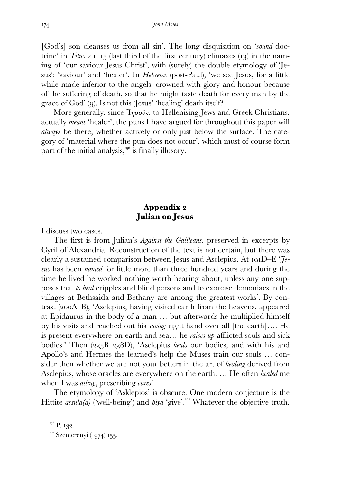[God's] son cleanses us from all sin'. The long disquisition on '*sound* doctrine' in *Titus* 2.1–15 (last third of the first century) climaxes (13) in the naming of 'our saviour Jesus Christ', with (surely) the double etymology of 'Jesus': 'saviour' and 'healer'. In *Hebrews* (post-Paul), 'we see Jesus, for a little while made inferior to the angels, crowned with glory and honour because of the suffering of death, so that he might taste death for every man by the grace of God' (). Is not this 'Jesus' 'healing' death itself?

More generally, since Iησοῦς, to Hellenising Jews and Greek Christians, actually *means* 'healer', the puns I have argued for throughout this paper will *always* be there, whether actively or only just below the surface. The category of 'material where the pun does not occur', which must of course form part of the initial analysis,  $10^{6}$  is finally illusory.

## Appendix 2 **Julian on Jesus**

I discuss two cases.

 The first is from Julian's *Against the Galileans*, preserved in excerpts by Cyril of Alexandria. Reconstruction of the text is not certain, but there was clearly a sustained comparison between Jesus and Asclepius. At 191D–E ' $\mathcal{J}_e$ *sus* has been *named* for little more than three hundred years and during the time he lived he worked nothing worth hearing about, unless any one supposes that *to heal* cripples and blind persons and to exorcise demoniacs in the villages at Bethsaida and Bethany are among the greatest works'. By contrast  $(200A-B)$ , 'Asclepius, having visited earth from the heavens, appeared at Epidaurus in the body of a man … but afterwards he multiplied himself by his visits and reached out his *saving* right hand over all [the earth]…. He is present everywhere on earth and sea… he *raises up* afflicted souls and sick bodies.' Then (235B–238D), 'Asclepius *heals* our bodies, and with his and Apollo's and Hermes the learned's help the Muses train our souls … consider then whether we are not your betters in the art of *healing* derived from Asclepius, whose oracles are everywhere on the earth. … He often *healed* me when I was *ailing*, prescribing *cures*'.

 The etymology of 'Asklepios' is obscure. One modern conjecture is the Hittite *assula(a)* ('well-being') and *piya* 'give'.<sup>197</sup> Whatever the objective truth,

 $196$  P. 132.

<sup>&</sup>lt;sup>197</sup> Szemerényi (1974) 155.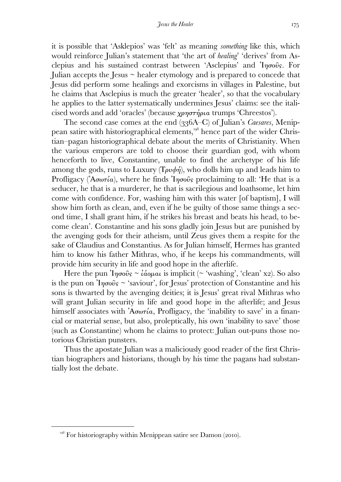it is possible that 'Asklepios' was 'felt' as meaning *something* like this, which would reinforce Julian's statement that 'the art of *healing*' 'derives' from Asclepius and his sustained contrast between 'Asclepius' and Ἰησοῦς. For Julian accepts the Jesus  $\sim$  healer etymology and is prepared to concede that Jesus did perform some healings and exorcisms in villages in Palestine, but he claims that Asclepius is much the greater 'healer', so that the vocabulary he applies to the latter systematically undermines Jesus' claims: see the italicised words and add 'oracles' (because χρηστήρια trumps 'Chreestos').

The second case comes at the end (336A–C) of Julian's *Caesares*, Menippean satire with historiographical elements,<sup>198</sup> hence part of the wider Christian–pagan historiographical debate about the merits of Christianity. When the various emperors are told to choose their guardian god, with whom henceforth to live, Constantine, unable to find the archetype of his life among the gods, runs to Luxury ( $T \rho \nu \phi \eta$ ), who dolls him up and leads him to Profligacy ( $A\sigma\omega\tau(a)$ , where he finds  $I\eta\sigma\omega\hat{\nu}s$  proclaiming to all: 'He that is a seducer, he that is a murderer, he that is sacrilegious and loathsome, let him come with confidence. For, washing him with this water [of baptism], I will show him forth as clean, and, even if he be guilty of those same things a second time, I shall grant him, if he strikes his breast and beats his head, to become clean'. Constantine and his sons gladly join Jesus but are punished by the avenging gods for their atheism, until Zeus gives them a respite for the sake of Claudius and Constantius. As for Julian himself, Hermes has granted him to know his father Mithras, who, if he keeps his commandments, will provide him security in life and good hope in the afterlife.

Here the pun  $\eta \sigma \tilde{\omega} s \sim \tilde{\omega} \omega \mu \omega$  is implicit (~ 'washing', 'clean' x2). So also is the pun on  $\eta\sigma\sigma\hat{\sigma} s \sim$  'saviour', for Jesus' protection of Constantine and his sons is thwarted by the avenging deities; it is Jesus' great rival Mithras who will grant Julian security in life and good hope in the afterlife; and Jesus himself associates with ᾽Ασωτία, Profligacy, the 'inability to save' in a financial or material sense, but also, proleptically, his own 'inability to save' those (such as Constantine) whom he claims to protect: Julian out-puns those notorious Christian punsters.

 Thus the apostate Julian was a maliciously good reader of the first Christian biographers and historians, though by his time the pagans had substantially lost the debate.

<sup>&</sup>lt;sup>198</sup> For historiography within Menippean satire see Damon (2010).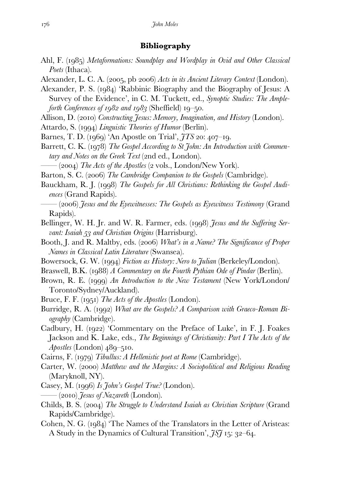## **Bibliography**

- Ahl, F. (1985) Metaformations: Soundplay and Wordplay in Ovid and Other Classical *Poets* (Ithaca).
- Alexander, L. C. A. (2005, pb 2006) *Acts in its Ancient Literary Context* (London).
- Alexander, P. S. (1984) 'Rabbinic Biography and the Biography of Jesus: A Survey of the Evidence', in C. M. Tuckett, ed., *Synoptic Studies: The Ampleforth Conferences of*  $1982$  *and*  $1983$  *(Sheffield)*  $19-50$ .
- Allison, D. (2010) *Constructing Jesus: Memory, Imagination, and History (London)*.
- Attardo, S. (1994) *Linguistic Theories of Humor* (Berlin).
- Barnes, T. D. (1969) 'An Apostle on Trial',  $\tilde{\jmath}$  TS 20: 407–19.
- Barrett, C. K. (1978) The Gospel According to St John: An Introduction with Commen*tary and Notes on the Greek Text* (2nd ed., London).

 $-(2004)$  The Acts of the Apostles  $(2 \text{ vols.}, \text{London/New York}).$ 

Barton, S. C. (2006) The Cambridge Companion to the Gospels (Cambridge).

- Bauckham, R. J. (1998) The Gospels for All Christians: Rethinking the Gospel Audi*ences* (Grand Rapids).
	- —— () *Jesus and the Eyewitnesses: The Gospels as Eyewitness Testimony* (Grand Rapids).
- Bellinger, W. H. Jr. and W. R. Farmer, eds. (1998) *Jesus and the Suffering Servant: Isaiah 53 and Christian Origins* (Harrisburg).
- Booth, J. and R. Maltby, eds. (2006) *What's in a Name? The Significance of Proper Names in Classical Latin Literature* (Swansea).
- Bowersock, G. W. (1994) *Fiction as History: Nero to Julian* (Berkeley/London).
- Braswell, B.K. (1988) *A Commentary on the Fourth Pythian Ode of Pindar* (Berlin).
- Brown, R. E. (1999) An Introduction to the New Testament (New York/London) Toronto/Sydney/Auckland).
- Bruce, F. F. (1951) *The Acts of the Apostles* (London).
- Burridge, R. A. (1992) *What are the Gospels? A Comparison with Graeco-Roman Biography* (Cambridge).
- Cadbury, H. (1922) 'Commentary on the Preface of Luke', in F. J. Foakes Jackson and K. Lake, eds., *The Beginnings of Christianity: Part I The Acts of the*   $A$ *postles* (London)  $489 - 510$ .

Cairns, F. (1979) *Tibullus: A Hellenistic poet at Rome* (Cambridge).

- Carter, W. (2000) Matthew and the Margins: A Sociopolitical and Religious Reading (Maryknoll, NY).
- Casey, M. (1996) Is *John's Gospel True?* (London).
	- —— () *Jesus of Nazareth* (London).
- Childs, B. S. (2004) *The Struggle to Understand Isaiah as Christian Scripture* (Grand Rapids/Cambridge).
- Cohen, N. G. (1984) 'The Names of the Translators in the Letter of Aristeas: A Study in the Dynamics of Cultural Transition', *JSf* 15: 32–64.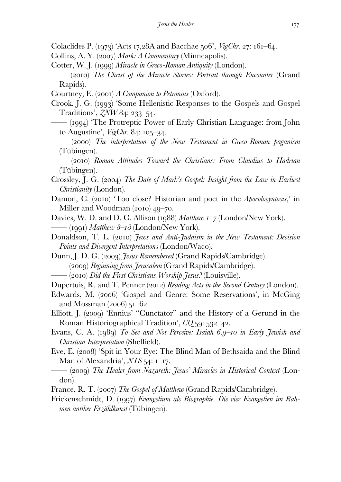Colaclides P. (1973) 'Acts 17,28A and Bacchae 506', *VigChr.* 27: 161–64.

- Collins, A. Y. (2007) *Mark: A Commentary* (Minneapolis).
- Cotter, W. J. (1999) *Miracle in Greco-Roman Antiquity* (London).
- —— () *The Christ of the Miracle Stories: Portrait through Encounter* (Grand Rapids).

Courtney, E. (2001) *A Companion to Petronius* (Oxford).

Crook, J. G. (1993) 'Some Hellenistic Responses to the Gospels and Gospel Traditions',  $\zeta N W 84: 233 - 54$ .

- $-$  (1994) The Protreptic Power of Early Christian Language: from John to Augustine',  $VigChr. 84: 105-34.$
- —— () *The interpretation of the New Testament in Greco-Roman paganism*  (Tübingen).
- —— () *Roman Attitudes Toward the Christians: From Claudius to Hadrian*  (Tübingen).
- Crossley, J. G. (2004) The Date of Mark's Gospel: Insight from the Law in Earliest *Christianity* (London).
- Damon, C. (2010) 'Too close? Historian and poet in the *Apocolocyntosis*,' in Miller and Woodman  $(2010)$  49–70.
- Davies, W. D. and D. C. Allison (1988) *Matthew 1–7* (London/New York). —— (1991) *Matthew 8–18* (London/New York).
- Donaldson, T. L. (2010) *Jews and Anti-Judaism in the New Testament: Decision Points and Divergent Interpretations* (London/Waco).
- Dunn, J. D. G. (2003) *Jesus Remembered* (Grand Rapids/Cambridge).
- —— () *Beginning from Jerusalem* (Grand Rapids/Cambridge).
- —— () *Did the First Christians Worship Jesus?* (Louisville).
- Dupertuis, R. and T. Penner (2012) *Reading Acts in the Second Century* (London).
- Edwards, M. (2006) 'Gospel and Genre: Some Reservations', in McGing and Mossman  $(2006)$  51–62.
- Elliott, J. (2009) 'Ennius' "Cunctator" and the History of a Gerund in the Roman Historiographical Tradition', *CQ* 59: 532–42.
- Evans, C. A. (1989) To See and Not Perceive: Isaiah 6.9–10 in Early Jewish and *Christian Interpretation* (Sheffield).
- Eve, E. (2008) 'Spit in Your Eye: The Blind Man of Bethsaida and the Blind Man of Alexandria', *NTS* 54: 1–17.
- —— () *The Healer from Nazareth: Jesus' Miracles in Historical Context* (London).
- France, R. T. (2007) *The Gospel of Matthew* (Grand Rapids/Cambridge).
- Frickenschmidt, D. (1997) *Evangelium als Biographie. Die vier Evangelien im Rahmen antiker Erzählkunst* (Tübingen).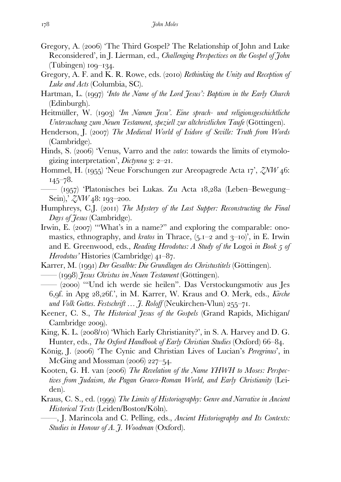- Gregory, A. (2006) 'The Third Gospel? The Relationship of John and Luke Reconsidered', in J. Lierman, ed., *Challenging Perspectives on the Gospel of John*  $(Tübingen)$  100–134.
- Gregory, A. F. and K. R. Rowe, eds. (2010) *Rethinking the Unity and Reception of Luke and Acts* (Columbia, SC).
- Hartman, L. (1997) *This the Name of the Lord Jesus': Baptism in the Early Church* (Edinburgh).
- Heitmüller, W. (1903) *Im Namen Jesu'. Eine sprach- und religionsgeschichtliche Untersuchung zum Neuen Testament, speziell zur altchristlichen Taufe* (Göttingen).
- Henderson, J. (2007) The Medieval World of Isidore of Seville: Truth from Words (Cambridge).
- Hinds, S. (2006) 'Venus, Varro and the *vates*: towards the limits of etymologizing interpretation',  $Dictynna$   $3: 2-21$ .
- Hommel, H. (1955) 'Neue Forschungen zur Areopagrede Acta 17', *ZNW* 46:  $145 - 78.$
- —— (1957) 'Platonisches bei Lukas. Zu Acta 18,28a (Leben–Bewegung– Sein),  $\frac{2}{\sqrt{W}}$  48: 193–200.
- Humphreys, C.J. (2011) *The Mystery of the Last Supper: Reconstructing the Final Days of Jesus* (Cambridge).
- Irwin, E.  $(2007)$  "What's in a name?" and exploring the comparable: onomastics, ethnography, and *kratos* in Thrace,  $(5.1 - 2$  and  $3 - 10)$ , in E. Irwin and E. Greenwood, eds., *Reading Herodotus: A Study of the Logoi in Book 5 of Herodotus'* Histories (Cambridge)  $4I-87$ .
- Karrer, M. (1991) *Der Gesalbte: Die Grundlagen des Christustitels* (Göttingen). —— () *Jesus Christus im Neuen Testament* (Göttingen).
- —— (2000) "Und ich werde sie heilen". Das Verstockungsmotiv aus Jes 6, of. in Apg 28, 26f.', in M. Karrer, W. Kraus and O. Merk, eds., *Kirche und Volk Gottes. Festschrift*  $\ldots$  7. Roloff (Neukirchen-Vlun) 255–71.
- Keener, C. S., *The Historical Jesus of the Gospels* (Grand Rapids, Michigan/ Cambridge 2009).
- King, K. L.  $(2008/10)$  'Which Early Christianity?', in S. A. Harvey and D. G. Hunter, eds., *The Oxford Handbook of Early Christian Studies* (Oxford) 66–84.
- König, J. (2006) 'The Cynic and Christian Lives of Lucian's *Peregrinus*', in McGing and Mossman  $(2006)$  227–54.
- Kooten, G. H. van (2006) The Revelation of the Name YHWH to Moses: Perspec*tives from Judaism, the Pagan Graeco-Roman World, and Early Christianity* (Leiden).
- Kraus, C. S., ed. (1999) The Limits of Historiography: Genre and Narrative in Ancient *Historical Texts* (Leiden/Boston/Köln).
	- ——, J. Marincola and C. Pelling, eds., *Ancient Historiography and Its Contexts: Studies in Honour of A. J. Woodman* (Oxford).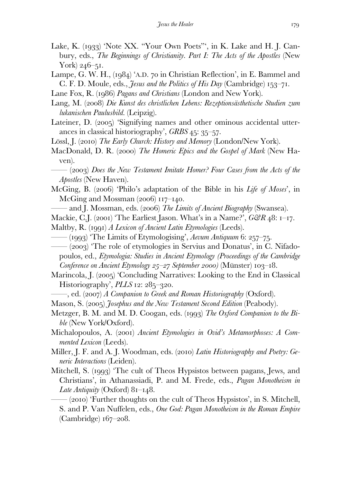- Lake, K. (1933) 'Note XX. "Your Own Poets"', in K. Lake and H. J. Canbury, eds., *The Beginnings of Christianity. Part I: The Acts of the Apostles* (New York)  $246 - 51$ .
- Lampe, G. W. H.,  $(q84)$  'A.D.  $70$  in Christian Reflection', in E. Bammel and C. F. D. Moule, eds., *Jesus and the Politics of His Day* (Cambridge) 153–71.
- Lane Fox, R. (1986) *Pagans and Christians* (London and New York).
- Lang, M. (2008) *Die Kunst des christlichen Lebens: Rezeptionsästhetische Studien zum lukanischen Paulusbild*. (Leipzig).
- Lateiner, D. (2005) 'Signifying names and other ominous accidental utterances in classical historiography', *GRBS* 45: 35–57.
- Lössl, J. (2010) *The Early Church: History and Memory* (London/New York).
- MacDonald, D. R. (2000) The Homeric Epics and the Gospel of Mark (New Haven).
- —— () *Does the New Testament Imitate Homer? Four Cases from the Acts of the Apostles* (New Haven).
- McGing, B. (2006) 'Philo's adaptation of the Bible in his *Life of Moses*', in McGing and Mossman  $(2006)$  117–140.
- and J. Mossman, eds. (2006) *The Limits of Ancient Biography* (Swansea).
- Mackie, C.J. (2001) 'The Earliest Jason. What's in a Name?',  $G\mathcal{B}R$  48: 1–17.

Maltby, R. (1991) *A Lexicon of Ancient Latin Etymologies* (Leeds).

- —— (1993) 'The Limits of Etymologising', *Aevum Antiquum* 6: 257–75.
- $-(2003)$  The role of etymologies in Servius and Donatus', in C. Nifadopoulos, ed., *Etymologia: Studies in Ancient Etymology (Proceedings of the Cambridge Conference on Ancient Etymology 25–27 September 2000* (Münster) 103–18.
- Marincola, J. (2005) 'Concluding Narratives: Looking to the End in Classical  $Historiography$ ,  $PLLS$   $12: 285-320$ .
- ——, ed. () *A Companion to Greek and Roman Historiography* (Oxford).
- Mason, S. (2005) *Josephus and the New Testament Second Edition* (Peabody).
- Metzger, B. M. and M. D. Coogan, eds. (1993) The Oxford Companion to the Bi*ble* (New York/Oxford).
- Michalopoulos, A. (2001) *Ancient Etymologies in Ovid's Metamorphoses: A Commented Lexicon* (Leeds).
- Miller, J. F. and A. J. Woodman, eds. (2010) *Latin Historiography and Poetry: Generic Interactions* (Leiden).
- Mitchell, S. (1993) 'The cult of Theos Hypsistos between pagans, Jews, and Christians', in Athanassiadi, P. and M. Frede, eds., *Pagan Monotheism in Late Antiquity* (Oxford)  $8I-I48$ .
	- $-(2010)$  Further thoughts on the cult of Theos Hypsistos', in S. Mitchell, S. and P. Van Nuffelen, eds., *One God: Pagan Monotheism in the Roman Empire*  $(Cambridge)$  167–208.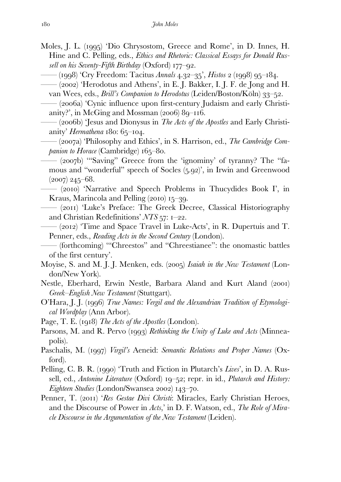- Moles, J. L. (1995) 'Dio Chrysostom, Greece and Rome', in D. Innes, H. Hine and C. Pelling, eds., *Ethics and Rhetoric: Classical Essays for Donald Russell on his Seventy-Fifth Birthday* (Oxford)  $177 - 92$ .
	- (1998) 'Cry Freedom: Tacitus *Annals* 4.32–35', *Histos* 2 (1998) 95–184.
	- $-(2002)$  'Herodotus and Athens', in E. J. Bakker, I. J. F. de Jong and H. van Wees, eds., *Brill's Companion to Herodotus* (Leiden/Boston/Köln) 33–52.
	- (2006a) 'Cynic influence upon first-century Judaism and early Christianity?', in McGing and Mossman  $(2006) 89 - 116$ .
	- —— (b) 'Jesus and Dionysus in *The Acts of the Apostles* and Early Christianity' *Hermathena*  $180:65-104$ .
	- (2007a) Philosophy and Ethics', in S. Harrison, ed., *The Cambridge Companion to Horace* (Cambridge)  $165-80$ .
	- (2007b) "Saving" Greece from the 'ignominy' of tyranny? The "famous and "wonderful" speech of Socles  $(5.92)$ ", in Irwin and Greenwood  $(2007)$  245–68.

—— () 'Narrative and Speech Problems in Thucydides Book I', in Kraus, Marincola and Pelling  $(2010)$  15–39.

- (2011) 'Luke's Preface: The Greek Decree, Classical Historiography and Christian Redefinitions' *NTS* 57: 1-22.
- —— () 'Time and Space Travel in Luke-Acts', in R. Dupertuis and T. Penner, eds., *Reading Acts in the Second Century* (London).
- (forthcoming) "Chreestos" and "Chreestianee": the onomastic battles of the first century'.
- Moyise, S. and M. J. J. Menken, eds. (2005) Isaiah in the New Testament (London/New York).
- Nestle, Eberhard, Erwin Nestle, Barbara Aland and Kurt Aland (2001) *Greek–English New Testament* (Stuttgart).
- O'Hara, J. J. (1996) *True Names: Vergil and the Alexandrian Tradition of Etymological Wordplay* (Ann Arbor).
- Page, T. E. (1918) *The Acts of the Apostles* (London).
- Parsons, M. and R. Pervo (1993) *Rethinking the Unity of Luke and Acts* (Minneapolis).
- Paschalis, M. (1997) *Virgil's* Aeneid: *Semantic Relations and Proper Names* (Oxford).
- Pelling, C. B. R. (1990) 'Truth and Fiction in Plutarch's *Lives*', in D. A. Russell, ed., *Antonine Literature* (Oxford) 19–52; repr. in id., *Plutarch and History: Eighteen Studies* (London/Swansea 2002) 143–70.
- Penner, T. (2011) '*Res Gestae Divi Christi*: Miracles, Early Christian Heroes, and the Discourse of Power in *Acts*,' in D. F. Watson, ed., *The Role of Miracle Discourse in the Argumentation of the New Testament* (Leiden).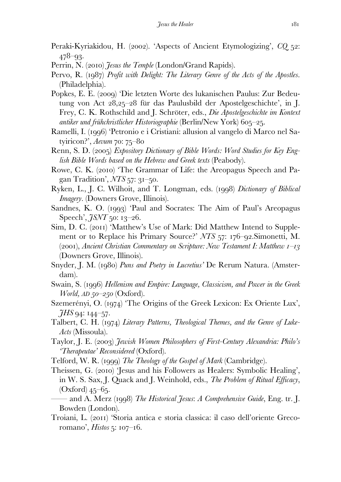- Peraki-Kyriakidou, H. (2002). 'Aspects of Ancient Etymologizing', *CQ* 52:  $478 - 93.$
- Perrin, N. (2010) *Jesus the Temple* (London/Grand Rapids).
- Pervo, R. (1987) *Profit with Delight: The Literary Genre of the Acts of the Apostles.* (Philadelphia).
- Popkes, E. E. (2009) 'Die letzten Worte des lukanischen Paulus: Zur Bedeutung von Act  $28,25-28$  für das Paulusbild der Apostelgeschichte', in J. Frey, C. K. Rothschild and J. Schröter, eds., *Die Apostelgeschichte im Kontext antiker und frühchristlicher Historiographie* (Berlin/New York) 605–25.
- Ramelli, I. (1996) 'Petronio e i Cristiani: allusion al vangelo di Marco nel Satyiricon?', *Aevum* 70: 75–80
- Renn, S. D. (2005) *Expository Dictionary of Bible Words: Word Studies for Key English Bible Words based on the Hebrew and Greek texts* (Peabody).
- Rowe, C. K. (2010) 'The Grammar of Life: the Areopagus Speech and Pagan Tradition', *NTS* 57: 31–50.
- Ryken, L., J. C. Wilhoit, and T. Longman, eds. (1998) *Dictionary of Biblical Imagery*. (Downers Grove, Illinois).
- Sandnes, K. O. (1993) 'Paul and Socrates: The Aim of Paul's Areopagus Speech', *JSNT* 50: 13–26.
- Sim, D. C. (2011) 'Matthew's Use of Mark: Did Matthew Intend to Supplement or to Replace his Primary Source?' *NTS* 57: 176–92. Simonetti, M. (2001), *Ancient Christian Commentary on Scripture: New Testament I: Matthew 1–13* (Downers Grove, Illinois).
- Snyder, J. M. (1980) *Puns and Poetry in Lucretius'* De Rerum Natura. (Amsterdam).
- Swain, S. (1996) *Hellenism and Empire: Language, Classicism, and Power in the Greek World, AD*  $50-250$  (Oxford).
- Szemerényi, O. (1974) 'The Origins of the Greek Lexicon: Ex Oriente Lux',  $\tilde{\mathcal{J}}$ *HS* 94: 144–57.
- Talbert, C. H. (1974) *Literary Patterns, Theological Themes, and the Genre of Luke-Acts* (Missoula).
- Taylor, J. E. (2003) *Jewish Women Philosophers of First-Century Alexandria: Philo's 'Therapeutae' Reconsidered* (Oxford).
- Telford, W. R. (1999) *The Theology of the Gospel of Mark* (Cambridge).
- Theissen, G. (2010) Jesus and his Followers as Healers: Symbolic Healing', in W. S. Sax, J. Quack and J. Weinhold, eds., *The Problem of Ritual Efficacy*,  $(Oxford)$  45–65.
- —— and A. Merz () *The Historical Jesus*: *A Comprehensive Guide*, Eng. tr. J. Bowden (London).
- Troiani, L. (2011) 'Storia antica e storia classica: il caso dell'oriente Grecoromano', *Histos* 5:  $107 - 16$ .